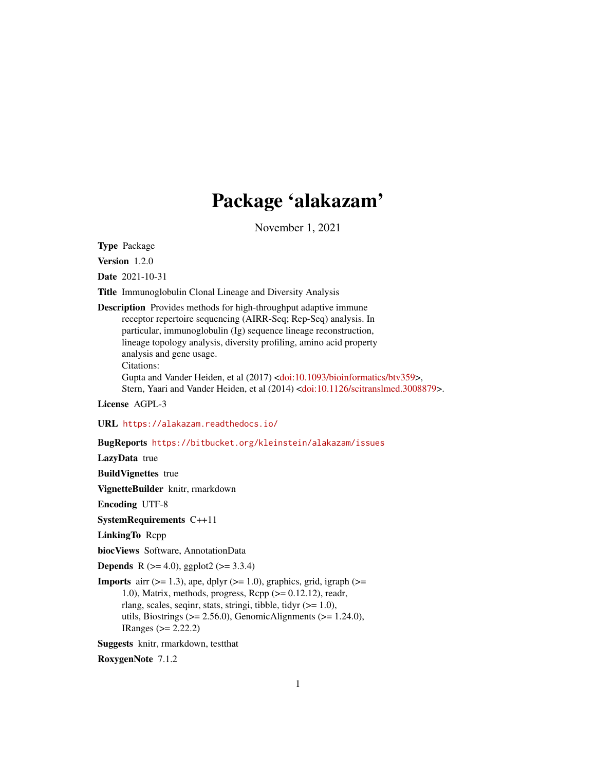# Package 'alakazam'

November 1, 2021

<span id="page-0-0"></span>Type Package

Version 1.2.0

Date 2021-10-31

Title Immunoglobulin Clonal Lineage and Diversity Analysis

Description Provides methods for high-throughput adaptive immune receptor repertoire sequencing (AIRR-Seq; Rep-Seq) analysis. In particular, immunoglobulin (Ig) sequence lineage reconstruction, lineage topology analysis, diversity profiling, amino acid property analysis and gene usage. Citations: Gupta and Vander Heiden, et al (2017) [<doi:10.1093/bioinformatics/btv359>](https://doi.org/10.1093/bioinformatics/btv359), Stern, Yaari and Vander Heiden, et al (2014) [<doi:10.1126/scitranslmed.3008879>](https://doi.org/10.1126/scitranslmed.3008879).

License AGPL-3

URL <https://alakazam.readthedocs.io/>

BugReports <https://bitbucket.org/kleinstein/alakazam/issues>

LazyData true

BuildVignettes true

VignetteBuilder knitr, rmarkdown

Encoding UTF-8

SystemRequirements C++11

LinkingTo Rcpp

biocViews Software, AnnotationData

**Depends** R ( $>= 4.0$ ), ggplot2 ( $>= 3.3.4$ )

**Imports** airr  $(>= 1.3)$ , ape, dplyr  $(>= 1.0)$ , graphics, grid, igraph  $(>= 1.6)$ 1.0), Matrix, methods, progress,  $\text{Rcpp}$  ( $\geq 0.12.12$ ), readr, rlang, scales, seqinr, stats, stringi, tibble, tidyr (>= 1.0), utils, Biostrings ( $>= 2.56.0$ ), GenomicAlignments ( $>= 1.24.0$ ), IRanges (>= 2.22.2)

Suggests knitr, rmarkdown, testthat

RoxygenNote 7.1.2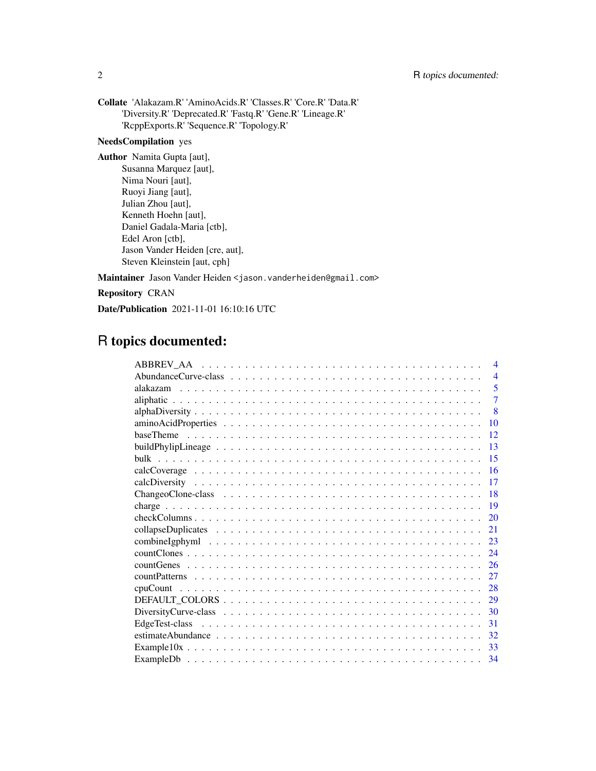Collate 'Alakazam.R' 'AminoAcids.R' 'Classes.R' 'Core.R' 'Data.R' 'Diversity.R' 'Deprecated.R' 'Fastq.R' 'Gene.R' 'Lineage.R' 'RcppExports.R' 'Sequence.R' 'Topology.R'

# NeedsCompilation yes

Author Namita Gupta [aut], Susanna Marquez [aut], Nima Nouri [aut], Ruoyi Jiang [aut], Julian Zhou [aut], Kenneth Hoehn [aut], Daniel Gadala-Maria [ctb], Edel Aron [ctb], Jason Vander Heiden [cre, aut], Steven Kleinstein [aut, cph]

Maintainer Jason Vander Heiden <jason.vanderheiden@gmail.com>

Repository CRAN

Date/Publication 2021-11-01 16:10:16 UTC

# R topics documented:

|          | $\overline{4}$ |
|----------|----------------|
|          | $\overline{4}$ |
| alakazam | 5              |
|          | $\overline{7}$ |
|          | $\mathbf{8}$   |
|          | 10             |
|          | 12             |
|          | 13             |
|          | 15             |
|          | 16             |
|          | 17             |
|          | 18             |
|          | 19             |
|          | 20             |
|          | 21             |
|          | 23             |
|          | 24             |
|          | 26             |
|          | 27             |
|          | 28             |
|          | 29             |
|          | 30             |
|          | 31             |
|          | 32             |
|          | 33             |
|          |                |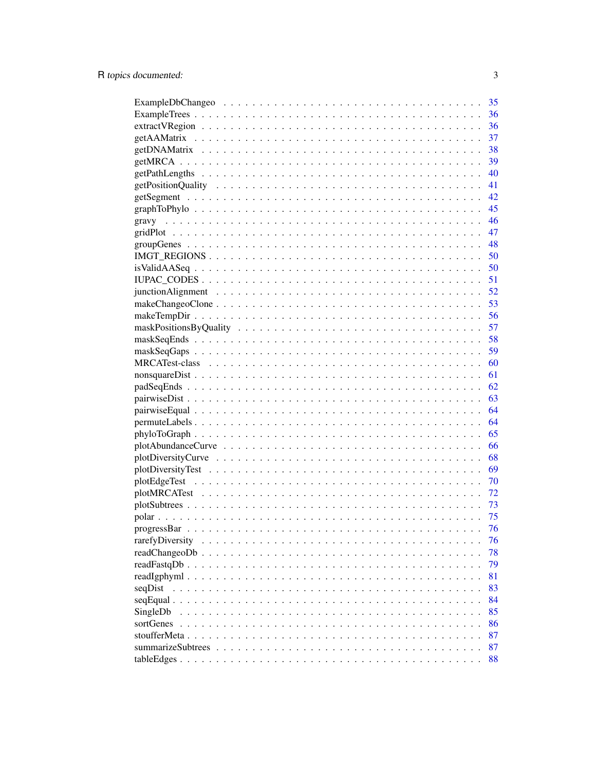|                                                                                                                      | 35  |
|----------------------------------------------------------------------------------------------------------------------|-----|
|                                                                                                                      | 36  |
|                                                                                                                      |     |
|                                                                                                                      | 37  |
|                                                                                                                      | 38  |
|                                                                                                                      |     |
|                                                                                                                      | 40  |
|                                                                                                                      |     |
|                                                                                                                      |     |
|                                                                                                                      |     |
|                                                                                                                      |     |
|                                                                                                                      |     |
|                                                                                                                      |     |
|                                                                                                                      |     |
|                                                                                                                      |     |
|                                                                                                                      |     |
|                                                                                                                      | 52  |
|                                                                                                                      | 53  |
|                                                                                                                      | 56  |
|                                                                                                                      | 57  |
|                                                                                                                      | 58  |
|                                                                                                                      |     |
|                                                                                                                      |     |
|                                                                                                                      |     |
|                                                                                                                      | 61  |
|                                                                                                                      | 62  |
|                                                                                                                      | 63  |
|                                                                                                                      | 64  |
|                                                                                                                      | 64  |
| $phyloToGraph \dots \dots \dots \dots \dots \dots \dots \dots \dots \dots \dots \dots \dots \dots \dots \dots \dots$ | 65  |
|                                                                                                                      | 66  |
|                                                                                                                      | 68  |
|                                                                                                                      | 69  |
|                                                                                                                      | 70  |
|                                                                                                                      | 72  |
|                                                                                                                      | -73 |
|                                                                                                                      | 75  |
|                                                                                                                      | 76  |
| rarefyDiversity                                                                                                      | 76  |
| readChangeoDb                                                                                                        | 78  |
|                                                                                                                      | 79  |
| readIgphyml                                                                                                          | 81  |
| seqDist                                                                                                              | 83  |
| seqEqual.                                                                                                            | 84  |
| SingleDb                                                                                                             | 85  |
| sortGenes                                                                                                            | 86  |
| stoufferMeta .                                                                                                       | 87  |
| summarizeSubtrees                                                                                                    | 87  |
|                                                                                                                      | 88  |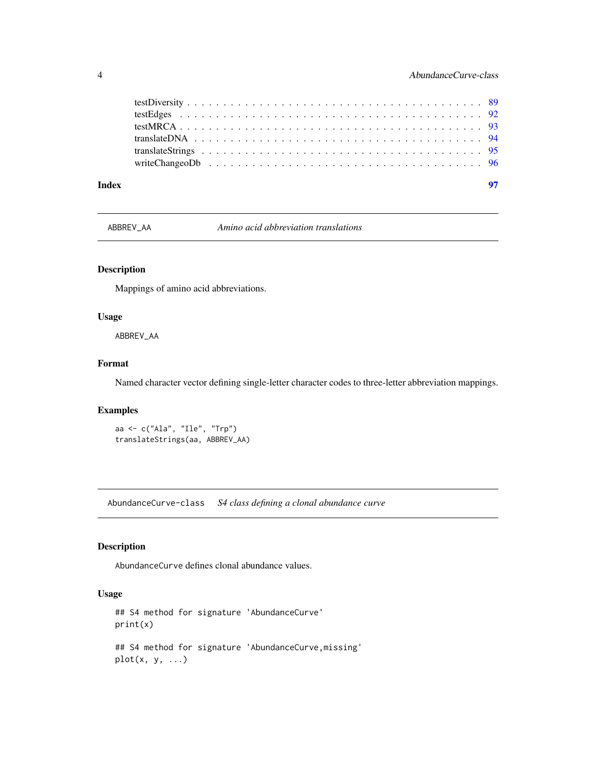ABBREV\_AA *Amino acid abbreviation translations*

# Description

Mappings of amino acid abbreviations.

# Usage

ABBREV\_AA

# Format

Named character vector defining single-letter character codes to three-letter abbreviation mappings.

#### Examples

```
aa <- c("Ala", "Ile", "Trp")
translateStrings(aa, ABBREV_AA)
```
AbundanceCurve-class *S4 class defining a clonal abundance curve*

# <span id="page-3-1"></span>Description

AbundanceCurve defines clonal abundance values.

# Usage

```
## S4 method for signature 'AbundanceCurve'
print(x)
## S4 method for signature 'AbundanceCurve,missing'
plot(x, y, ...)
```
<span id="page-3-0"></span>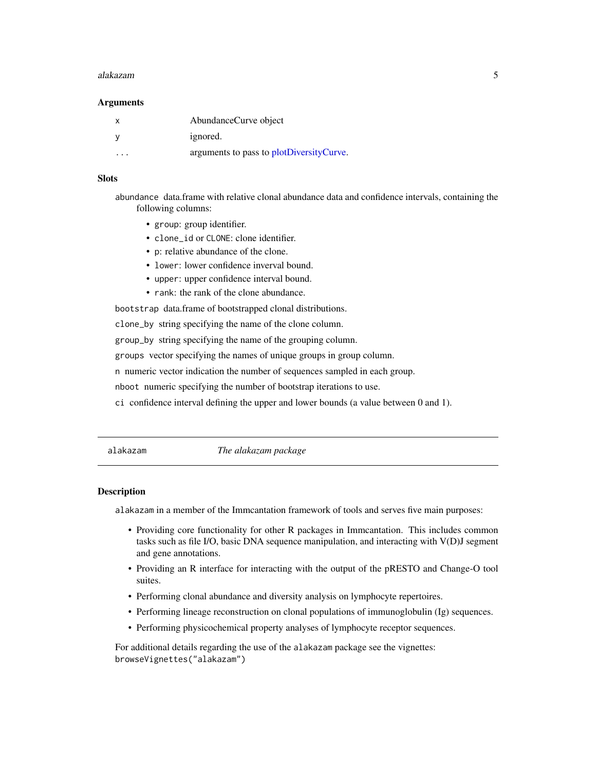#### <span id="page-4-0"></span>alakazam 5

#### Arguments

| х       | AbundanceCurve object                    |
|---------|------------------------------------------|
|         | ignored.                                 |
| $\cdot$ | arguments to pass to plotDiversityCurve. |

#### **Slots**

abundance data.frame with relative clonal abundance data and confidence intervals, containing the following columns:

- group: group identifier.
- clone\_id or CLONE: clone identifier.
- p: relative abundance of the clone.
- lower: lower confidence inverval bound.
- upper: upper confidence interval bound.
- rank: the rank of the clone abundance.

bootstrap data.frame of bootstrapped clonal distributions.

clone\_by string specifying the name of the clone column.

group\_by string specifying the name of the grouping column.

groups vector specifying the names of unique groups in group column.

n numeric vector indication the number of sequences sampled in each group.

nboot numeric specifying the number of bootstrap iterations to use.

ci confidence interval defining the upper and lower bounds (a value between 0 and 1).

alakazam *The alakazam package*

#### Description

alakazam in a member of the Immcantation framework of tools and serves five main purposes:

- Providing core functionality for other R packages in Immcantation. This includes common tasks such as file I/O, basic DNA sequence manipulation, and interacting with V(D)J segment and gene annotations.
- Providing an R interface for interacting with the output of the pRESTO and Change-O tool suites.
- Performing clonal abundance and diversity analysis on lymphocyte repertoires.
- Performing lineage reconstruction on clonal populations of immunoglobulin (Ig) sequences.
- Performing physicochemical property analyses of lymphocyte receptor sequences.

For additional details regarding the use of the alakazam package see the vignettes: browseVignettes("alakazam")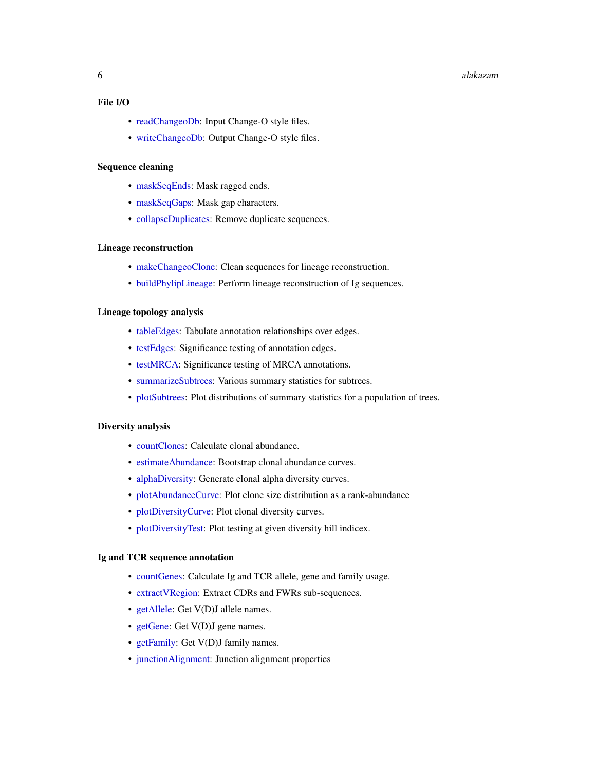#### 6 alakazam

# File I/O

- [readChangeoDb:](#page-77-1) Input Change-O style files.
- [writeChangeoDb:](#page-95-1) Output Change-O style files.

#### Sequence cleaning

- [maskSeqEnds:](#page-57-1) Mask ragged ends.
- [maskSeqGaps:](#page-58-1) Mask gap characters.
- [collapseDuplicates:](#page-20-1) Remove duplicate sequences.

# Lineage reconstruction

- [makeChangeoClone:](#page-52-1) Clean sequences for lineage reconstruction.
- [buildPhylipLineage:](#page-12-1) Perform lineage reconstruction of Ig sequences.

#### Lineage topology analysis

- [tableEdges:](#page-87-1) Tabulate annotation relationships over edges.
- [testEdges:](#page-91-1) Significance testing of annotation edges.
- [testMRCA:](#page-92-1) Significance testing of MRCA annotations.
- [summarizeSubtrees:](#page-86-1) Various summary statistics for subtrees.
- [plotSubtrees:](#page-72-1) Plot distributions of summary statistics for a population of trees.

#### Diversity analysis

- [countClones:](#page-23-1) Calculate clonal abundance.
- [estimateAbundance:](#page-31-1) Bootstrap clonal abundance curves.
- [alphaDiversity:](#page-7-1) Generate clonal alpha diversity curves.
- [plotAbundanceCurve:](#page-65-1) Plot clone size distribution as a rank-abundance
- [plotDiversityCurve:](#page-67-1) Plot clonal diversity curves.
- [plotDiversityTest:](#page-68-1) Plot testing at given diversity hill indicex.

#### Ig and TCR sequence annotation

- [countGenes:](#page-25-1) Calculate Ig and TCR allele, gene and family usage.
- [extractVRegion:](#page-35-1) Extract CDRs and FWRs sub-sequences.
- [getAllele:](#page-41-1) Get V(D)J allele names.
- [getGene:](#page-41-1) Get V(D)J gene names.
- [getFamily:](#page-41-1) Get V(D)J family names.
- [junctionAlignment:](#page-51-1) Junction alignment properties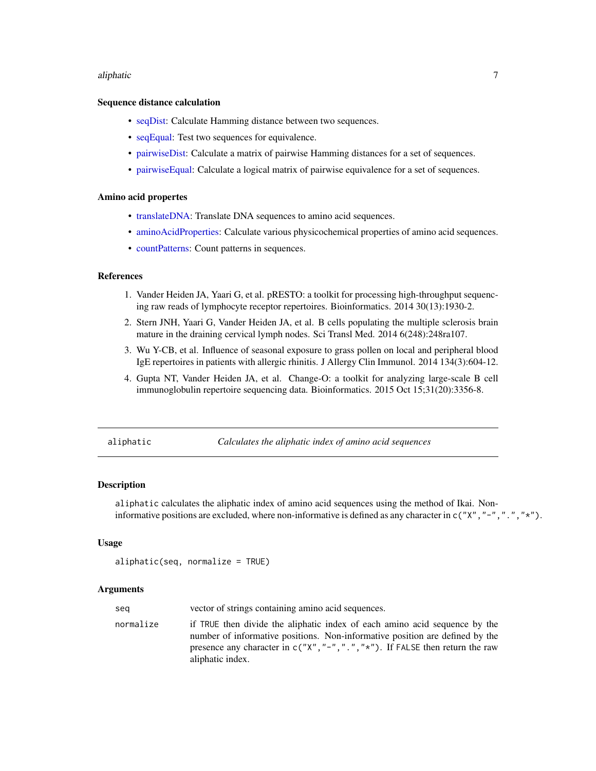#### <span id="page-6-0"></span>aliphatic 2008 and 2008 and 2008 and 2008 and 2008 and 2008 and 2008 and 2008 and 2008 and 2008 and 2008 and 200

#### Sequence distance calculation

- [seqDist:](#page-82-1) Calculate Hamming distance between two sequences.
- [seqEqual:](#page-83-1) Test two sequences for equivalence.
- [pairwiseDist:](#page-62-1) Calculate a matrix of pairwise Hamming distances for a set of sequences.
- [pairwiseEqual:](#page-63-1) Calculate a logical matrix of pairwise equivalence for a set of sequences.

# Amino acid propertes

- [translateDNA:](#page-93-1) Translate DNA sequences to amino acid sequences.
- [aminoAcidProperties:](#page-9-1) Calculate various physicochemical properties of amino acid sequences.
- [countPatterns:](#page-26-1) Count patterns in sequences.

# References

- 1. Vander Heiden JA, Yaari G, et al. pRESTO: a toolkit for processing high-throughput sequencing raw reads of lymphocyte receptor repertoires. Bioinformatics. 2014 30(13):1930-2.
- 2. Stern JNH, Yaari G, Vander Heiden JA, et al. B cells populating the multiple sclerosis brain mature in the draining cervical lymph nodes. Sci Transl Med. 2014 6(248):248ra107.
- 3. Wu Y-CB, et al. Influence of seasonal exposure to grass pollen on local and peripheral blood IgE repertoires in patients with allergic rhinitis. J Allergy Clin Immunol. 2014 134(3):604-12.
- 4. Gupta NT, Vander Heiden JA, et al. Change-O: a toolkit for analyzing large-scale B cell immunoglobulin repertoire sequencing data. Bioinformatics. 2015 Oct 15;31(20):3356-8.

<span id="page-6-1"></span>aliphatic *Calculates the aliphatic index of amino acid sequences*

#### Description

aliphatic calculates the aliphatic index of amino acid sequences using the method of Ikai. Noninformative positions are excluded, where non-informative is defined as any character in  $c("X", "-", "..", "*").$ 

# Usage

```
aliphatic(seq, normalize = TRUE)
```
# Arguments

| seg       | vector of strings containing amino acid sequences.                                                                                                                                                                                                                   |
|-----------|----------------------------------------------------------------------------------------------------------------------------------------------------------------------------------------------------------------------------------------------------------------------|
| normalize | if TRUE then divide the aliphatic index of each amino acid sequence by the<br>number of informative positions. Non-informative position are defined by the<br>presence any character in $c("X", "-"", ", "*, "*)$ . If FALSE then return the raw<br>aliphatic index. |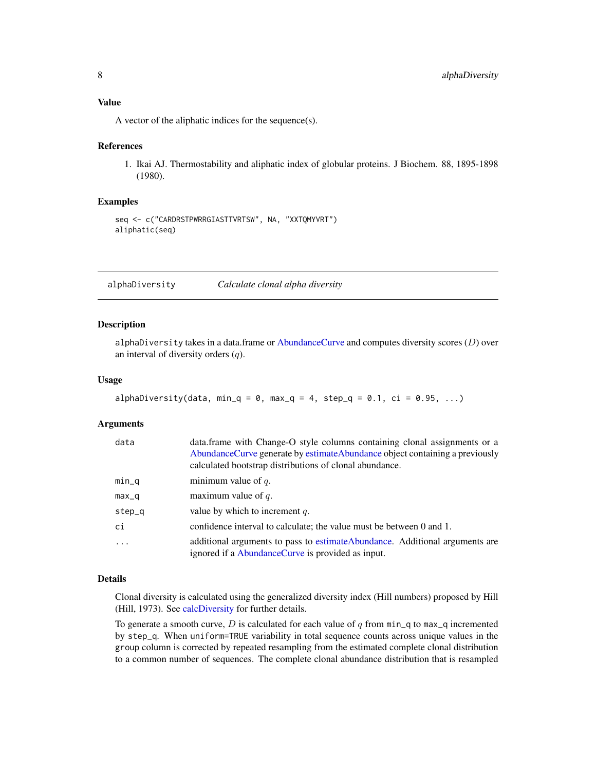# <span id="page-7-0"></span>Value

A vector of the aliphatic indices for the sequence(s).

#### References

1. Ikai AJ. Thermostability and aliphatic index of globular proteins. J Biochem. 88, 1895-1898 (1980).

#### Examples

```
seq <- c("CARDRSTPWRRGIASTTVRTSW", NA, "XXTQMYVRT")
aliphatic(seq)
```
<span id="page-7-1"></span>alphaDiversity *Calculate clonal alpha diversity*

#### Description

alphaDiversity takes in a data.frame or [AbundanceCurve](#page-3-1) and computes diversity scores  $(D)$  over an interval of diversity orders  $(q)$ .

# Usage

```
alphaDiversity(data, min_q = 0, max_q = 4, step_q = 0.1, ci = 0.95, ...)
```
#### Arguments

| data    | data.frame with Change-O style columns containing clonal assignments or a<br>AbundanceCurve generate by estimateAbundance object containing a previously<br>calculated bootstrap distributions of clonal abundance. |
|---------|---------------------------------------------------------------------------------------------------------------------------------------------------------------------------------------------------------------------|
| $min_q$ | minimum value of $q$ .                                                                                                                                                                                              |
| $max_q$ | maximum value of $q$ .                                                                                                                                                                                              |
| step_q  | value by which to increment $q$ .                                                                                                                                                                                   |
| ci      | confidence interval to calculate; the value must be between 0 and 1.                                                                                                                                                |
|         | additional arguments to pass to estimate Abundance. Additional arguments are<br>ignored if a AbundanceCurve is provided as input.                                                                                   |

# Details

Clonal diversity is calculated using the generalized diversity index (Hill numbers) proposed by Hill (Hill, 1973). See [calcDiversity](#page-16-1) for further details.

To generate a smooth curve, D is calculated for each value of q from  $\min_q$  to  $\max_q$  incremented by step\_q. When uniform=TRUE variability in total sequence counts across unique values in the group column is corrected by repeated resampling from the estimated complete clonal distribution to a common number of sequences. The complete clonal abundance distribution that is resampled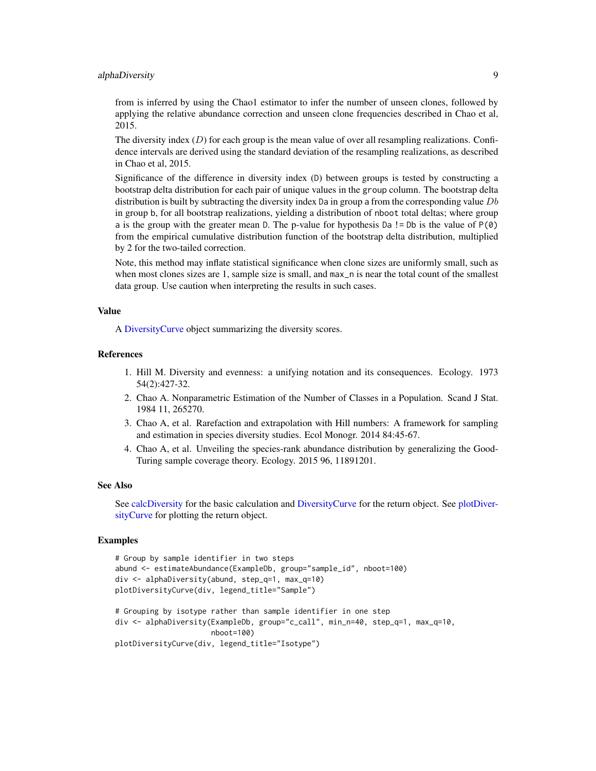# alphaDiversity 9

from is inferred by using the Chao1 estimator to infer the number of unseen clones, followed by applying the relative abundance correction and unseen clone frequencies described in Chao et al, 2015.

The diversity index  $(D)$  for each group is the mean value of over all resampling realizations. Confidence intervals are derived using the standard deviation of the resampling realizations, as described in Chao et al, 2015.

Significance of the difference in diversity index (D) between groups is tested by constructing a bootstrap delta distribution for each pair of unique values in the group column. The bootstrap delta distribution is built by subtracting the diversity index Da in group a from the corresponding value  $Db$ in group b, for all bootstrap realizations, yielding a distribution of nboot total deltas; where group a is the group with the greater mean D. The p-value for hypothesis Da != Db is the value of  $P(\emptyset)$ from the empirical cumulative distribution function of the bootstrap delta distribution, multiplied by 2 for the two-tailed correction.

Note, this method may inflate statistical significance when clone sizes are uniformly small, such as when most clones sizes are 1, sample size is small, and  $max_n$  is near the total count of the smallest data group. Use caution when interpreting the results in such cases.

#### Value

A [DiversityCurve](#page-29-1) object summarizing the diversity scores.

#### References

- 1. Hill M. Diversity and evenness: a unifying notation and its consequences. Ecology. 1973 54(2):427-32.
- 2. Chao A. Nonparametric Estimation of the Number of Classes in a Population. Scand J Stat. 1984 11, 265270.
- 3. Chao A, et al. Rarefaction and extrapolation with Hill numbers: A framework for sampling and estimation in species diversity studies. Ecol Monogr. 2014 84:45-67.
- 4. Chao A, et al. Unveiling the species-rank abundance distribution by generalizing the Good-Turing sample coverage theory. Ecology. 2015 96, 11891201.

#### See Also

See [calcDiversity](#page-16-1) for the basic calculation and [DiversityCurve](#page-29-1) for the return object. See [plotDiver](#page-67-1)[sityCurve](#page-67-1) for plotting the return object.

### Examples

```
# Group by sample identifier in two steps
abund <- estimateAbundance(ExampleDb, group="sample_id", nboot=100)
div <- alphaDiversity(abund, step_q=1, max_q=10)
plotDiversityCurve(div, legend_title="Sample")
# Grouping by isotype rather than sample identifier in one step
div <- alphaDiversity(ExampleDb, group="c_call", min_n=40, step_q=1, max_q=10,
                     nboot=100)
plotDiversityCurve(div, legend_title="Isotype")
```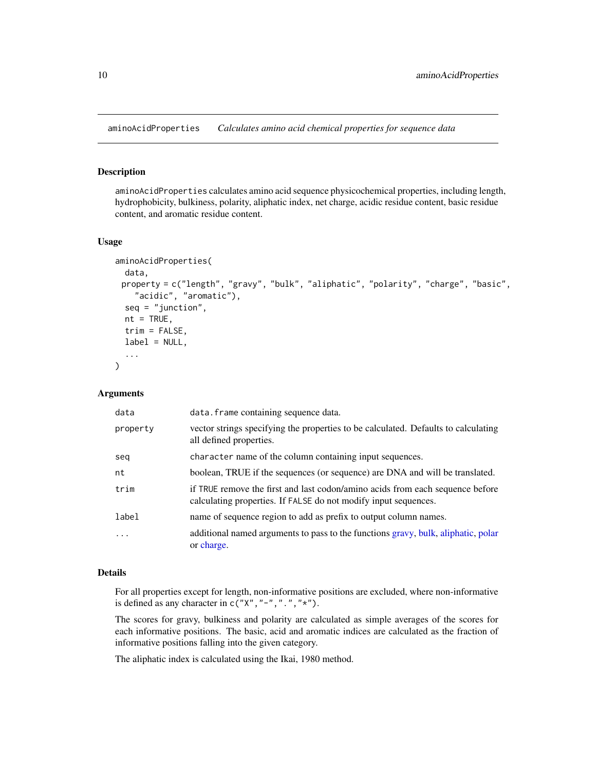<span id="page-9-1"></span><span id="page-9-0"></span>aminoAcidProperties *Calculates amino acid chemical properties for sequence data*

#### Description

aminoAcidProperties calculates amino acid sequence physicochemical properties, including length, hydrophobicity, bulkiness, polarity, aliphatic index, net charge, acidic residue content, basic residue content, and aromatic residue content.

#### Usage

```
aminoAcidProperties(
  data,
 property = c("length", "gravy", "bulk", "aliphatic", "polarity", "charge", "basic",
    "acidic", "aromatic"),
  seq = "junction",
 nt = TRUE,trim = FALSE,
  label = NULL,...
)
```
# Arguments

| data      | data. frame containing sequence data.                                                                                                            |
|-----------|--------------------------------------------------------------------------------------------------------------------------------------------------|
| property  | vector strings specifying the properties to be calculated. Defaults to calculating<br>all defined properties.                                    |
| seq       | character name of the column containing input sequences.                                                                                         |
| nt        | boolean, TRUE if the sequences (or sequence) are DNA and will be translated.                                                                     |
| trim      | if TRUE remove the first and last codon/amino acids from each sequence before<br>calculating properties. If FALSE do not modify input sequences. |
| label     | name of sequence region to add as prefix to output column names.                                                                                 |
| $\ddotsc$ | additional named arguments to pass to the functions gravy, bulk, aliphatic, polar<br>or charge.                                                  |

# Details

For all properties except for length, non-informative positions are excluded, where non-informative is defined as any character in  $c("X", "-", "..", "*").$ 

The scores for gravy, bulkiness and polarity are calculated as simple averages of the scores for each informative positions. The basic, acid and aromatic indices are calculated as the fraction of informative positions falling into the given category.

The aliphatic index is calculated using the Ikai, 1980 method.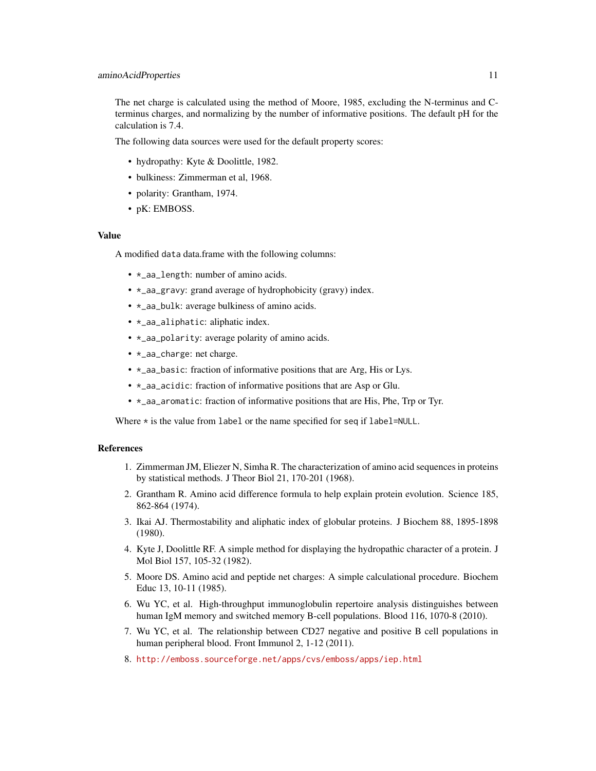#### aminoAcidProperties 11

The net charge is calculated using the method of Moore, 1985, excluding the N-terminus and Cterminus charges, and normalizing by the number of informative positions. The default pH for the calculation is 7.4.

The following data sources were used for the default property scores:

- hydropathy: Kyte & Doolittle, 1982.
- bulkiness: Zimmerman et al, 1968.
- polarity: Grantham, 1974.
- pK: EMBOSS.

#### Value

A modified data data.frame with the following columns:

- \*\_aa\_length: number of amino acids.
- \*\_aa\_gravy: grand average of hydrophobicity (gravy) index.
- \*\_aa\_bulk: average bulkiness of amino acids.
- \*\_aa\_aliphatic: aliphatic index.
- \*\_aa\_polarity: average polarity of amino acids.
- \*\_aa\_charge: net charge.
- \*\_aa\_basic: fraction of informative positions that are Arg, His or Lys.
- \*\_aa\_acidic: fraction of informative positions that are Asp or Glu.
- \*\_aa\_aromatic: fraction of informative positions that are His, Phe, Trp or Tyr.

Where  $*$  is the value from label or the name specified for seq if label=NULL.

#### References

- 1. Zimmerman JM, Eliezer N, Simha R. The characterization of amino acid sequences in proteins by statistical methods. J Theor Biol 21, 170-201 (1968).
- 2. Grantham R. Amino acid difference formula to help explain protein evolution. Science 185, 862-864 (1974).
- 3. Ikai AJ. Thermostability and aliphatic index of globular proteins. J Biochem 88, 1895-1898 (1980).
- 4. Kyte J, Doolittle RF. A simple method for displaying the hydropathic character of a protein. J Mol Biol 157, 105-32 (1982).
- 5. Moore DS. Amino acid and peptide net charges: A simple calculational procedure. Biochem Educ 13, 10-11 (1985).
- 6. Wu YC, et al. High-throughput immunoglobulin repertoire analysis distinguishes between human IgM memory and switched memory B-cell populations. Blood 116, 1070-8 (2010).
- 7. Wu YC, et al. The relationship between CD27 negative and positive B cell populations in human peripheral blood. Front Immunol 2, 1-12 (2011).
- 8. <http://emboss.sourceforge.net/apps/cvs/emboss/apps/iep.html>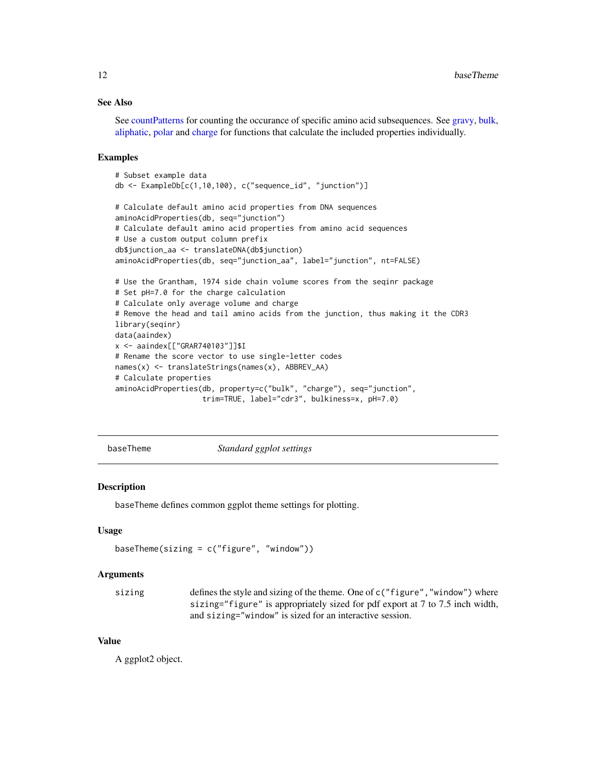# <span id="page-11-0"></span>See Also

See [countPatterns](#page-26-1) for counting the occurance of specific amino acid subsequences. See [gravy,](#page-45-1) [bulk,](#page-14-1) [aliphatic,](#page-6-1) [polar](#page-74-1) and [charge](#page-18-1) for functions that calculate the included properties individually.

#### Examples

```
# Subset example data
db <- ExampleDb[c(1,10,100), c("sequence_id", "junction")]
# Calculate default amino acid properties from DNA sequences
aminoAcidProperties(db, seq="junction")
# Calculate default amino acid properties from amino acid sequences
# Use a custom output column prefix
db$junction_aa <- translateDNA(db$junction)
aminoAcidProperties(db, seq="junction_aa", label="junction", nt=FALSE)
# Use the Grantham, 1974 side chain volume scores from the seqinr package
# Set pH=7.0 for the charge calculation
# Calculate only average volume and charge
# Remove the head and tail amino acids from the junction, thus making it the CDR3
library(seqinr)
data(aaindex)
x <- aaindex[["GRAR740103"]]$I
# Rename the score vector to use single-letter codes
names(x) <- translateStrings(names(x), ABBREV_AA)
# Calculate properties
aminoAcidProperties(db, property=c("bulk", "charge"), seq="junction",
                    trim=TRUE, label="cdr3", bulkiness=x, pH=7.0)
```
baseTheme *Standard ggplot settings*

#### Description

baseTheme defines common ggplot theme settings for plotting.

#### Usage

```
baseTheme(sizing = c("figure", "window"))
```
#### Arguments

| sizing | defines the style and sizing of the theme. One of c ("figure", "window") where |
|--------|--------------------------------------------------------------------------------|
|        | sizing="figure" is appropriately sized for pdf export at 7 to 7.5 inch width,  |
|        | and sizing="window" is sized for an interactive session.                       |

# Value

A ggplot2 object.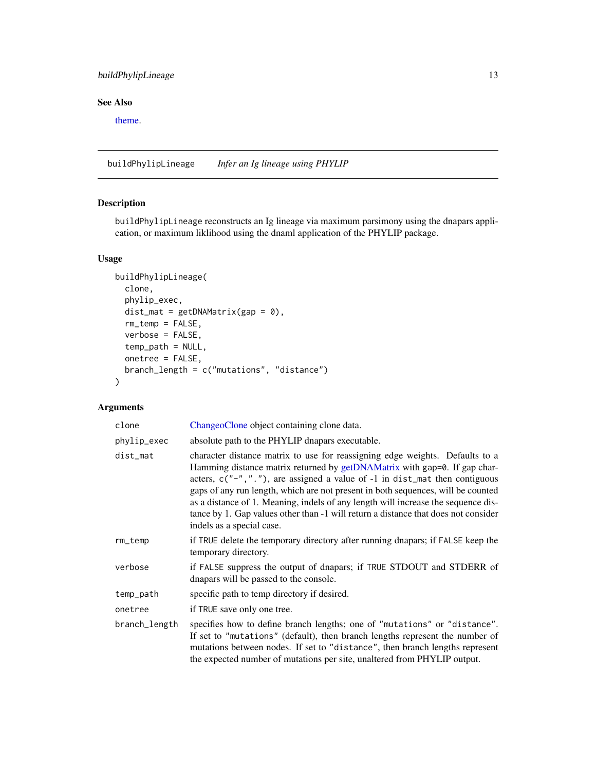# <span id="page-12-0"></span>buildPhylipLineage 13

# See Also

[theme.](#page-0-0)

<span id="page-12-1"></span>buildPhylipLineage *Infer an Ig lineage using PHYLIP*

# Description

buildPhylipLineage reconstructs an Ig lineage via maximum parsimony using the dnapars application, or maximum liklihood using the dnaml application of the PHYLIP package.

## Usage

```
buildPhylipLineage(
 clone,
 phylip_exec,
 dist_mat = getDMMatrix(gap = 0),
  rm_temp = FALSE,
 verbose = FALSE,
  temp_path = NULL,
  onetree = FALSE,
 branch_length = c("mutations", "distance")
\mathcal{L}
```
# Arguments

| clone         | ChangeoClone object containing clone data.                                                                                                                                                                                                                                                                                                                                                                                                                                                                                              |
|---------------|-----------------------------------------------------------------------------------------------------------------------------------------------------------------------------------------------------------------------------------------------------------------------------------------------------------------------------------------------------------------------------------------------------------------------------------------------------------------------------------------------------------------------------------------|
| phylip_exec   | absolute path to the PHYLIP dnapars executable.                                                                                                                                                                                                                                                                                                                                                                                                                                                                                         |
| dist_mat      | character distance matrix to use for reassigning edge weights. Defaults to a<br>Hamming distance matrix returned by getDNAMatrix with gap=0. If gap char-<br>acters, $c("--",".")$ , are assigned a value of -1 in dist_mat then contiguous<br>gaps of any run length, which are not present in both sequences, will be counted<br>as a distance of 1. Meaning, indels of any length will increase the sequence dis-<br>tance by 1. Gap values other than -1 will return a distance that does not consider<br>indels as a special case. |
| rm_temp       | if TRUE delete the temporary directory after running dnapars; if FALSE keep the<br>temporary directory.                                                                                                                                                                                                                                                                                                                                                                                                                                 |
| verbose       | if FALSE suppress the output of dnapars; if TRUE STDOUT and STDERR of<br>dnapars will be passed to the console.                                                                                                                                                                                                                                                                                                                                                                                                                         |
| temp_path     | specific path to temp directory if desired.                                                                                                                                                                                                                                                                                                                                                                                                                                                                                             |
| onetree       | if TRUE save only one tree.                                                                                                                                                                                                                                                                                                                                                                                                                                                                                                             |
| branch_length | specifies how to define branch lengths; one of "mutations" or "distance".<br>If set to "mutations" (default), then branch lengths represent the number of<br>mutations between nodes. If set to "distance", then branch lengths represent<br>the expected number of mutations per site, unaltered from PHYLIP output.                                                                                                                                                                                                                   |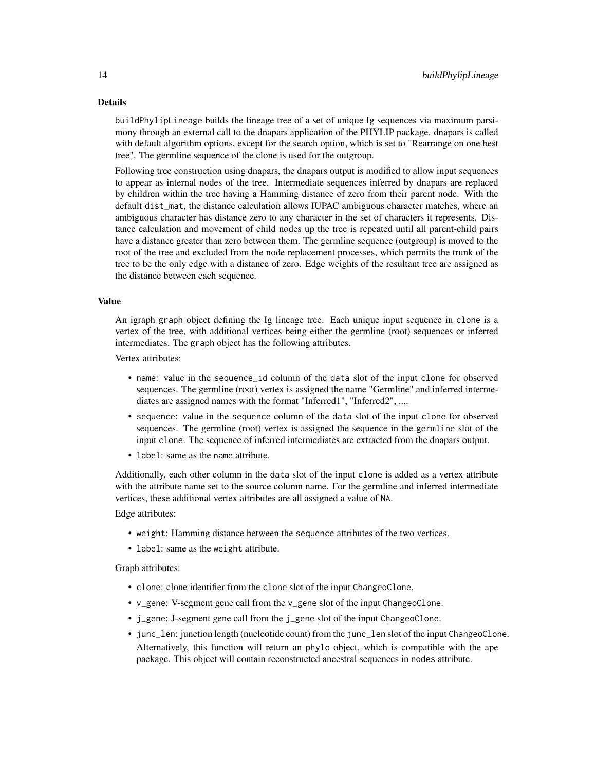#### Details

buildPhylipLineage builds the lineage tree of a set of unique Ig sequences via maximum parsimony through an external call to the dnapars application of the PHYLIP package. dnapars is called with default algorithm options, except for the search option, which is set to "Rearrange on one best tree". The germline sequence of the clone is used for the outgroup.

Following tree construction using dnapars, the dnapars output is modified to allow input sequences to appear as internal nodes of the tree. Intermediate sequences inferred by dnapars are replaced by children within the tree having a Hamming distance of zero from their parent node. With the default dist\_mat, the distance calculation allows IUPAC ambiguous character matches, where an ambiguous character has distance zero to any character in the set of characters it represents. Distance calculation and movement of child nodes up the tree is repeated until all parent-child pairs have a distance greater than zero between them. The germline sequence (outgroup) is moved to the root of the tree and excluded from the node replacement processes, which permits the trunk of the tree to be the only edge with a distance of zero. Edge weights of the resultant tree are assigned as the distance between each sequence.

#### Value

An igraph graph object defining the Ig lineage tree. Each unique input sequence in clone is a vertex of the tree, with additional vertices being either the germline (root) sequences or inferred intermediates. The graph object has the following attributes.

Vertex attributes:

- name: value in the sequence\_id column of the data slot of the input clone for observed sequences. The germline (root) vertex is assigned the name "Germline" and inferred intermediates are assigned names with the format "Inferred1", "Inferred2", ....
- sequence: value in the sequence column of the data slot of the input clone for observed sequences. The germline (root) vertex is assigned the sequence in the germline slot of the input clone. The sequence of inferred intermediates are extracted from the dnapars output.
- label: same as the name attribute.

Additionally, each other column in the data slot of the input clone is added as a vertex attribute with the attribute name set to the source column name. For the germline and inferred intermediate vertices, these additional vertex attributes are all assigned a value of NA.

Edge attributes:

- weight: Hamming distance between the sequence attributes of the two vertices.
- label: same as the weight attribute.

Graph attributes:

- clone: clone identifier from the clone slot of the input ChangeoClone.
- v\_gene: V-segment gene call from the v\_gene slot of the input ChangeoClone.
- j\_gene: J-segment gene call from the j\_gene slot of the input ChangeoClone.
- junc\_len: junction length (nucleotide count) from the junc\_len slot of the input ChangeoClone. Alternatively, this function will return an phylo object, which is compatible with the ape package. This object will contain reconstructed ancestral sequences in nodes attribute.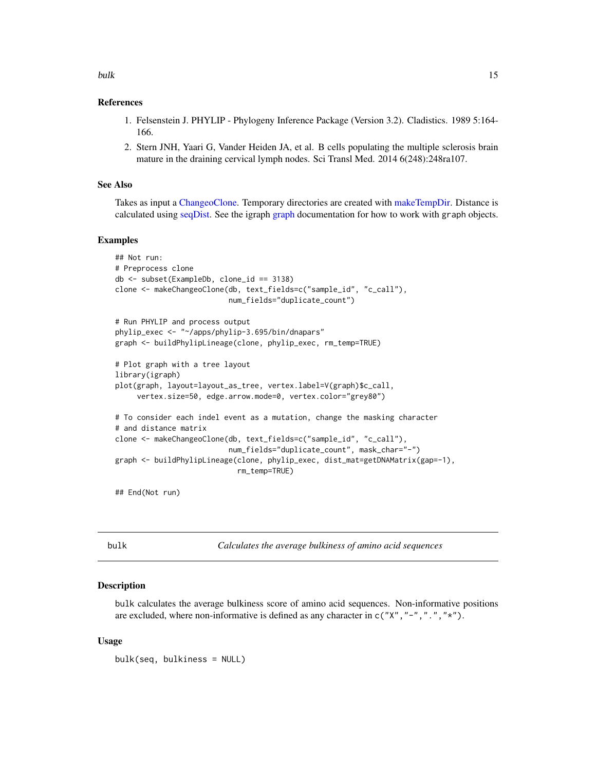<span id="page-14-0"></span>bulk the contract of the contract of the contract of the contract of the contract of the contract of the contract of the contract of the contract of the contract of the contract of the contract of the contract of the contr

#### References

- 1. Felsenstein J. PHYLIP Phylogeny Inference Package (Version 3.2). Cladistics. 1989 5:164- 166.
- 2. Stern JNH, Yaari G, Vander Heiden JA, et al. B cells populating the multiple sclerosis brain mature in the draining cervical lymph nodes. Sci Transl Med. 2014 6(248):248ra107.

# See Also

Takes as input a [ChangeoClone.](#page-17-1) Temporary directories are created with [makeTempDir.](#page-55-1) Distance is calculated using [seqDist.](#page-82-1) See the igraph [graph](#page-0-0) documentation for how to work with graph objects.

#### Examples

```
## Not run:
# Preprocess clone
db <- subset(ExampleDb, clone_id == 3138)
clone <- makeChangeoClone(db, text_fields=c("sample_id", "c_call"),
                          num_fields="duplicate_count")
# Run PHYLIP and process output
phylip_exec <- "~/apps/phylip-3.695/bin/dnapars"
graph <- buildPhylipLineage(clone, phylip_exec, rm_temp=TRUE)
# Plot graph with a tree layout
library(igraph)
plot(graph, layout=layout_as_tree, vertex.label=V(graph)$c_call,
     vertex.size=50, edge.arrow.mode=0, vertex.color="grey80")
# To consider each indel event as a mutation, change the masking character
# and distance matrix
clone <- makeChangeoClone(db, text_fields=c("sample_id", "c_call"),
                          num_fields="duplicate_count", mask_char="-")
graph <- buildPhylipLineage(clone, phylip_exec, dist_mat=getDNAMatrix(gap=-1),
                            rm_temp=TRUE)
```
## End(Not run)

<span id="page-14-1"></span>bulk *Calculates the average bulkiness of amino acid sequences*

#### **Description**

bulk calculates the average bulkiness score of amino acid sequences. Non-informative positions are excluded, where non-informative is defined as any character in  $c("X", "-"", "." "," "*)$ .

#### Usage

bulk(seq, bulkiness = NULL)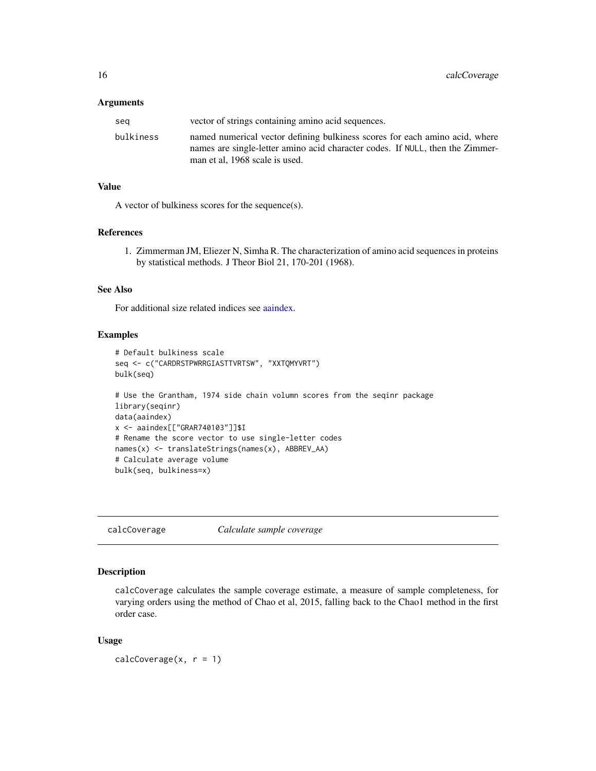# <span id="page-15-0"></span>Arguments

| sea       | vector of strings containing amino acid sequences.                            |
|-----------|-------------------------------------------------------------------------------|
| bulkiness | named numerical vector defining bulkiness scores for each amino acid, where   |
|           | names are single-letter amino acid character codes. If NULL, then the Zimmer- |
|           | man et al. 1968 scale is used.                                                |

# Value

A vector of bulkiness scores for the sequence(s).

# References

1. Zimmerman JM, Eliezer N, Simha R. The characterization of amino acid sequences in proteins by statistical methods. J Theor Biol 21, 170-201 (1968).

# See Also

For additional size related indices see [aaindex.](#page-0-0)

# Examples

```
# Default bulkiness scale
seq <- c("CARDRSTPWRRGIASTTVRTSW", "XXTQMYVRT")
bulk(seq)
# Use the Grantham, 1974 side chain volumn scores from the seqinr package
library(seqinr)
data(aaindex)
x <- aaindex[["GRAR740103"]]$I
# Rename the score vector to use single-letter codes
names(x) <- translateStrings(names(x), ABBREV_AA)
# Calculate average volume
bulk(seq, bulkiness=x)
```
calcCoverage *Calculate sample coverage*

# Description

calcCoverage calculates the sample coverage estimate, a measure of sample completeness, for varying orders using the method of Chao et al, 2015, falling back to the Chao1 method in the first order case.

#### Usage

 $calcCoverage(x, r = 1)$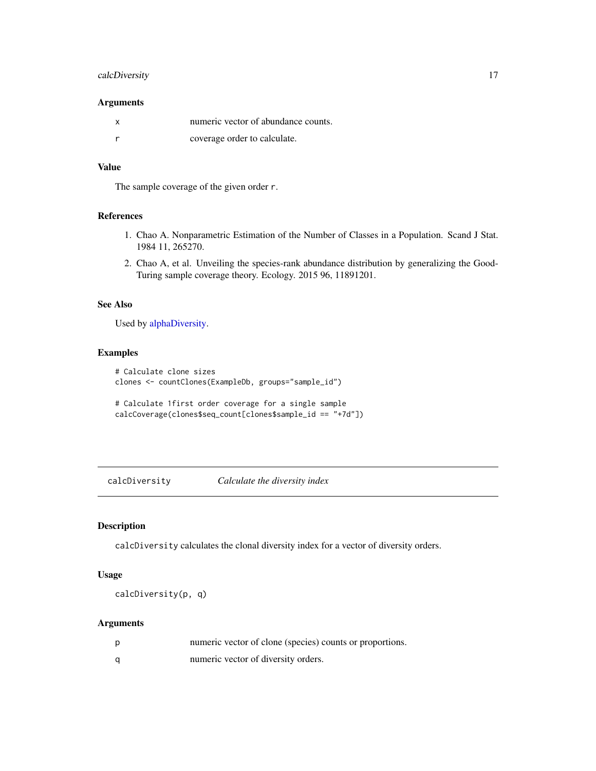# <span id="page-16-0"></span>calcDiversity 17

#### Arguments

| X | numeric vector of abundance counts. |
|---|-------------------------------------|
|   | coverage order to calculate.        |

# Value

The sample coverage of the given order r.

# References

- 1. Chao A. Nonparametric Estimation of the Number of Classes in a Population. Scand J Stat. 1984 11, 265270.
- 2. Chao A, et al. Unveiling the species-rank abundance distribution by generalizing the Good-Turing sample coverage theory. Ecology. 2015 96, 11891201.

# See Also

Used by [alphaDiversity.](#page-7-1)

# Examples

```
# Calculate clone sizes
clones <- countClones(ExampleDb, groups="sample_id")
```

```
# Calculate 1first order coverage for a single sample
calcCoverage(clones$seq_count[clones$sample_id == "+7d"])
```
<span id="page-16-1"></span>calcDiversity *Calculate the diversity index*

#### Description

calcDiversity calculates the clonal diversity index for a vector of diversity orders.

#### Usage

calcDiversity(p, q)

#### Arguments

| numeric vector of clone (species) counts or proportions. |
|----------------------------------------------------------|
| numeric vector of diversity orders.                      |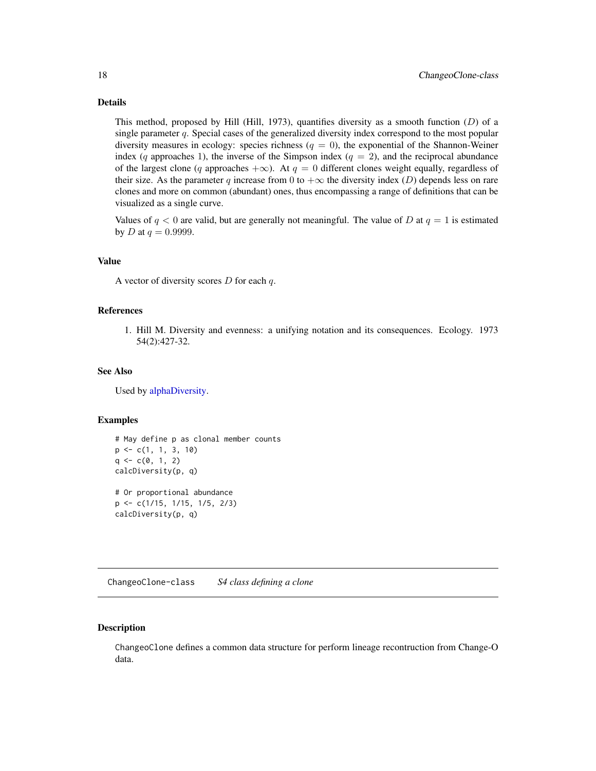# <span id="page-17-0"></span>Details

This method, proposed by Hill (Hill, 1973), quantifies diversity as a smooth function  $(D)$  of a single parameter q. Special cases of the generalized diversity index correspond to the most popular diversity measures in ecology: species richness  $(q = 0)$ , the exponential of the Shannon-Weiner index (q approaches 1), the inverse of the Simpson index ( $q = 2$ ), and the reciprocal abundance of the largest clone (q approaches  $+\infty$ ). At  $q = 0$  different clones weight equally, regardless of their size. As the parameter q increase from 0 to  $+\infty$  the diversity index (D) depends less on rare clones and more on common (abundant) ones, thus encompassing a range of definitions that can be visualized as a single curve.

Values of  $q < 0$  are valid, but are generally not meaningful. The value of D at  $q = 1$  is estimated by *D* at  $q = 0.9999$ .

#### Value

A vector of diversity scores  $D$  for each  $q$ .

#### References

1. Hill M. Diversity and evenness: a unifying notation and its consequences. Ecology. 1973 54(2):427-32.

#### See Also

Used by [alphaDiversity.](#page-7-1)

#### Examples

```
# May define p as clonal member counts
p <- c(1, 1, 3, 10)
q \leftarrow c(\emptyset, 1, 2)calcDiversity(p, q)
# Or proportional abundance
p <- c(1/15, 1/15, 1/5, 2/3)
```

```
calcDiversity(p, q)
```
ChangeoClone-class *S4 class defining a clone*

# <span id="page-17-1"></span>**Description**

ChangeoClone defines a common data structure for perform lineage recontruction from Change-O data.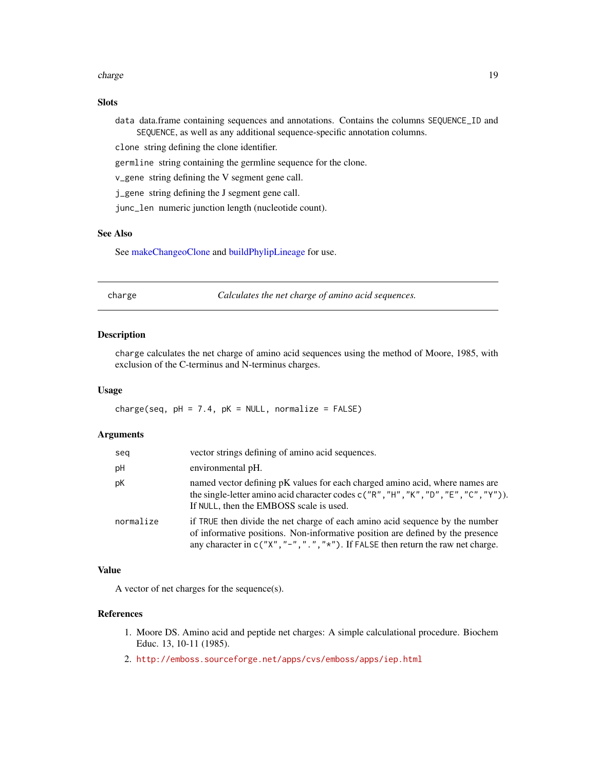#### <span id="page-18-0"></span>charge the charge that the charge the charge of the charge  $19$

# Slots

data data.frame containing sequences and annotations. Contains the columns SEQUENCE\_ID and SEQUENCE, as well as any additional sequence-specific annotation columns.

clone string defining the clone identifier.

germline string containing the germline sequence for the clone.

v\_gene string defining the V segment gene call.

j\_gene string defining the J segment gene call.

junc\_len numeric junction length (nucleotide count).

# See Also

See [makeChangeoClone](#page-52-1) and [buildPhylipLineage](#page-12-1) for use.

<span id="page-18-1"></span>

| nar | c |
|-----|---|
|-----|---|

e *Calculates the net charge of amino acid sequences.* 

# Description

charge calculates the net charge of amino acid sequences using the method of Moore, 1985, with exclusion of the C-terminus and N-terminus charges.

#### Usage

charge(seq,  $pH = 7.4$ ,  $pK = NULL$ , normalize = FALSE)

#### Arguments

| seq       | vector strings defining of amino acid sequences.                                                                                                                                                                                                      |
|-----------|-------------------------------------------------------------------------------------------------------------------------------------------------------------------------------------------------------------------------------------------------------|
| рH        | environmental pH.                                                                                                                                                                                                                                     |
| рK        | named vector defining pK values for each charged amino acid, where names are<br>the single-letter amino acid character codes $c("R", "H", "K", "D", "E", "C", "Y"))$ .<br>If NULL, then the EMBOSS scale is used.                                     |
| normalize | if TRUE then divide the net charge of each amino acid sequence by the number<br>of informative positions. Non-informative position are defined by the presence<br>any character in $c("X", "-", "."," "*)$ . If FALSE then return the raw net charge. |

#### Value

A vector of net charges for the sequence(s).

#### References

- 1. Moore DS. Amino acid and peptide net charges: A simple calculational procedure. Biochem Educ. 13, 10-11 (1985).
- 2. <http://emboss.sourceforge.net/apps/cvs/emboss/apps/iep.html>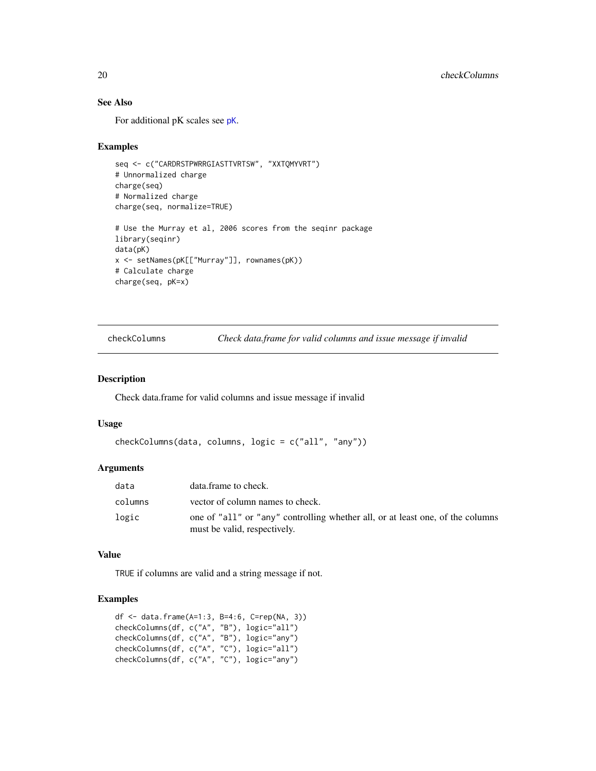# See Also

For additional pK scales see [pK](#page-0-0).

#### Examples

```
seq <- c("CARDRSTPWRRGIASTTVRTSW", "XXTQMYVRT")
# Unnormalized charge
charge(seq)
# Normalized charge
charge(seq, normalize=TRUE)
# Use the Murray et al, 2006 scores from the seqinr package
library(seqinr)
data(pK)
x <- setNames(pK[["Murray"]], rownames(pK))
# Calculate charge
charge(seq, pK=x)
```
checkColumns *Check data.frame for valid columns and issue message if invalid*

## Description

Check data.frame for valid columns and issue message if invalid

#### Usage

```
checkColumns(data, columns, logic = c("all", "any"))
```
#### Arguments

| data    | data.frame to check.                                                                                           |
|---------|----------------------------------------------------------------------------------------------------------------|
| columns | vector of column names to check.                                                                               |
| logic   | one of "all" or "any" controlling whether all, or at least one, of the columns<br>must be valid, respectively. |

#### Value

TRUE if columns are valid and a string message if not.

# Examples

```
df <- data.frame(A=1:3, B=4:6, C=rep(NA, 3))
checkColumns(df, c("A", "B"), logic="all")
checkColumns(df, c("A", "B"), logic="any")
checkColumns(df, c("A", "C"), logic="all")
checkColumns(df, c("A", "C"), logic="any")
```
<span id="page-19-0"></span>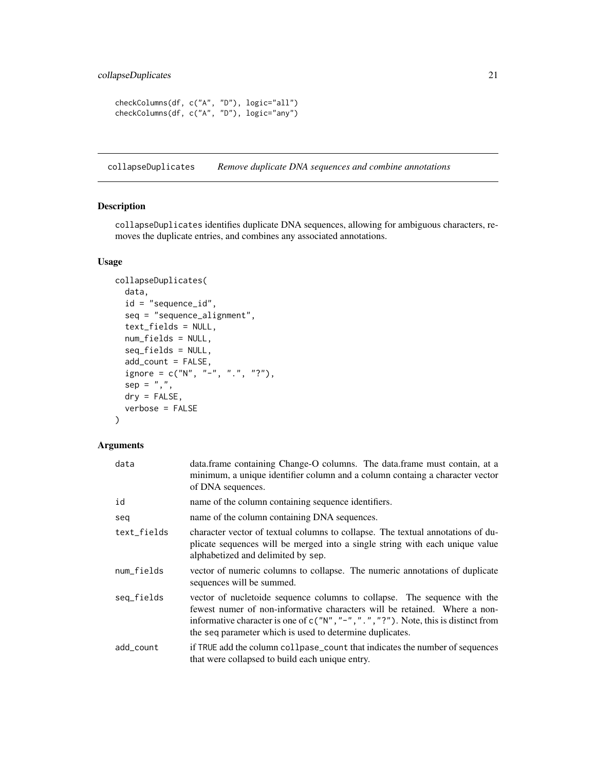```
checkColumns(df, c("A", "D"), logic="all")
checkColumns(df, c("A", "D"), logic="any")
```
<span id="page-20-1"></span>collapseDuplicates *Remove duplicate DNA sequences and combine annotations*

# Description

collapseDuplicates identifies duplicate DNA sequences, allowing for ambiguous characters, removes the duplicate entries, and combines any associated annotations.

# Usage

```
collapseDuplicates(
  data,
  id = "sequence_id",
  seq = "sequence_alignment",
  text_fields = NULL,
  num_fields = NULL,
  seq_fields = NULL,
  add_count = FALSE,
  ignore = c("N", "-"", "."", "?"),sep = ","dry = FALSE,
  verbose = FALSE
\mathcal{L}
```
# Arguments

| data        | data.frame containing Change-O columns. The data.frame must contain, at a<br>minimum, a unique identifier column and a column containg a character vector<br>of DNA sequences.                                                                                                                              |
|-------------|-------------------------------------------------------------------------------------------------------------------------------------------------------------------------------------------------------------------------------------------------------------------------------------------------------------|
| id          | name of the column containing sequence identifiers.                                                                                                                                                                                                                                                         |
| seq         | name of the column containing DNA sequences.                                                                                                                                                                                                                                                                |
| text_fields | character vector of textual columns to collapse. The textual annotations of du-<br>plicate sequences will be merged into a single string with each unique value<br>alphabetized and delimited by sep.                                                                                                       |
| num_fields  | vector of numeric columns to collapse. The numeric annotations of duplicate<br>sequences will be summed.                                                                                                                                                                                                    |
| seq_fields  | vector of nucletoide sequence columns to collapse. The sequence with the<br>fewest numer of non-informative characters will be retained. Where a non-<br>informative character is one of $c("N", "-", "."," "?")$ . Note, this is distinct from<br>the seq parameter which is used to determine duplicates. |
| add_count   | if TRUE add the column collpase_count that indicates the number of sequences<br>that were collapsed to build each unique entry.                                                                                                                                                                             |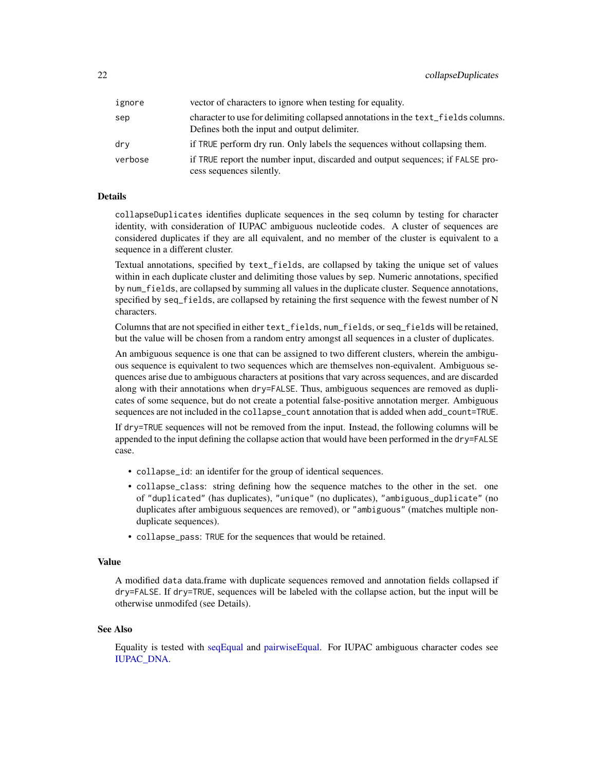| ignore  | vector of characters to ignore when testing for equality.                                                                         |
|---------|-----------------------------------------------------------------------------------------------------------------------------------|
| sep     | character to use for delimiting collapsed annotations in the text fields columns.<br>Defines both the input and output delimiter. |
| dry     | if TRUE perform dry run. Only labels the sequences without collapsing them.                                                       |
| verbose | if TRUE report the number input, discarded and output sequences; if FALSE pro-<br>cess sequences silently.                        |

### Details

collapseDuplicates identifies duplicate sequences in the seq column by testing for character identity, with consideration of IUPAC ambiguous nucleotide codes. A cluster of sequences are considered duplicates if they are all equivalent, and no member of the cluster is equivalent to a sequence in a different cluster.

Textual annotations, specified by text\_fields, are collapsed by taking the unique set of values within in each duplicate cluster and delimiting those values by sep. Numeric annotations, specified by num\_fields, are collapsed by summing all values in the duplicate cluster. Sequence annotations, specified by seq\_fields, are collapsed by retaining the first sequence with the fewest number of N characters.

Columns that are not specified in either text\_fields, num\_fields, or seq\_fields will be retained, but the value will be chosen from a random entry amongst all sequences in a cluster of duplicates.

An ambiguous sequence is one that can be assigned to two different clusters, wherein the ambiguous sequence is equivalent to two sequences which are themselves non-equivalent. Ambiguous sequences arise due to ambiguous characters at positions that vary across sequences, and are discarded along with their annotations when dry=FALSE. Thus, ambiguous sequences are removed as duplicates of some sequence, but do not create a potential false-positive annotation merger. Ambiguous sequences are not included in the collapse\_count annotation that is added when add\_count=TRUE.

If dry=TRUE sequences will not be removed from the input. Instead, the following columns will be appended to the input defining the collapse action that would have been performed in the dry=FALSE case.

- collapse\_id: an identifer for the group of identical sequences.
- collapse\_class: string defining how the sequence matches to the other in the set. one of "duplicated" (has duplicates), "unique" (no duplicates), "ambiguous\_duplicate" (no duplicates after ambiguous sequences are removed), or "ambiguous" (matches multiple nonduplicate sequences).
- collapse\_pass: TRUE for the sequences that would be retained.

# Value

A modified data data.frame with duplicate sequences removed and annotation fields collapsed if dry=FALSE. If dry=TRUE, sequences will be labeled with the collapse action, but the input will be otherwise unmodifed (see Details).

#### See Also

Equality is tested with [seqEqual](#page-83-1) and [pairwiseEqual.](#page-63-1) For IUPAC ambiguous character codes see [IUPAC\\_DNA.](#page-50-1)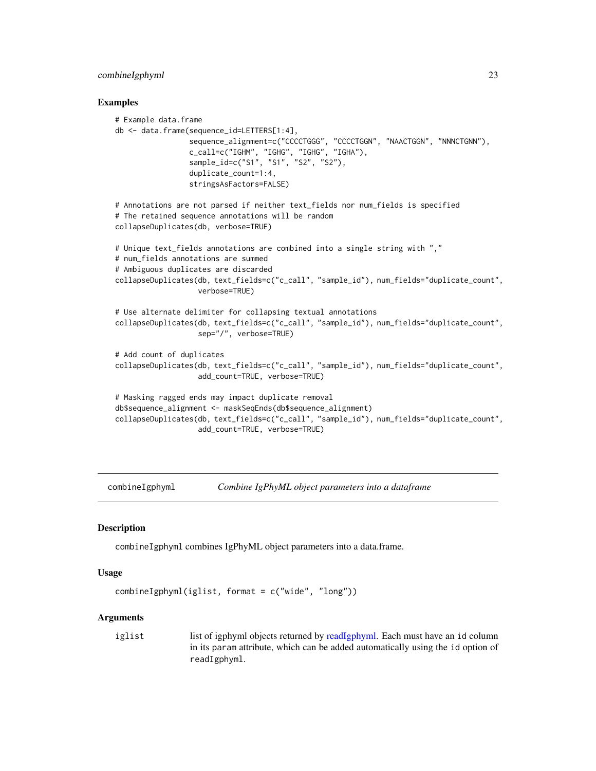# <span id="page-22-0"></span>combineIgphyml 23

#### Examples

```
# Example data.frame
db <- data.frame(sequence_id=LETTERS[1:4],
                 sequence_alignment=c("CCCCTGGG", "CCCCTGGN", "NAACTGGN", "NNNCTGNN"),
                 c_call=c("IGHM", "IGHG", "IGHG", "IGHA"),
                 sample_id=c("S1", "S1", "S2", "S2"),
                 duplicate_count=1:4,
                 stringsAsFactors=FALSE)
# Annotations are not parsed if neither text_fields nor num_fields is specified
# The retained sequence annotations will be random
collapseDuplicates(db, verbose=TRUE)
# Unique text_fields annotations are combined into a single string with ","
# num_fields annotations are summed
# Ambiguous duplicates are discarded
collapseDuplicates(db, text_fields=c("c_call", "sample_id"), num_fields="duplicate_count",
                   verbose=TRUE)
# Use alternate delimiter for collapsing textual annotations
collapseDuplicates(db, text_fields=c("c_call", "sample_id"), num_fields="duplicate_count",
                   sep="/", verbose=TRUE)
# Add count of duplicates
collapseDuplicates(db, text_fields=c("c_call", "sample_id"), num_fields="duplicate_count",
                   add_count=TRUE, verbose=TRUE)
# Masking ragged ends may impact duplicate removal
db$sequence_alignment <- maskSeqEnds(db$sequence_alignment)
collapseDuplicates(db, text_fields=c("c_call", "sample_id"), num_fields="duplicate_count",
                   add_count=TRUE, verbose=TRUE)
```
combineIgphyml *Combine IgPhyML object parameters into a dataframe*

#### **Description**

combineIgphyml combines IgPhyML object parameters into a data.frame.

#### Usage

```
combineIgphyml(iglist, format = c("wide", "long"))
```
#### Arguments

iglist list of igphyml objects returned by [readIgphyml.](#page-80-1) Each must have an id column in its param attribute, which can be added automatically using the id option of readIgphyml.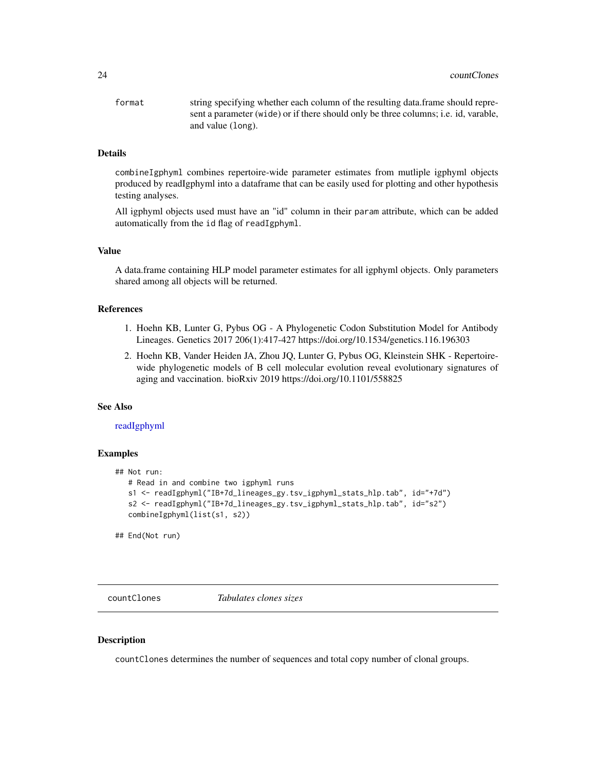<span id="page-23-0"></span>format string specifying whether each column of the resulting data.frame should represent a parameter (wide) or if there should only be three columns; i.e. id, varable, and value (long).

# Details

combineIgphyml combines repertoire-wide parameter estimates from mutliple igphyml objects produced by readIgphyml into a dataframe that can be easily used for plotting and other hypothesis testing analyses.

All igphyml objects used must have an "id" column in their param attribute, which can be added automatically from the id flag of readIgphyml.

# Value

A data.frame containing HLP model parameter estimates for all igphyml objects. Only parameters shared among all objects will be returned.

#### References

- 1. Hoehn KB, Lunter G, Pybus OG A Phylogenetic Codon Substitution Model for Antibody Lineages. Genetics 2017 206(1):417-427 https://doi.org/10.1534/genetics.116.196303
- 2. Hoehn KB, Vander Heiden JA, Zhou JQ, Lunter G, Pybus OG, Kleinstein SHK Repertoirewide phylogenetic models of B cell molecular evolution reveal evolutionary signatures of aging and vaccination. bioRxiv 2019 https://doi.org/10.1101/558825

# See Also

[readIgphyml](#page-80-1)

#### Examples

```
## Not run:
  # Read in and combine two igphyml runs
   s1 <- readIgphyml("IB+7d_lineages_gy.tsv_igphyml_stats_hlp.tab", id="+7d")
   s2 <- readIgphyml("IB+7d_lineages_gy.tsv_igphyml_stats_hlp.tab", id="s2")
   combineIgphyml(list(s1, s2))
```
## End(Not run)

<span id="page-23-1"></span>countClones *Tabulates clones sizes*

#### Description

countClones determines the number of sequences and total copy number of clonal groups.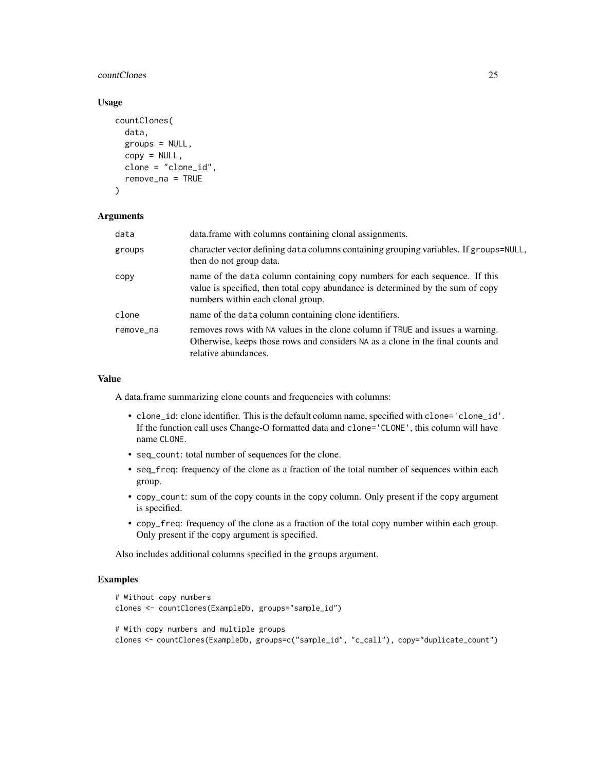#### countClones 25

# Usage

```
countClones(
  data,
  groups = NULL,
  copy = NULL,clone = "clone_id",
  remove_na = TRUE
)
```
## Arguments

| data      | data. frame with columns containing clonal assignments.                                                                                                                                           |
|-----------|---------------------------------------------------------------------------------------------------------------------------------------------------------------------------------------------------|
| groups    | character vector defining data columns containing grouping variables. If groups=NULL,<br>then do not group data.                                                                                  |
| copy      | name of the data column containing copy numbers for each sequence. If this<br>value is specified, then total copy abundance is determined by the sum of copy<br>numbers within each clonal group. |
| clone     | name of the data column containing clone identifiers.                                                                                                                                             |
| remove_na | removes rows with NA values in the clone column if TRUE and issues a warning.<br>Otherwise, keeps those rows and considers NA as a clone in the final counts and<br>relative abundances.          |

# Value

A data.frame summarizing clone counts and frequencies with columns:

- clone\_id: clone identifier. This is the default column name, specified with clone='clone\_id'. If the function call uses Change-O formatted data and clone='CLONE', this column will have name CLONE.
- seq\_count: total number of sequences for the clone.
- seq\_freq: frequency of the clone as a fraction of the total number of sequences within each group.
- copy\_count: sum of the copy counts in the copy column. Only present if the copy argument is specified.
- copy\_freq: frequency of the clone as a fraction of the total copy number within each group. Only present if the copy argument is specified.

Also includes additional columns specified in the groups argument.

# Examples

```
# Without copy numbers
clones <- countClones(ExampleDb, groups="sample_id")
# With copy numbers and multiple groups
clones <- countClones(ExampleDb, groups=c("sample_id", "c_call"), copy="duplicate_count")
```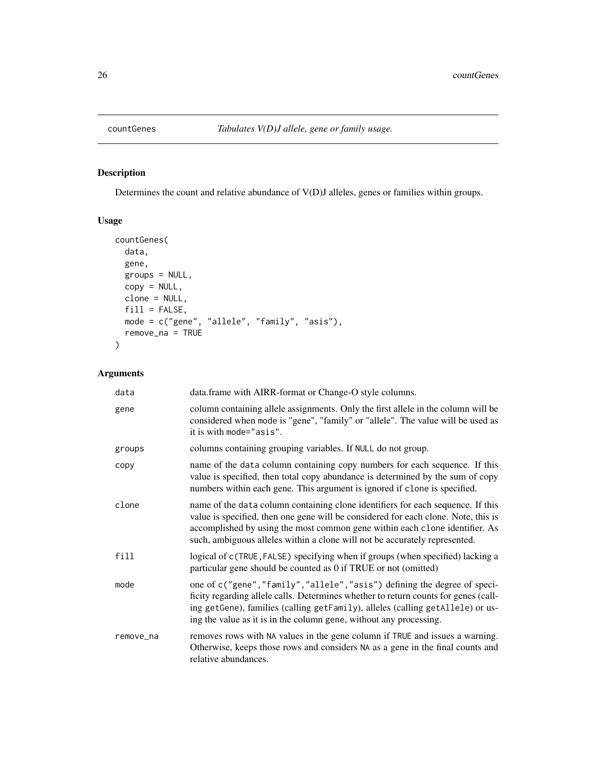<span id="page-25-1"></span><span id="page-25-0"></span>

# Description

Determines the count and relative abundance of V(D)J alleles, genes or families within groups.

# Usage

```
countGenes(
 data,
 gene,
 groups = NULL,
 copy = NULL,clone = NULL,
 fill = FALSE,mode = c("gene", "allele", "family", "asis"),
 remove_na = TRUE
)
```
# Arguments

| data      | data.frame with AIRR-format or Change-O style columns.                                                                                                                                                                                                                                                                             |
|-----------|------------------------------------------------------------------------------------------------------------------------------------------------------------------------------------------------------------------------------------------------------------------------------------------------------------------------------------|
| gene      | column containing allele assignments. Only the first allele in the column will be<br>considered when mode is "gene", "family" or "allele". The value will be used as<br>it is with mode="asis".                                                                                                                                    |
| groups    | columns containing grouping variables. If NULL do not group.                                                                                                                                                                                                                                                                       |
| copy      | name of the data column containing copy numbers for each sequence. If this<br>value is specified, then total copy abundance is determined by the sum of copy<br>numbers within each gene. This argument is ignored if clone is specified.                                                                                          |
| clone     | name of the data column containing clone identifiers for each sequence. If this<br>value is specified, then one gene will be considered for each clone. Note, this is<br>accomplished by using the most common gene within each clone identifier. As<br>such, ambiguous alleles within a clone will not be accurately represented. |
| fill      | logical of c(TRUE, FALSE) specifying when if groups (when specified) lacking a<br>particular gene should be counted as 0 if TRUE or not (omitted)                                                                                                                                                                                  |
| mode      | one of c("gene","family","allele","asis") defining the degree of speci-<br>ficity regarding allele calls. Determines whether to return counts for genes (call-<br>ing getGene), families (calling getFamily), alleles (calling getAllele) or us-<br>ing the value as it is in the column gene, without any processing.             |
| remove_na | removes rows with NA values in the gene column if TRUE and issues a warning.<br>Otherwise, keeps those rows and considers NA as a gene in the final counts and<br>relative abundances.                                                                                                                                             |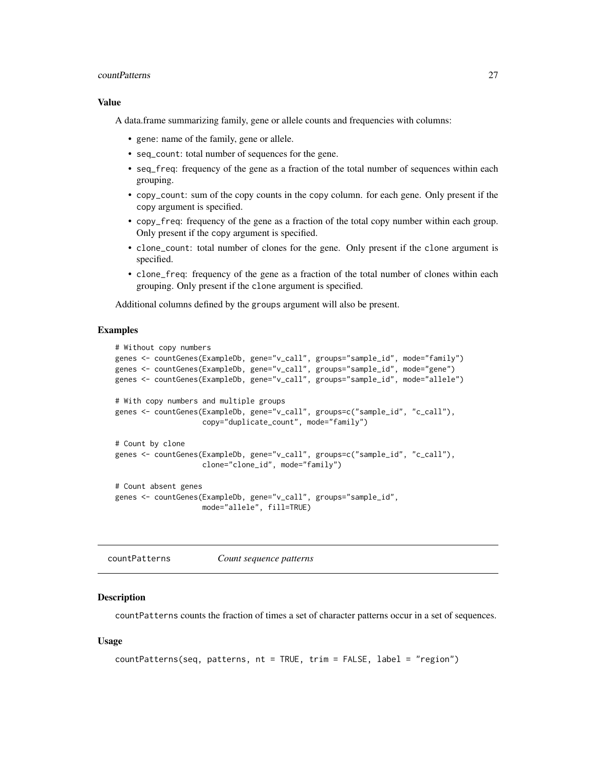#### <span id="page-26-0"></span>countPatterns 27

#### Value

A data.frame summarizing family, gene or allele counts and frequencies with columns:

- gene: name of the family, gene or allele.
- seq\_count: total number of sequences for the gene.
- seq\_freq: frequency of the gene as a fraction of the total number of sequences within each grouping.
- copy\_count: sum of the copy counts in the copy column. for each gene. Only present if the copy argument is specified.
- copy\_freq: frequency of the gene as a fraction of the total copy number within each group. Only present if the copy argument is specified.
- clone\_count: total number of clones for the gene. Only present if the clone argument is specified.
- clone\_freq: frequency of the gene as a fraction of the total number of clones within each grouping. Only present if the clone argument is specified.

Additional columns defined by the groups argument will also be present.

#### Examples

```
# Without copy numbers
genes <- countGenes(ExampleDb, gene="v_call", groups="sample_id", mode="family")
genes <- countGenes(ExampleDb, gene="v_call", groups="sample_id", mode="gene")
genes <- countGenes(ExampleDb, gene="v_call", groups="sample_id", mode="allele")
# With copy numbers and multiple groups
genes <- countGenes(ExampleDb, gene="v_call", groups=c("sample_id", "c_call"),
                   copy="duplicate_count", mode="family")
# Count by clone
genes <- countGenes(ExampleDb, gene="v_call", groups=c("sample_id", "c_call"),
                    clone="clone_id", mode="family")
# Count absent genes
genes <- countGenes(ExampleDb, gene="v_call", groups="sample_id",
                    mode="allele", fill=TRUE)
```
<span id="page-26-1"></span>countPatterns *Count sequence patterns*

#### Description

countPatterns counts the fraction of times a set of character patterns occur in a set of sequences.

#### Usage

```
countPatterns(seq, patterns, nt = TRUE, trim = FALSE, label = "region")
```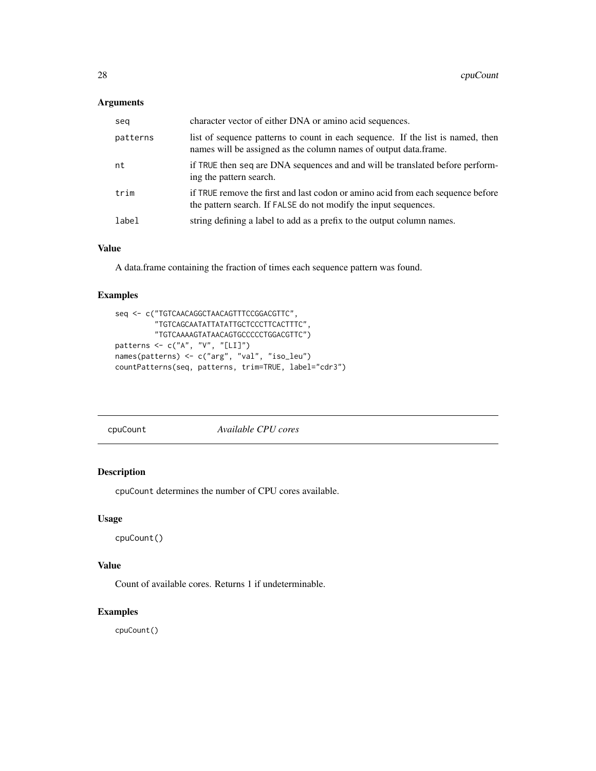# <span id="page-27-0"></span>Arguments

| seg      | character vector of either DNA or amino acid sequences.                                                                                             |
|----------|-----------------------------------------------------------------------------------------------------------------------------------------------------|
| patterns | list of sequence patterns to count in each sequence. If the list is named, then<br>names will be assigned as the column names of output data.frame. |
| nt       | if TRUE then seq are DNA sequences and and will be translated before perform-<br>ing the pattern search.                                            |
| trim     | if TRUE remove the first and last codon or amino acid from each sequence before<br>the pattern search. If FALSE do not modify the input sequences.  |
| label    | string defining a label to add as a prefix to the output column names.                                                                              |

# Value

A data.frame containing the fraction of times each sequence pattern was found.

# Examples

```
seq <- c("TGTCAACAGGCTAACAGTTTCCGGACGTTC",
         "TGTCAGCAATATTATATTGCTCCCTTCACTTTC",
         "TGTCAAAAGTATAACAGTGCCCCCTGGACGTTC")
patterns <- c("A", "V", "[LI]")
names(patterns) <- c("arg", "val", "iso_leu")
countPatterns(seq, patterns, trim=TRUE, label="cdr3")
```

| cpuCount |
|----------|
|          |

```
Available CPU cores
```
# Description

cpuCount determines the number of CPU cores available.

# Usage

cpuCount()

# Value

Count of available cores. Returns 1 if undeterminable.

# Examples

cpuCount()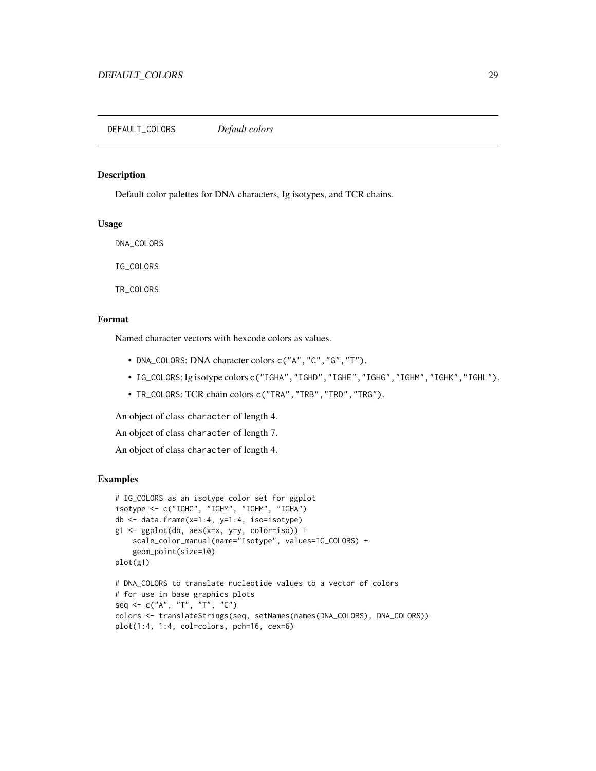<span id="page-28-0"></span>DEFAULT\_COLORS *Default colors*

#### Description

Default color palettes for DNA characters, Ig isotypes, and TCR chains.

# Usage

DNA\_COLORS

IG\_COLORS

TR\_COLORS

# Format

Named character vectors with hexcode colors as values.

- DNA\_COLORS: DNA character colors c("A","C","G","T").
- IG\_COLORS: Ig isotype colors c("IGHA","IGHD","IGHE","IGHG","IGHM","IGHK","IGHL").
- TR\_COLORS: TCR chain colors c("TRA","TRB","TRD","TRG").

An object of class character of length 4.

An object of class character of length 7.

An object of class character of length 4.

# Examples

```
# IG_COLORS as an isotype color set for ggplot
isotype <- c("IGHG", "IGHM", "IGHM", "IGHA")
db <- data.frame(x=1:4, y=1:4, iso=isotype)
g1 <- ggplot(db, aes(x=x, y=y, color=iso)) +
    scale_color_manual(name="Isotype", values=IG_COLORS) +
    geom_point(size=10)
plot(g1)
# DNA_COLORS to translate nucleotide values to a vector of colors
# for use in base graphics plots
seq <- c("A", "T", "T", "C")
colors <- translateStrings(seq, setNames(names(DNA_COLORS), DNA_COLORS))
plot(1:4, 1:4, col=colors, pch=16, cex=6)
```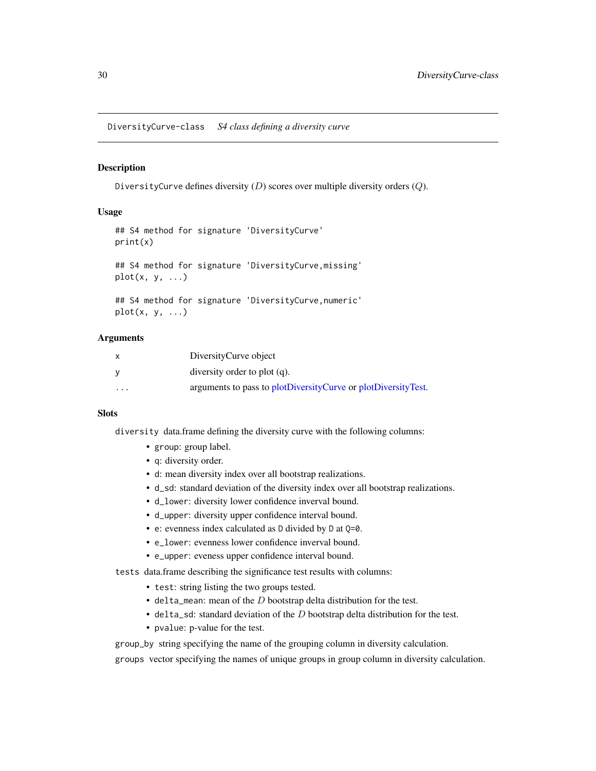<span id="page-29-0"></span>DiversityCurve-class *S4 class defining a diversity curve*

#### <span id="page-29-1"></span>Description

DiversityCurve defines diversity  $(D)$  scores over multiple diversity orders  $(Q)$ .

#### Usage

```
## S4 method for signature 'DiversityCurve'
print(x)
## S4 method for signature 'DiversityCurve,missing'
plot(x, y, ...)
## S4 method for signature 'DiversityCurve,numeric'
plot(x, y, \ldots)
```
# Arguments

| x       | DiversityCurve object                                         |
|---------|---------------------------------------------------------------|
| v       | diversity order to plot $(q)$ .                               |
| $\cdot$ | arguments to pass to plotDiversityCurve or plotDiversityTest. |

# **Slots**

diversity data.frame defining the diversity curve with the following columns:

- group: group label.
- q: diversity order.
- d: mean diversity index over all bootstrap realizations.
- d\_sd: standard deviation of the diversity index over all bootstrap realizations.
- d\_lower: diversity lower confidence inverval bound.
- d\_upper: diversity upper confidence interval bound.
- e: evenness index calculated as D divided by D at Q=0.
- e\_lower: evenness lower confidence inverval bound.
- e\_upper: eveness upper confidence interval bound.

tests data.frame describing the significance test results with columns:

- test: string listing the two groups tested.
- delta\_mean: mean of the  $D$  bootstrap delta distribution for the test.
- delta\_sd: standard deviation of the  $D$  bootstrap delta distribution for the test.
- pvalue: p-value for the test.

group\_by string specifying the name of the grouping column in diversity calculation.

groups vector specifying the names of unique groups in group column in diversity calculation.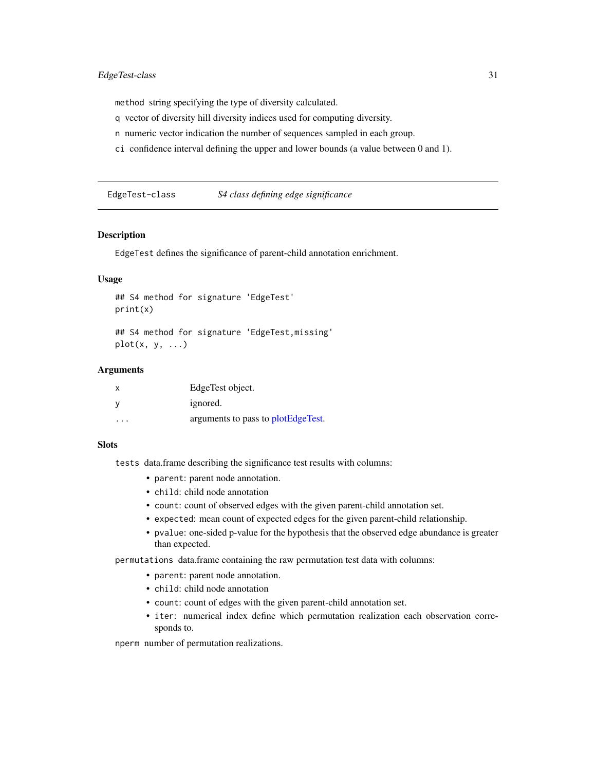<span id="page-30-0"></span>method string specifying the type of diversity calculated.

- q vector of diversity hill diversity indices used for computing diversity.
- n numeric vector indication the number of sequences sampled in each group.
- ci confidence interval defining the upper and lower bounds (a value between 0 and 1).

EdgeTest-class *S4 class defining edge significance*

# Description

EdgeTest defines the significance of parent-child annotation enrichment.

#### Usage

```
## S4 method for signature 'EdgeTest'
print(x)
```
## S4 method for signature 'EdgeTest,missing'  $plot(x, y, \ldots)$ 

#### Arguments

|         | EdgeTest object.                   |
|---------|------------------------------------|
|         | ignored.                           |
| $\cdot$ | arguments to pass to plotEdgeTest. |

#### **Slots**

tests data.frame describing the significance test results with columns:

- parent: parent node annotation.
- child: child node annotation
- count: count of observed edges with the given parent-child annotation set.
- expected: mean count of expected edges for the given parent-child relationship.
- pvalue: one-sided p-value for the hypothesis that the observed edge abundance is greater than expected.

permutations data.frame containing the raw permutation test data with columns:

- parent: parent node annotation.
- child: child node annotation
- count: count of edges with the given parent-child annotation set.
- iter: numerical index define which permutation realization each observation corresponds to.

nperm number of permutation realizations.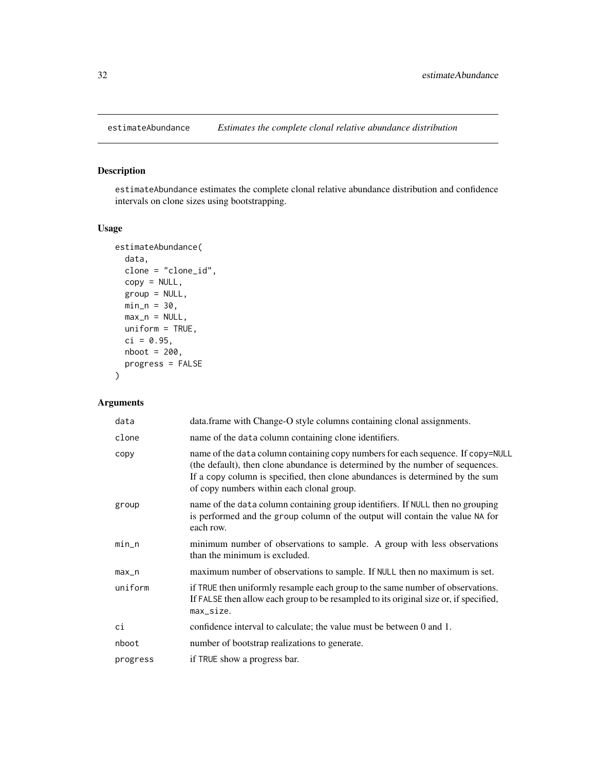<span id="page-31-1"></span><span id="page-31-0"></span>

# Description

estimateAbundance estimates the complete clonal relative abundance distribution and confidence intervals on clone sizes using bootstrapping.

# Usage

```
estimateAbundance(
  data,
  clone = "clone_id",
  copy = NULL,
  group = NULL,
  min_n = 30,
  max_n = NULL,uniform = TRUE,
  ci = 0.95,nboot = 200,progress = FALSE
\mathcal{E}
```
# Arguments

| data     | data. frame with Change-O style columns containing clonal assignments.                                                                                                                                                                                                                         |
|----------|------------------------------------------------------------------------------------------------------------------------------------------------------------------------------------------------------------------------------------------------------------------------------------------------|
| clone    | name of the data column containing clone identifiers.                                                                                                                                                                                                                                          |
| copy     | name of the data column containing copy numbers for each sequence. If copy=NULL<br>(the default), then clone abundance is determined by the number of sequences.<br>If a copy column is specified, then clone abundances is determined by the sum<br>of copy numbers within each clonal group. |
| group    | name of the data column containing group identifiers. If NULL then no grouping<br>is performed and the group column of the output will contain the value NA for<br>each row.                                                                                                                   |
| $min\_n$ | minimum number of observations to sample. A group with less observations<br>than the minimum is excluded.                                                                                                                                                                                      |
| max_n    | maximum number of observations to sample. If NULL then no maximum is set.                                                                                                                                                                                                                      |
| uniform  | if TRUE then uniformly resample each group to the same number of observations.<br>If FALSE then allow each group to be resampled to its original size or, if specified,<br>max_size.                                                                                                           |
| ci       | confidence interval to calculate; the value must be between 0 and 1.                                                                                                                                                                                                                           |
| nboot    | number of bootstrap realizations to generate.                                                                                                                                                                                                                                                  |
| progress | if TRUE show a progress bar.                                                                                                                                                                                                                                                                   |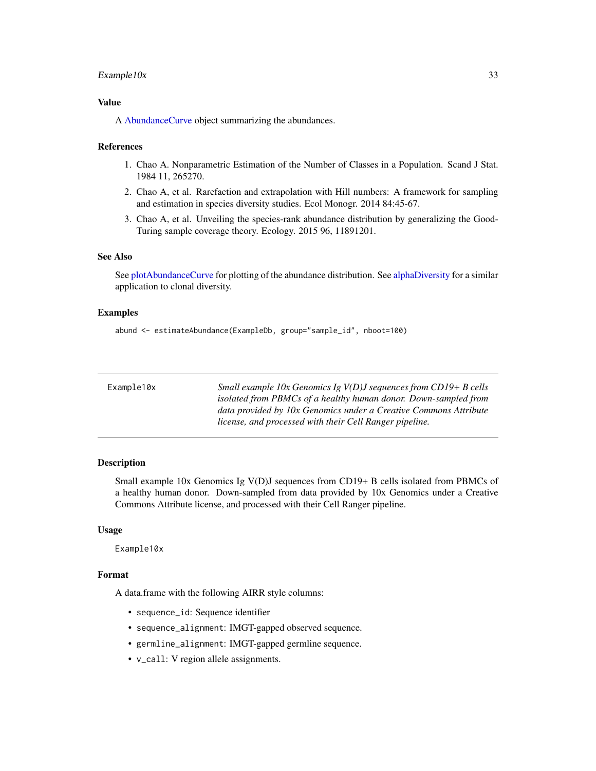# <span id="page-32-0"></span> $Example 10x$  33

# Value

A [AbundanceCurve](#page-3-1) object summarizing the abundances.

#### References

- 1. Chao A. Nonparametric Estimation of the Number of Classes in a Population. Scand J Stat. 1984 11, 265270.
- 2. Chao A, et al. Rarefaction and extrapolation with Hill numbers: A framework for sampling and estimation in species diversity studies. Ecol Monogr. 2014 84:45-67.
- 3. Chao A, et al. Unveiling the species-rank abundance distribution by generalizing the Good-Turing sample coverage theory. Ecology. 2015 96, 11891201.

# See Also

See [plotAbundanceCurve](#page-65-1) for plotting of the abundance distribution. See [alphaDiversity](#page-7-1) for a similar application to clonal diversity.

# Examples

abund <- estimateAbundance(ExampleDb, group="sample\_id", nboot=100)

| Example10x | Small example $10x$ Genomics $Ig$ $V(D)J$ sequences from CD19+ B cells |
|------------|------------------------------------------------------------------------|
|            | isolated from PBMCs of a healthy human donor. Down-sampled from        |
|            | data provided by 10x Genomics under a Creative Commons Attribute       |
|            | license, and processed with their Cell Ranger pipeline.                |
|            |                                                                        |

#### Description

Small example 10x Genomics Ig V(D)J sequences from CD19+ B cells isolated from PBMCs of a healthy human donor. Down-sampled from data provided by 10x Genomics under a Creative Commons Attribute license, and processed with their Cell Ranger pipeline.

#### Usage

Example10x

# Format

A data.frame with the following AIRR style columns:

- sequence\_id: Sequence identifier
- sequence\_alignment: IMGT-gapped observed sequence.
- germline\_alignment: IMGT-gapped germline sequence.
- v\_call: V region allele assignments.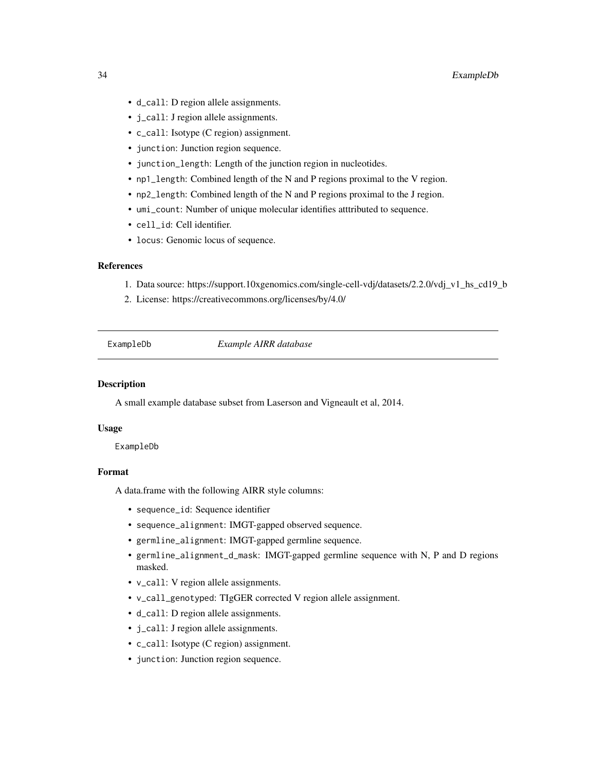- <span id="page-33-0"></span>• d\_call: D region allele assignments.
- j\_call: J region allele assignments.
- c\_call: Isotype (C region) assignment.
- junction: Junction region sequence.
- junction\_length: Length of the junction region in nucleotides.
- np1\_length: Combined length of the N and P regions proximal to the V region.
- np2\_length: Combined length of the N and P regions proximal to the J region.
- umi\_count: Number of unique molecular identifies atttributed to sequence.
- cell\_id: Cell identifier.
- locus: Genomic locus of sequence.

#### References

- 1. Data source: https://support.10xgenomics.com/single-cell-vdj/datasets/2.2.0/vdj\_v1\_hs\_cd19\_b
- 2. License: https://creativecommons.org/licenses/by/4.0/

<span id="page-33-1"></span>ExampleDb *Example AIRR database*

# Description

A small example database subset from Laserson and Vigneault et al, 2014.

#### Usage

ExampleDb

# Format

A data.frame with the following AIRR style columns:

- sequence\_id: Sequence identifier
- sequence\_alignment: IMGT-gapped observed sequence.
- germline\_alignment: IMGT-gapped germline sequence.
- germline\_alignment\_d\_mask: IMGT-gapped germline sequence with N, P and D regions masked.
- v\_call: V region allele assignments.
- v\_call\_genotyped: TIgGER corrected V region allele assignment.
- d\_call: D region allele assignments.
- j\_call: J region allele assignments.
- c\_call: Isotype (C region) assignment.
- junction: Junction region sequence.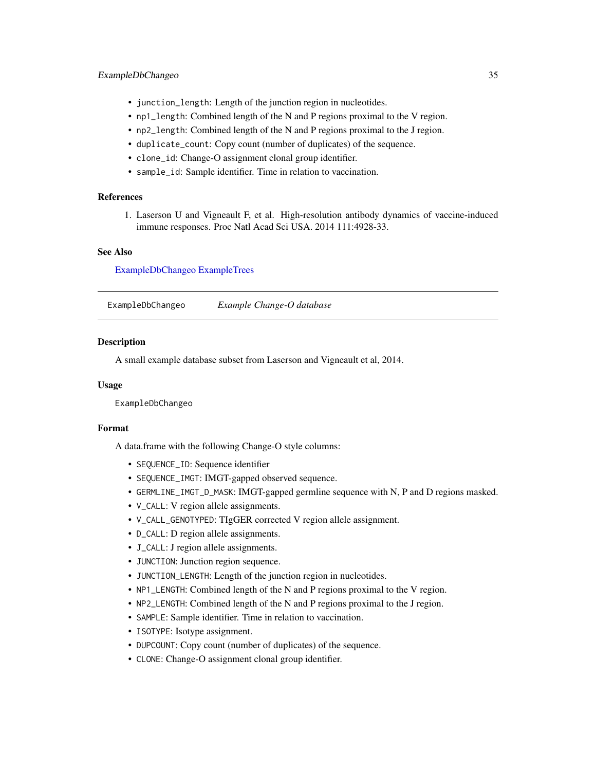# <span id="page-34-0"></span>ExampleDbChangeo 35

- junction\_length: Length of the junction region in nucleotides.
- np1\_length: Combined length of the N and P regions proximal to the V region.
- np2\_length: Combined length of the N and P regions proximal to the J region.
- duplicate\_count: Copy count (number of duplicates) of the sequence.
- clone\_id: Change-O assignment clonal group identifier.
- sample\_id: Sample identifier. Time in relation to vaccination.

#### References

1. Laserson U and Vigneault F, et al. High-resolution antibody dynamics of vaccine-induced immune responses. Proc Natl Acad Sci USA. 2014 111:4928-33.

### See Also

#### [ExampleDbChangeo](#page-34-1) [ExampleTrees](#page-35-2)

<span id="page-34-1"></span>ExampleDbChangeo *Example Change-O database*

#### **Description**

A small example database subset from Laserson and Vigneault et al, 2014.

#### Usage

ExampleDbChangeo

#### Format

A data.frame with the following Change-O style columns:

- SEQUENCE\_ID: Sequence identifier
- SEQUENCE\_IMGT: IMGT-gapped observed sequence.
- GERMLINE\_IMGT\_D\_MASK: IMGT-gapped germline sequence with N, P and D regions masked.
- V\_CALL: V region allele assignments.
- V\_CALL\_GENOTYPED: TIgGER corrected V region allele assignment.
- D\_CALL: D region allele assignments.
- J\_CALL: J region allele assignments.
- JUNCTION: Junction region sequence.
- JUNCTION\_LENGTH: Length of the junction region in nucleotides.
- NP1\_LENGTH: Combined length of the N and P regions proximal to the V region.
- NP2\_LENGTH: Combined length of the N and P regions proximal to the J region.
- SAMPLE: Sample identifier. Time in relation to vaccination.
- ISOTYPE: Isotype assignment.
- DUPCOUNT: Copy count (number of duplicates) of the sequence.
- CLONE: Change-O assignment clonal group identifier.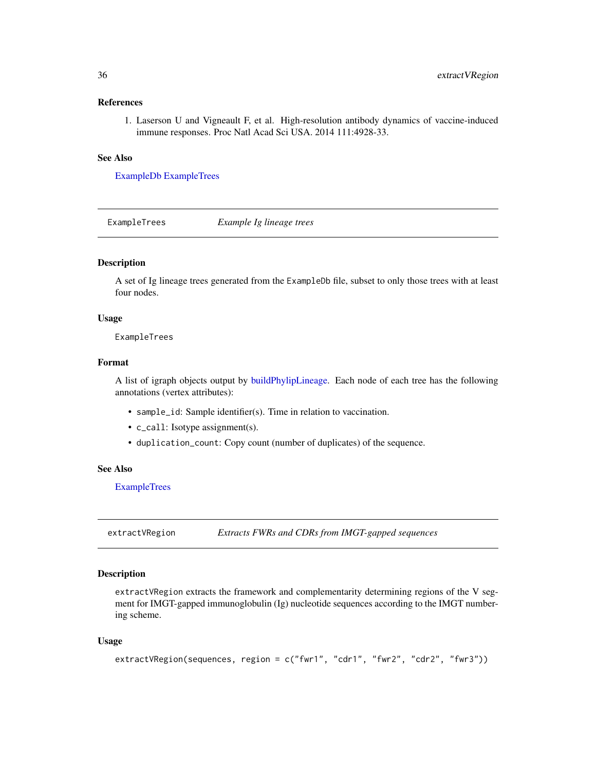#### <span id="page-35-0"></span>References

1. Laserson U and Vigneault F, et al. High-resolution antibody dynamics of vaccine-induced immune responses. Proc Natl Acad Sci USA. 2014 111:4928-33.

#### See Also

[ExampleDb](#page-33-1) [ExampleTrees](#page-35-2)

<span id="page-35-2"></span>ExampleTrees *Example Ig lineage trees*

# Description

A set of Ig lineage trees generated from the ExampleDb file, subset to only those trees with at least four nodes.

#### Usage

ExampleTrees

#### Format

A list of igraph objects output by [buildPhylipLineage.](#page-12-1) Each node of each tree has the following annotations (vertex attributes):

- sample\_id: Sample identifier(s). Time in relation to vaccination.
- c\_call: Isotype assignment(s).
- duplication\_count: Copy count (number of duplicates) of the sequence.

#### See Also

**[ExampleTrees](#page-35-2)** 

<span id="page-35-1"></span>extractVRegion *Extracts FWRs and CDRs from IMGT-gapped sequences*

# Description

extractVRegion extracts the framework and complementarity determining regions of the V segment for IMGT-gapped immunoglobulin (Ig) nucleotide sequences according to the IMGT numbering scheme.

#### Usage

```
extractVRegion(sequences, region = c("fwr1", "cdr1", "fwr2", "cdr2", "fwr3"))
```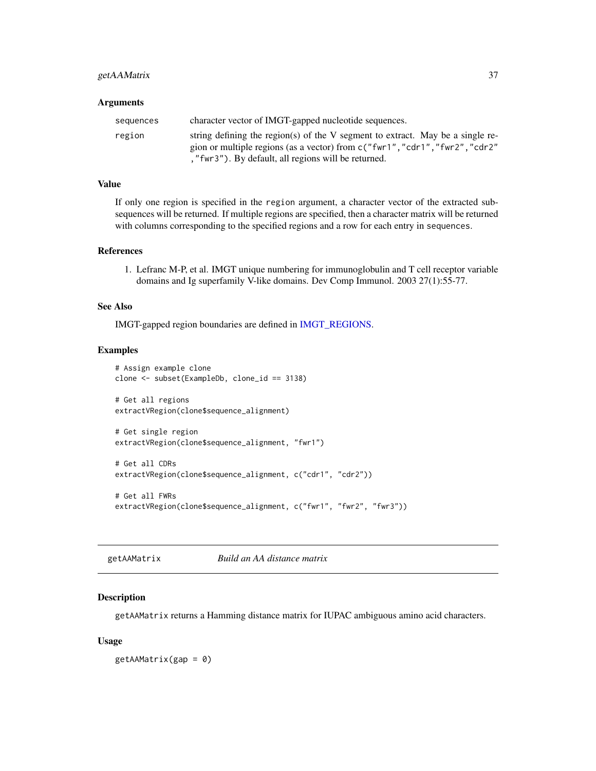## getAAMatrix 37

#### Arguments

| sequences | character vector of IMGT-gapped nucleotide sequences.                                                                                                                                                                  |
|-----------|------------------------------------------------------------------------------------------------------------------------------------------------------------------------------------------------------------------------|
| region    | string defining the region(s) of the V segment to extract. May be a single re-<br>gion or multiple regions (as a vector) from c("fwr1", "cdr1", "fwr2", "cdr2"<br>, "fwr3"). By default, all regions will be returned. |

#### Value

If only one region is specified in the region argument, a character vector of the extracted subsequences will be returned. If multiple regions are specified, then a character matrix will be returned with columns corresponding to the specified regions and a row for each entry in sequences.

## References

1. Lefranc M-P, et al. IMGT unique numbering for immunoglobulin and T cell receptor variable domains and Ig superfamily V-like domains. Dev Comp Immunol. 2003 27(1):55-77.

## See Also

IMGT-gapped region boundaries are defined in [IMGT\\_REGIONS.](#page-49-0)

#### Examples

```
# Assign example clone
clone <- subset(ExampleDb, clone_id == 3138)
# Get all regions
extractVRegion(clone$sequence_alignment)
# Get single region
extractVRegion(clone$sequence_alignment, "fwr1")
# Get all CDRs
```

```
extractVRegion(clone$sequence_alignment, c("cdr1", "cdr2"))
```

```
# Get all FWRs
extractVRegion(clone$sequence_alignment, c("fwr1", "fwr2", "fwr3"))
```
<span id="page-36-0"></span>getAAMatrix *Build an AA distance matrix*

#### Description

getAAMatrix returns a Hamming distance matrix for IUPAC ambiguous amino acid characters.

#### Usage

 $getAAMatrix(gap = 0)$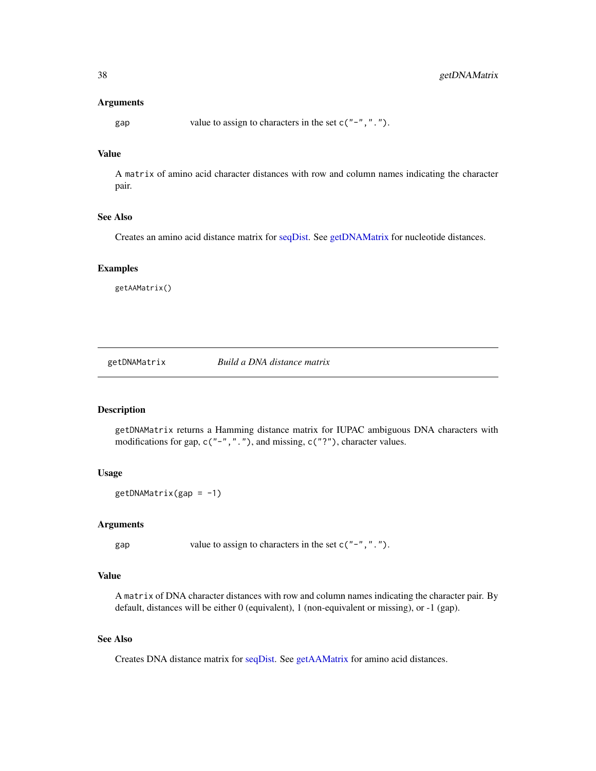#### Arguments

gap value to assign to characters in the set  $c("-",",".")$ .

#### Value

A matrix of amino acid character distances with row and column names indicating the character pair.

#### See Also

Creates an amino acid distance matrix for [seqDist.](#page-82-0) See [getDNAMatrix](#page-37-0) for nucleotide distances.

## Examples

getAAMatrix()

<span id="page-37-0"></span>getDNAMatrix *Build a DNA distance matrix*

#### Description

getDNAMatrix returns a Hamming distance matrix for IUPAC ambiguous DNA characters with modifications for gap,  $c("-", ", ")$ , and missing,  $c("?"')$ , character values.

#### Usage

 $getDNAMatrix(gap = -1)$ 

#### Arguments

gap value to assign to characters in the set  $c("-",",".")$ .

#### Value

A matrix of DNA character distances with row and column names indicating the character pair. By default, distances will be either 0 (equivalent), 1 (non-equivalent or missing), or -1 (gap).

#### See Also

Creates DNA distance matrix for [seqDist.](#page-82-0) See [getAAMatrix](#page-36-0) for amino acid distances.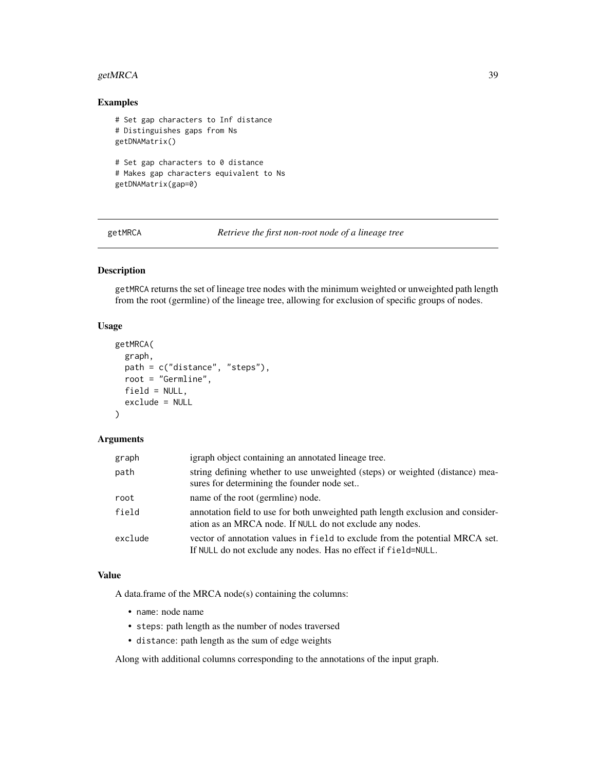# getMRCA 39

#### Examples

```
# Set gap characters to Inf distance
# Distinguishes gaps from Ns
getDNAMatrix()
# Set gap characters to 0 distance
# Makes gap characters equivalent to Ns
getDNAMatrix(gap=0)
```
getMRCA *Retrieve the first non-root node of a lineage tree*

#### Description

getMRCA returns the set of lineage tree nodes with the minimum weighted or unweighted path length from the root (germline) of the lineage tree, allowing for exclusion of specific groups of nodes.

#### Usage

```
getMRCA(
  graph,
 path = c("distance", "steps"),
 root = "Germline",
  field = NULL,
  exclude = NULL
\lambda
```
# Arguments

| graph   | igraph object containing an annotated lineage tree.                                                                                            |
|---------|------------------------------------------------------------------------------------------------------------------------------------------------|
| path    | string defining whether to use unweighted (steps) or weighted (distance) mea-<br>sures for determining the founder node set                    |
| root    | name of the root (germline) node.                                                                                                              |
| field   | annotation field to use for both unweighted path length exclusion and consider-<br>ation as an MRCA node. If NULL do not exclude any nodes.    |
| exclude | vector of annotation values in field to exclude from the potential MRCA set.<br>If NULL do not exclude any nodes. Has no effect if field=NULL. |

#### Value

A data.frame of the MRCA node(s) containing the columns:

- name: node name
- steps: path length as the number of nodes traversed
- distance: path length as the sum of edge weights

Along with additional columns corresponding to the annotations of the input graph.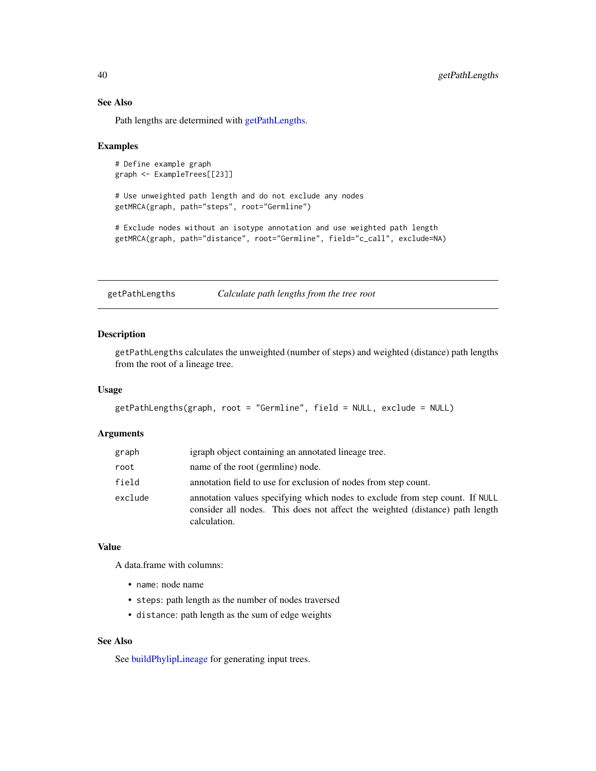## See Also

Path lengths are determined with [getPathLengths.](#page-39-0)

#### Examples

```
# Define example graph
graph <- ExampleTrees[[23]]
# Use unweighted path length and do not exclude any nodes
getMRCA(graph, path="steps", root="Germline")
```

```
# Exclude nodes without an isotype annotation and use weighted path length
getMRCA(graph, path="distance", root="Germline", field="c_call", exclude=NA)
```
<span id="page-39-0"></span>getPathLengths *Calculate path lengths from the tree root*

#### Description

getPathLengths calculates the unweighted (number of steps) and weighted (distance) path lengths from the root of a lineage tree.

#### Usage

```
getPathLengths(graph, root = "Germline", field = NULL, exclude = NULL)
```
#### Arguments

| graph   | igraph object containing an annotated lineage tree.                                                                                                                          |
|---------|------------------------------------------------------------------------------------------------------------------------------------------------------------------------------|
| root    | name of the root (germline) node.                                                                                                                                            |
| field   | annotation field to use for exclusion of nodes from step count.                                                                                                              |
| exclude | annotation values specifying which nodes to exclude from step count. If NULL<br>consider all nodes. This does not affect the weighted (distance) path length<br>calculation. |

## Value

A data.frame with columns:

- name: node name
- steps: path length as the number of nodes traversed
- distance: path length as the sum of edge weights

## See Also

See [buildPhylipLineage](#page-12-0) for generating input trees.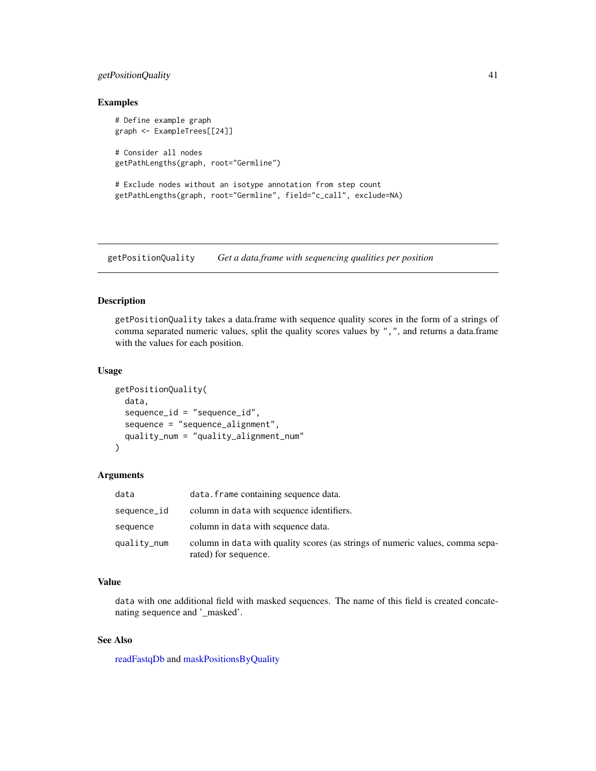## getPositionQuality 41

## Examples

```
# Define example graph
graph <- ExampleTrees[[24]]
# Consider all nodes
getPathLengths(graph, root="Germline")
# Exclude nodes without an isotype annotation from step count
getPathLengths(graph, root="Germline", field="c_call", exclude=NA)
```
<span id="page-40-0"></span>getPositionQuality *Get a data.frame with sequencing qualities per position*

## Description

getPositionQuality takes a data.frame with sequence quality scores in the form of a strings of comma separated numeric values, split the quality scores values by ",", and returns a data.frame with the values for each position.

## Usage

```
getPositionQuality(
  data,
  sequence_id = "sequence_id",
  sequence = "sequence_alignment",
  quality_num = "quality_alignment_num"
)
```
#### Arguments

| data        | data. frame containing sequence data.                                                                 |
|-------------|-------------------------------------------------------------------------------------------------------|
| sequence_id | column in data with sequence identifiers.                                                             |
| sequence    | column in data with sequence data.                                                                    |
| quality_num | column in data with quality scores (as strings of numeric values, comma sepa-<br>rated) for sequence. |

## Value

data with one additional field with masked sequences. The name of this field is created concatenating sequence and '\_masked'.

## See Also

[readFastqDb](#page-78-0) and [maskPositionsByQuality](#page-56-0)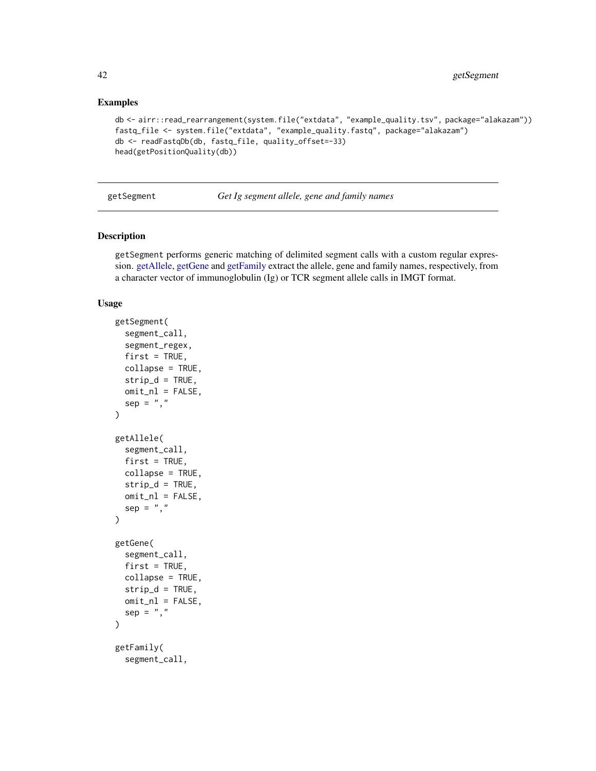#### Examples

```
db <- airr::read_rearrangement(system.file("extdata", "example_quality.tsv", package="alakazam"))
fastq_file <- system.file("extdata", "example_quality.fastq", package="alakazam")
db <- readFastqDb(db, fastq_file, quality_offset=-33)
head(getPositionQuality(db))
```
getSegment *Get Ig segment allele, gene and family names*

#### <span id="page-41-0"></span>Description

getSegment performs generic matching of delimited segment calls with a custom regular expression. [getAllele,](#page-41-0) [getGene](#page-41-0) and [getFamily](#page-41-0) extract the allele, gene and family names, respectively, from a character vector of immunoglobulin (Ig) or TCR segment allele calls in IMGT format.

#### Usage

```
getSegment(
  segment_call,
  segment_regex,
  first = TRUE,collapse = TRUE,
  strip_d = TRUE,omit_nl = FALSE,
  sep = "."
\lambdagetAllele(
  segment_call,
  first = TRUE,
  collapse = TRUE,
  strip_d = TRUE,omit\_nl = FALSE,sep = ",")
getGene(
  segment_call,
  first = TRUE,collapse = TRUE,
  strip_d = TRUE,
  omit_n1 = FALSE,sep = ",")
getFamily(
  segment_call,
```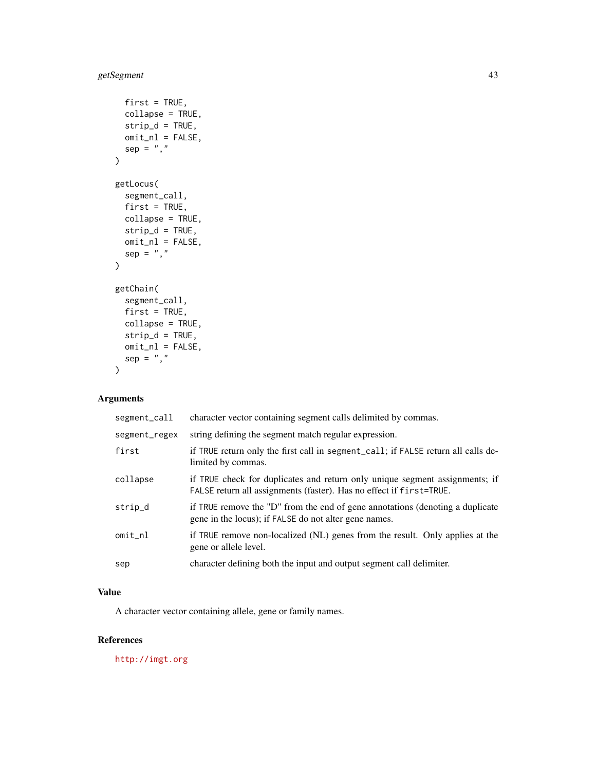# getSegment 43

```
first = TRUE,
 collapse = TRUE,
 strip_d = TRUE,omit\_n1 = FALSE,sep = ","\mathcal{L}getLocus(
  segment_call,
 first = TRUE,collapse = TRUE,
 strip_d = TRUE,omit\_nl = FALSE,sep = ",")
getChain(
  segment_call,
 first = TRUE,
 collapse = TRUE,
 strip_d = TRUE,omit\_nl = FALSE,sep = ","\mathcal{L}
```
## Arguments

| segment_call  | character vector containing segment calls delimited by commas.                                                                                     |
|---------------|----------------------------------------------------------------------------------------------------------------------------------------------------|
| segment_regex | string defining the segment match regular expression.                                                                                              |
| first         | if TRUE return only the first call in segment_call; if FALSE return all calls de-<br>limited by commas.                                            |
| collapse      | if TRUE check for duplicates and return only unique segment assignments; if<br>FALSE return all assignments (faster). Has no effect if first=TRUE. |
| strip_d       | if TRUE remove the "D" from the end of gene annotations (denoting a duplicate<br>gene in the locus); if FALSE do not alter gene names.             |
| omit_nl       | if TRUE remove non-localized (NL) genes from the result. Only applies at the<br>gene or allele level.                                              |
| sep           | character defining both the input and output segment call delimiter.                                                                               |

## Value

A character vector containing allele, gene or family names.

## References

<http://imgt.org>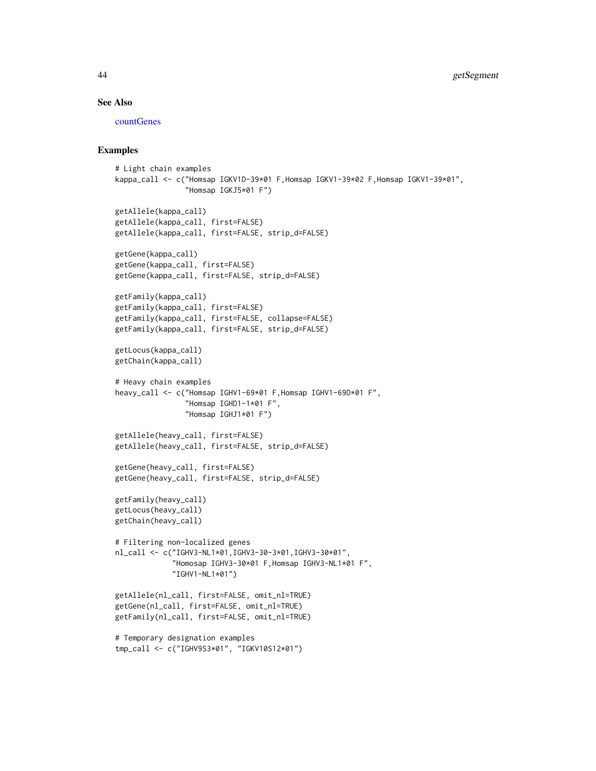#### See Also

[countGenes](#page-25-0)

```
# Light chain examples
kappa_call <- c("Homsap IGKV1D-39*01 F,Homsap IGKV1-39*02 F,Homsap IGKV1-39*01",
                "Homsap IGKJ5*01 F")
getAllele(kappa_call)
getAllele(kappa_call, first=FALSE)
getAllele(kappa_call, first=FALSE, strip_d=FALSE)
getGene(kappa_call)
getGene(kappa_call, first=FALSE)
getGene(kappa_call, first=FALSE, strip_d=FALSE)
getFamily(kappa_call)
getFamily(kappa_call, first=FALSE)
getFamily(kappa_call, first=FALSE, collapse=FALSE)
getFamily(kappa_call, first=FALSE, strip_d=FALSE)
getLocus(kappa_call)
getChain(kappa_call)
# Heavy chain examples
heavy_call <- c("Homsap IGHV1-69*01 F,Homsap IGHV1-69D*01 F",
                "Homsap IGHD1-1*01 F",
                "Homsap IGHJ1*01 F")
getAllele(heavy_call, first=FALSE)
getAllele(heavy_call, first=FALSE, strip_d=FALSE)
getGene(heavy_call, first=FALSE)
getGene(heavy_call, first=FALSE, strip_d=FALSE)
getFamily(heavy_call)
getLocus(heavy_call)
getChain(heavy_call)
# Filtering non-localized genes
nl_call <- c("IGHV3-NL1*01,IGHV3-30-3*01,IGHV3-30*01",
             "Homosap IGHV3-30*01 F,Homsap IGHV3-NL1*01 F",
             "IGHV1-NL1*01")
getAllele(nl_call, first=FALSE, omit_nl=TRUE)
getGene(nl_call, first=FALSE, omit_nl=TRUE)
getFamily(nl_call, first=FALSE, omit_nl=TRUE)
# Temporary designation examples
tmp_call <- c("IGHV9S3*01", "IGKV10S12*01")
```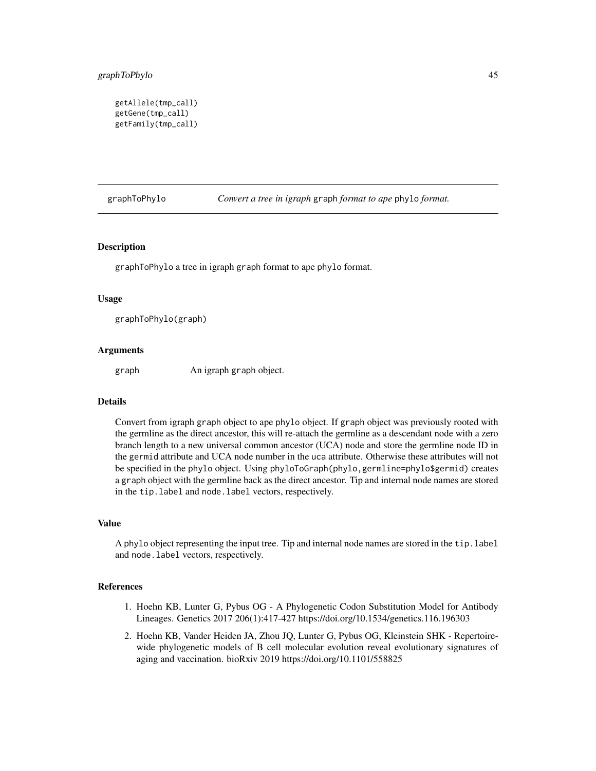```
getAllele(tmp_call)
getGene(tmp_call)
getFamily(tmp_call)
```
graphToPhylo *Convert a tree in igraph* graph *format to ape* phylo *format.*

## Description

graphToPhylo a tree in igraph graph format to ape phylo format.

#### Usage

```
graphToPhylo(graph)
```
#### Arguments

graph An igraph graph object.

#### Details

Convert from igraph graph object to ape phylo object. If graph object was previously rooted with the germline as the direct ancestor, this will re-attach the germline as a descendant node with a zero branch length to a new universal common ancestor (UCA) node and store the germline node ID in the germid attribute and UCA node number in the uca attribute. Otherwise these attributes will not be specified in the phylo object. Using phyloToGraph(phylo,germline=phylo\$germid) creates a graph object with the germline back as the direct ancestor. Tip and internal node names are stored in the tip.label and node.label vectors, respectively.

#### Value

A phylo object representing the input tree. Tip and internal node names are stored in the tip.label and node. label vectors, respectively.

#### References

- 1. Hoehn KB, Lunter G, Pybus OG A Phylogenetic Codon Substitution Model for Antibody Lineages. Genetics 2017 206(1):417-427 https://doi.org/10.1534/genetics.116.196303
- 2. Hoehn KB, Vander Heiden JA, Zhou JQ, Lunter G, Pybus OG, Kleinstein SHK Repertoirewide phylogenetic models of B cell molecular evolution reveal evolutionary signatures of aging and vaccination. bioRxiv 2019 https://doi.org/10.1101/558825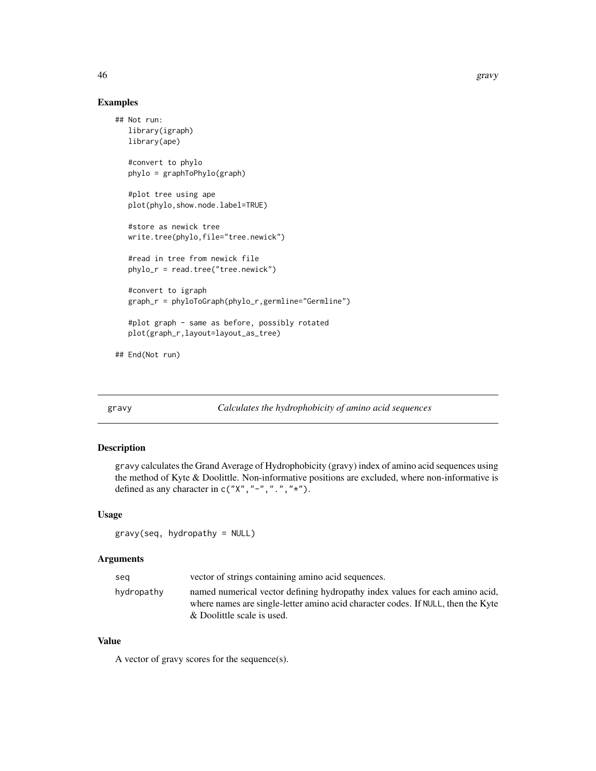## Examples

```
## Not run:
  library(igraph)
  library(ape)
  #convert to phylo
  phylo = graphToPhylo(graph)
  #plot tree using ape
  plot(phylo,show.node.label=TRUE)
  #store as newick tree
  write.tree(phylo,file="tree.newick")
  #read in tree from newick file
  phylo_r = read.tree("tree.newick")
  #convert to igraph
  graph_r = phyloToGraph(phylo_r,germline="Germline")
  #plot graph - same as before, possibly rotated
  plot(graph_r,layout=layout_as_tree)
## End(Not run)
```
gravy *Calculates the hydrophobicity of amino acid sequences*

#### Description

gravy calculates the Grand Average of Hydrophobicity (gravy) index of amino acid sequences using the method of Kyte & Doolittle. Non-informative positions are excluded, where non-informative is defined as any character in  $c("X", "-", "..", "*")$ .

# Usage

gravy(seq, hydropathy = NULL)

#### Arguments

| seg        | vector of strings containing amino acid sequences.                                                                                                                                             |
|------------|------------------------------------------------------------------------------------------------------------------------------------------------------------------------------------------------|
| hydropathy | named numerical vector defining hydropathy index values for each amino acid,<br>where names are single-letter amino acid character codes. If NULL, then the Kyte<br>& Doolittle scale is used. |
|            |                                                                                                                                                                                                |

## Value

A vector of gravy scores for the sequence(s).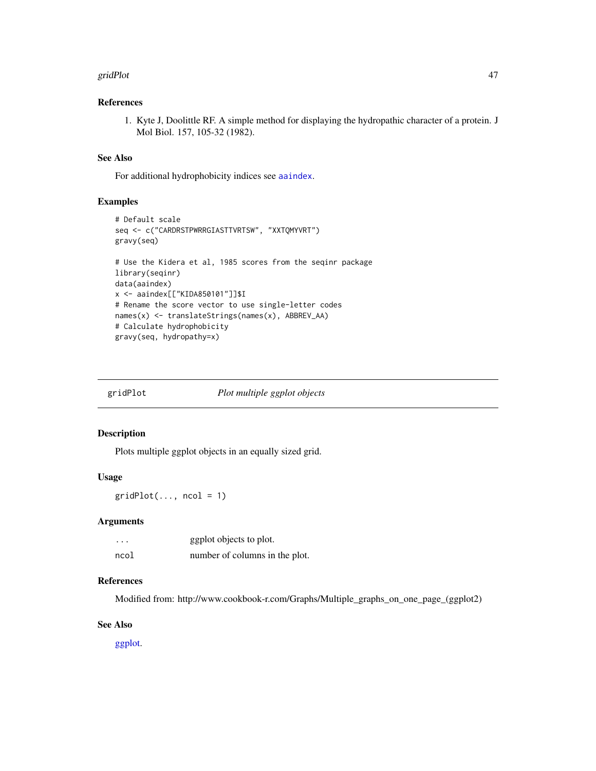#### gridPlot the contract of the contract of the contract of the contract of the contract of the contract of the contract of the contract of the contract of the contract of the contract of the contract of the contract of the c

## References

1. Kyte J, Doolittle RF. A simple method for displaying the hydropathic character of a protein. J Mol Biol. 157, 105-32 (1982).

# See Also

For additional hydrophobicity indices see [aaindex](#page-0-0).

#### Examples

```
# Default scale
seq <- c("CARDRSTPWRRGIASTTVRTSW", "XXTQMYVRT")
gravy(seq)
# Use the Kidera et al, 1985 scores from the seqinr package
library(seqinr)
data(aaindex)
x <- aaindex[["KIDA850101"]]$I
# Rename the score vector to use single-letter codes
names(x) <- translateStrings(names(x), ABBREV_AA)
# Calculate hydrophobicity
gravy(seq, hydropathy=x)
```

| gridPlot | Plot multiple ggplot objects |  |
|----------|------------------------------|--|
|          |                              |  |

# Description

Plots multiple ggplot objects in an equally sized grid.

# Usage

 $gridPlot(..., ncol = 1)$ 

## Arguments

| .    | ggplot objects to plot.        |
|------|--------------------------------|
| ncol | number of columns in the plot. |

# References

Modified from: http://www.cookbook-r.com/Graphs/Multiple\_graphs\_on\_one\_page\_(ggplot2)

#### See Also

[ggplot.](#page-0-0)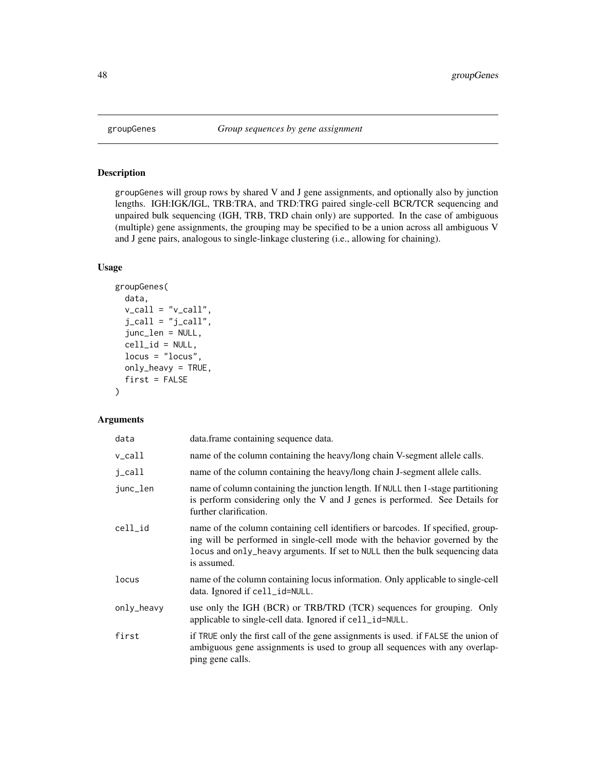groupGenes will group rows by shared V and J gene assignments, and optionally also by junction lengths. IGH:IGK/IGL, TRB:TRA, and TRD:TRG paired single-cell BCR/TCR sequencing and unpaired bulk sequencing (IGH, TRB, TRD chain only) are supported. In the case of ambiguous (multiple) gene assignments, the grouping may be specified to be a union across all ambiguous V and J gene pairs, analogous to single-linkage clustering (i.e., allowing for chaining).

## Usage

```
groupGenes(
  data,
  v_{call} = "v_{call}",
  j<sub>call</sub> = "j<sub>call</sub>",
  junc_len = NULL,
  cell_id = NULL,
  locus = "locus",
  only_heavy = TRUE,
  first = FALSE
\mathcal{L}
```
## Arguments

| data       | data. frame containing sequence data.                                                                                                                                                                                                                          |
|------------|----------------------------------------------------------------------------------------------------------------------------------------------------------------------------------------------------------------------------------------------------------------|
| v_call     | name of the column containing the heavy/long chain V-segment allele calls.                                                                                                                                                                                     |
| j_call     | name of the column containing the heavy/long chain J-segment allele calls.                                                                                                                                                                                     |
| junc_len   | name of column containing the junction length. If NULL then 1-stage partitioning<br>is perform considering only the V and J genes is performed. See Details for<br>further clarification.                                                                      |
| cell_id    | name of the column containing cell identifiers or barcodes. If specified, group-<br>ing will be performed in single-cell mode with the behavior governed by the<br>locus and only_heavy arguments. If set to NULL then the bulk sequencing data<br>is assumed. |
| locus      | name of the column containing locus information. Only applicable to single-cell<br>data. Ignored if cell_id=NULL.                                                                                                                                              |
| only_heavy | use only the IGH (BCR) or TRB/TRD (TCR) sequences for grouping. Only<br>applicable to single-cell data. Ignored if cell_id=NULL.                                                                                                                               |
| first      | if TRUE only the first call of the gene assignments is used. if FALSE the union of<br>ambiguous gene assignments is used to group all sequences with any overlap-<br>ping gene calls.                                                                          |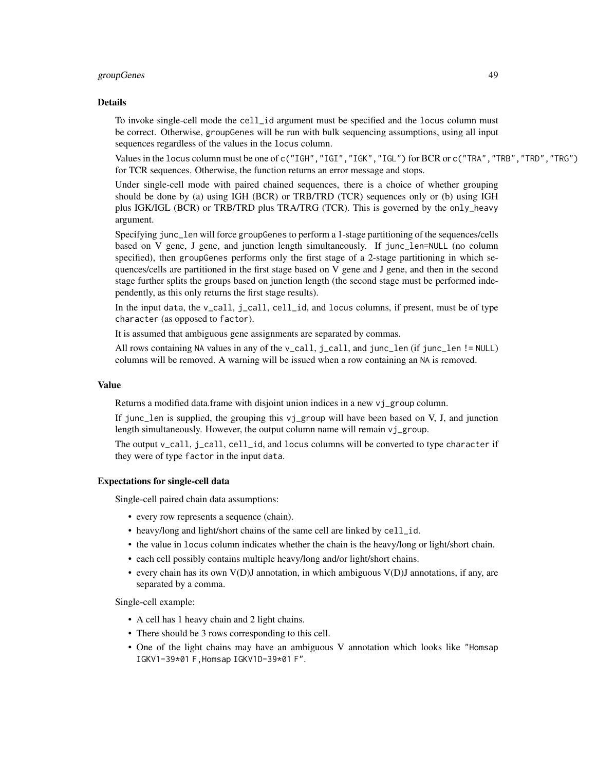## groupGenes 49

#### Details

To invoke single-cell mode the cell\_id argument must be specified and the locus column must be correct. Otherwise, groupGenes will be run with bulk sequencing assumptions, using all input sequences regardless of the values in the locus column.

Values in the locus column must be one of c("IGH", "IGI", "IGK", "IGL") for BCR or c("TRA", "TRB", "TRD", "TRG") for TCR sequences. Otherwise, the function returns an error message and stops.

Under single-cell mode with paired chained sequences, there is a choice of whether grouping should be done by (a) using IGH (BCR) or TRB/TRD (TCR) sequences only or (b) using IGH plus IGK/IGL (BCR) or TRB/TRD plus TRA/TRG (TCR). This is governed by the only\_heavy argument.

Specifying junc\_len will force groupGenes to perform a 1-stage partitioning of the sequences/cells based on V gene, J gene, and junction length simultaneously. If junc\_len=NULL (no column specified), then groupGenes performs only the first stage of a 2-stage partitioning in which sequences/cells are partitioned in the first stage based on V gene and J gene, and then in the second stage further splits the groups based on junction length (the second stage must be performed independently, as this only returns the first stage results).

In the input data, the  $v_{cal}$ call, j\_call, cell\_id, and locus columns, if present, must be of type character (as opposed to factor).

It is assumed that ambiguous gene assignments are separated by commas.

All rows containing NA values in any of the  $v_{\text{1}}$  call,  $j_{\text{2}}$  call, and junc<sub>1</sub> len (if junc<sub>1</sub> len != NULL) columns will be removed. A warning will be issued when a row containing an NA is removed.

#### Value

Returns a modified data.frame with disjoint union indices in a new vj\_group column.

If junc\_len is supplied, the grouping this vj\_group will have been based on V, J, and junction length simultaneously. However, the output column name will remain vj\_group.

The output v\_call, j\_call, cell\_id, and locus columns will be converted to type character if they were of type factor in the input data.

## Expectations for single-cell data

Single-cell paired chain data assumptions:

- every row represents a sequence (chain).
- heavy/long and light/short chains of the same cell are linked by cell\_id.
- the value in locus column indicates whether the chain is the heavy/long or light/short chain.
- each cell possibly contains multiple heavy/long and/or light/short chains.
- every chain has its own V(D)J annotation, in which ambiguous V(D)J annotations, if any, are separated by a comma.

Single-cell example:

- A cell has 1 heavy chain and 2 light chains.
- There should be 3 rows corresponding to this cell.
- One of the light chains may have an ambiguous V annotation which looks like "Homsap IGKV1-39\*01 F,Homsap IGKV1D-39\*01 F".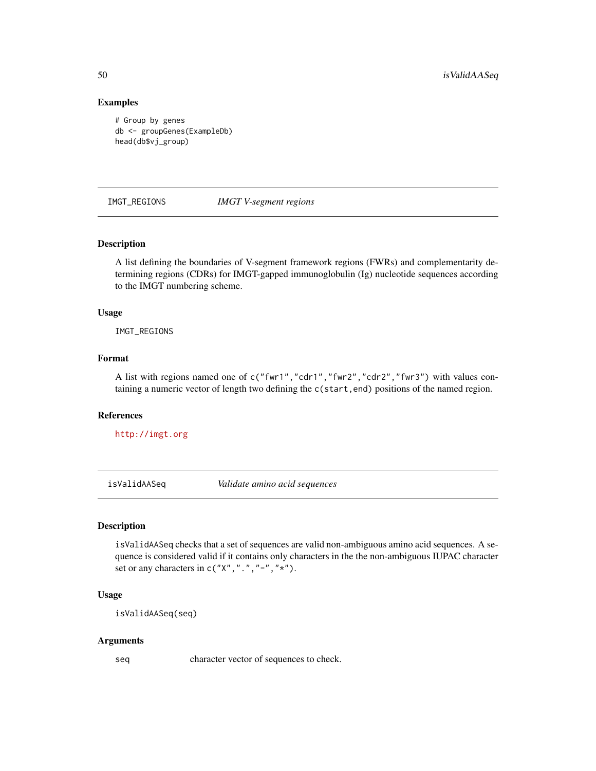#### Examples

```
# Group by genes
db <- groupGenes(ExampleDb)
head(db$vj_group)
```
<span id="page-49-0"></span>IMGT\_REGIONS *IMGT V-segment regions*

#### Description

A list defining the boundaries of V-segment framework regions (FWRs) and complementarity determining regions (CDRs) for IMGT-gapped immunoglobulin (Ig) nucleotide sequences according to the IMGT numbering scheme.

#### Usage

IMGT\_REGIONS

## Format

A list with regions named one of c("fwr1","cdr1","fwr2","cdr2","fwr3") with values containing a numeric vector of length two defining the c(start,end) positions of the named region.

#### References

<http://imgt.org>

isValidAASeq *Validate amino acid sequences*

#### Description

isValidAASeq checks that a set of sequences are valid non-ambiguous amino acid sequences. A sequence is considered valid if it contains only characters in the the non-ambiguous IUPAC character set or any characters in  $c("X", "." "," "-"," "*")$ .

# Usage

isValidAASeq(seq)

#### Arguments

seq character vector of sequences to check.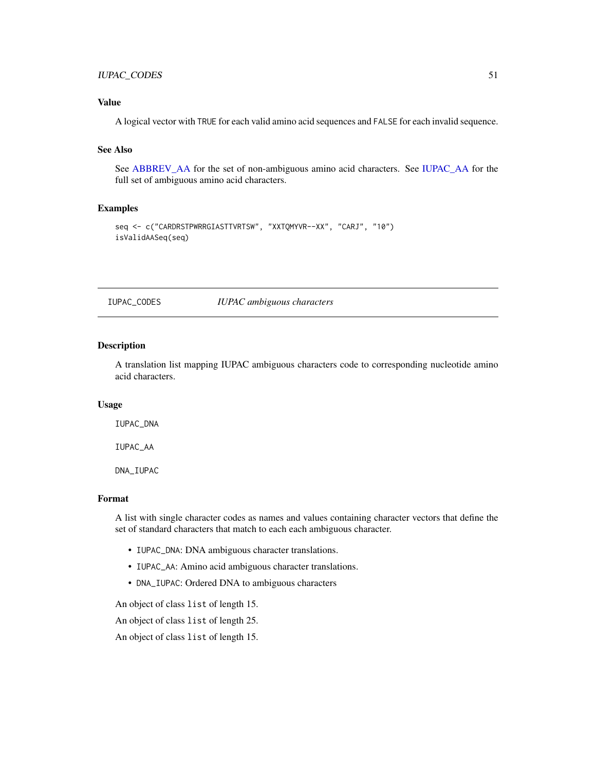## IUPAC\_CODES 51

## Value

A logical vector with TRUE for each valid amino acid sequences and FALSE for each invalid sequence.

## See Also

See [ABBREV\\_AA](#page-3-0) for the set of non-ambiguous amino acid characters. See [IUPAC\\_AA](#page-50-0) for the full set of ambiguous amino acid characters.

## Examples

```
seq <- c("CARDRSTPWRRGIASTTVRTSW", "XXTQMYVR--XX", "CARJ", "10")
isValidAASeq(seq)
```
#### IUPAC\_CODES *IUPAC ambiguous characters*

#### <span id="page-50-0"></span>Description

A translation list mapping IUPAC ambiguous characters code to corresponding nucleotide amino acid characters.

#### Usage

IUPAC\_DNA

IUPAC\_AA

DNA\_IUPAC

## Format

A list with single character codes as names and values containing character vectors that define the set of standard characters that match to each each ambiguous character.

- IUPAC\_DNA: DNA ambiguous character translations.
- IUPAC\_AA: Amino acid ambiguous character translations.
- DNA\_IUPAC: Ordered DNA to ambiguous characters

An object of class list of length 15.

An object of class list of length 25.

An object of class list of length 15.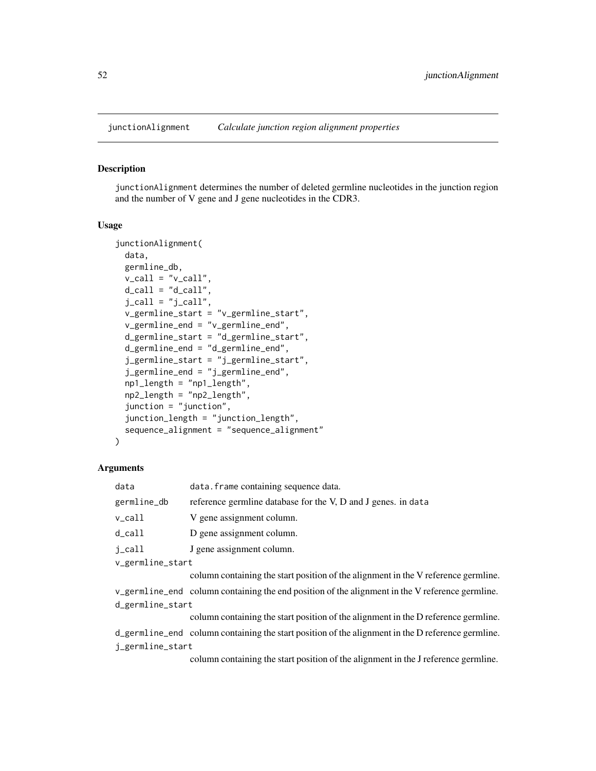junctionAlignment determines the number of deleted germline nucleotides in the junction region and the number of V gene and J gene nucleotides in the CDR3.

#### Usage

```
junctionAlignment(
  data,
  germline_db,
  v_{call} = "v_{call}",
  d_{cal1} = "d_{cal1}".j_{call} = "j_{call}",
  v_germline_start = "v_germline_start",
  v_germline_end = "v_germline_end",
  d_germline_start = "d_germline_start",
  d_germline_end = "d_germline_end",
  j_germline_start = "j_germline_start",
  j_germline_end = "j_germline_end",
  np1_length = "np1_length",
  np2_length = "np2_length",
  junction = "junction",
  junction_length = "junction_length",
  sequence_alignment = "sequence_alignment"
)
```
#### Arguments

| data             | data. frame containing sequence data.                                                              |  |
|------------------|----------------------------------------------------------------------------------------------------|--|
| germline_db      | reference germline database for the V, D and J genes. in data                                      |  |
| v_call           | V gene assignment column.                                                                          |  |
| d_call           | D gene assignment column.                                                                          |  |
| i_call           | J gene assignment column.                                                                          |  |
| v_germline_start |                                                                                                    |  |
|                  | column containing the start position of the alignment in the V reference germline.                 |  |
|                  | $\mu$ segminary and column containing the and neglign of the elignment in the V seference counting |  |

v\_germline\_end column containing the end position of the alignment in the V reference germline. d\_germline\_start

column containing the start position of the alignment in the D reference germline.

d\_germline\_end column containing the start position of the alignment in the D reference germline. j\_germline\_start

column containing the start position of the alignment in the J reference germline.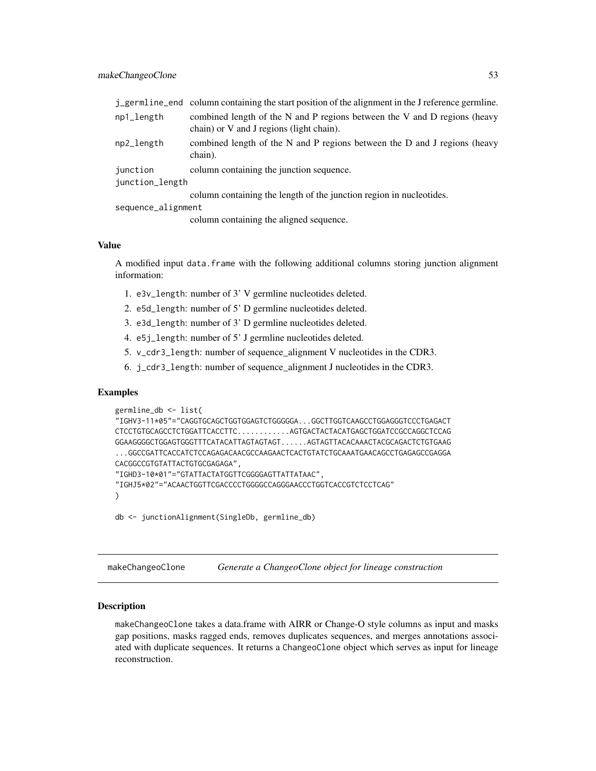|                    | j_germline_end column containing the start position of the alignment in the J reference germline.                     |
|--------------------|-----------------------------------------------------------------------------------------------------------------------|
| np1_length         | combined length of the N and P regions between the V and D regions (heavy<br>chain) or V and J regions (light chain). |
| np2_length         | combined length of the N and P regions between the D and J regions (heavy<br>chain).                                  |
| junction           | column containing the junction sequence.                                                                              |
| junction_length    |                                                                                                                       |
|                    | column containing the length of the junction region in nucleotides.                                                   |
| sequence_alignment |                                                                                                                       |

column containing the aligned sequence.

#### Value

A modified input data.frame with the following additional columns storing junction alignment information:

- 1. e3v\_length: number of 3' V germline nucleotides deleted.
- 2. e5d\_length: number of 5' D germline nucleotides deleted.
- 3. e3d\_length: number of 3' D germline nucleotides deleted.
- 4. e5j\_length: number of 5' J germline nucleotides deleted.
- 5. v\_cdr3\_length: number of sequence\_alignment V nucleotides in the CDR3.
- 6. j\_cdr3\_length: number of sequence\_alignment J nucleotides in the CDR3.

#### Examples

```
germline_db <- list(
"IGHV3-11*05"="CAGGTGCAGCTGGTGGAGTCTGGGGGA...GGCTTGGTCAAGCCTGGAGGGTCCCTGAGACT
CTCCTGTGCAGCCTCTGGATTCACCTTC............AGTGACTACTACATGAGCTGGATCCGCCAGGCTCCAG
GGAAGGGGCTGGAGTGGGTTTCATACATTAGTAGTAGT......AGTAGTTACACAAACTACGCAGACTCTGTGAAG
...GGCCGATTCACCATCTCCAGAGACAACGCCAAGAACTCACTGTATCTGCAAATGAACAGCCTGAGAGCCGAGGA
CACGGCCGTGTATTACTGTGCGAGAGA",
"IGHD3-10*01"="GTATTACTATGGTTCGGGGAGTTATTATAAC",
"IGHJ5*02"="ACAACTGGTTCGACCCCTGGGGCCAGGGAACCCTGGTCACCGTCTCCTCAG"
\mathcal{L}
```

```
db <- junctionAlignment(SingleDb, germline_db)
```
makeChangeoClone *Generate a ChangeoClone object for lineage construction*

#### Description

makeChangeoClone takes a data.frame with AIRR or Change-O style columns as input and masks gap positions, masks ragged ends, removes duplicates sequences, and merges annotations associated with duplicate sequences. It returns a ChangeoClone object which serves as input for lineage reconstruction.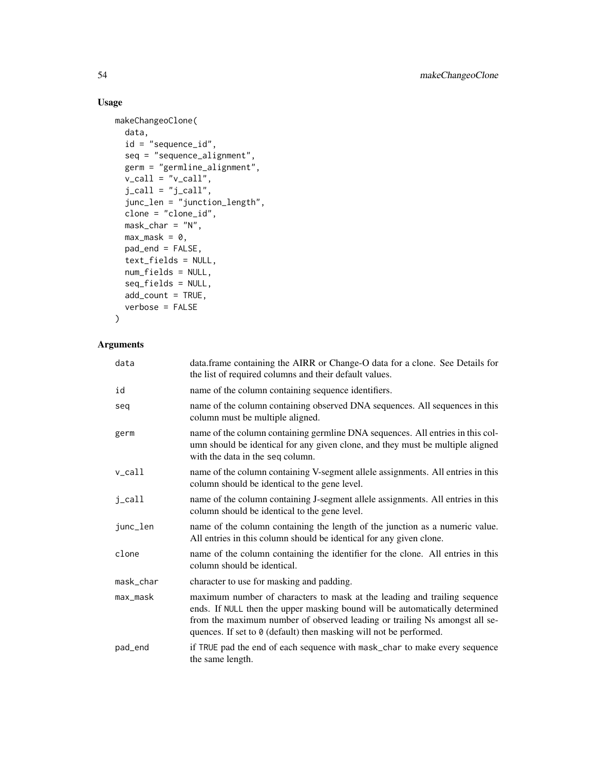# Usage

```
makeChangeoClone(
 data,
  id = "sequence_id",seq = "sequence_alignment",
 germ = "germline_alignment",
 v_{cal} = "v_{cal}]',
 j<sub>call</sub> = "j<sub>call</sub>",
  junc_len = "junction_length",
 clone = "clone_id",
 mask\_char = "N",max\_mask = 0,pad_end = FALSE,
  text_fields = NULL,
  num_fields = NULL,
  seq_fields = NULL,
 add\_count = TRUE,verbose = FALSE
)
```
## Arguments

| data                | data.frame containing the AIRR or Change-O data for a clone. See Details for<br>the list of required columns and their default values.                                                                                                                                                                       |
|---------------------|--------------------------------------------------------------------------------------------------------------------------------------------------------------------------------------------------------------------------------------------------------------------------------------------------------------|
| id                  | name of the column containing sequence identifiers.                                                                                                                                                                                                                                                          |
| seq                 | name of the column containing observed DNA sequences. All sequences in this<br>column must be multiple aligned.                                                                                                                                                                                              |
| germ                | name of the column containing germline DNA sequences. All entries in this col-<br>umn should be identical for any given clone, and they must be multiple aligned<br>with the data in the seq column.                                                                                                         |
| v_call              | name of the column containing V-segment allele assignments. All entries in this<br>column should be identical to the gene level.                                                                                                                                                                             |
| $j$ <sub>call</sub> | name of the column containing J-segment allele assignments. All entries in this<br>column should be identical to the gene level.                                                                                                                                                                             |
| junc_len            | name of the column containing the length of the junction as a numeric value.<br>All entries in this column should be identical for any given clone.                                                                                                                                                          |
| clone               | name of the column containing the identifier for the clone. All entries in this<br>column should be identical.                                                                                                                                                                                               |
| mask_char           | character to use for masking and padding.                                                                                                                                                                                                                                                                    |
| max_mask            | maximum number of characters to mask at the leading and trailing sequence<br>ends. If NULL then the upper masking bound will be automatically determined<br>from the maximum number of observed leading or trailing Ns amongst all se-<br>quences. If set to 0 (default) then masking will not be performed. |
| pad_end             | if TRUE pad the end of each sequence with mask_char to make every sequence<br>the same length.                                                                                                                                                                                                               |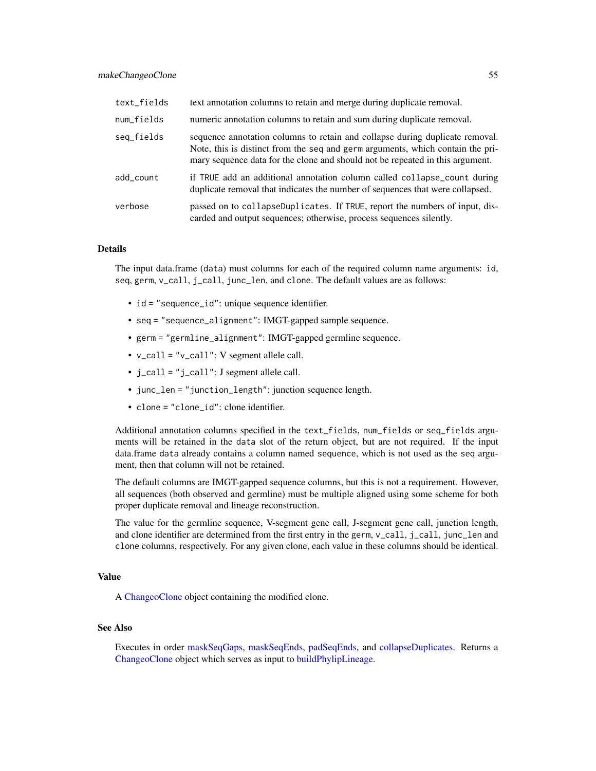| text_fields | text annotation columns to retain and merge during duplicate removal.                                                                                                                                                                           |
|-------------|-------------------------------------------------------------------------------------------------------------------------------------------------------------------------------------------------------------------------------------------------|
| num_fields  | numeric annotation columns to retain and sum during duplicate removal.                                                                                                                                                                          |
| seq_fields  | sequence annotation columns to retain and collapse during duplicate removal.<br>Note, this is distinct from the seq and germ arguments, which contain the pri-<br>mary sequence data for the clone and should not be repeated in this argument. |
| add_count   | if TRUE add an additional annotation column called collapse_count during<br>duplicate removal that indicates the number of sequences that were collapsed.                                                                                       |
| verbose     | passed on to collapseDuplicates. If TRUE, report the numbers of input, dis-<br>carded and output sequences; otherwise, process sequences silently.                                                                                              |

#### Details

The input data.frame (data) must columns for each of the required column name arguments: id, seq, germ, v\_call, j\_call, junc\_len, and clone. The default values are as follows:

- id = "sequence\_id": unique sequence identifier.
- seq = "sequence\_alignment": IMGT-gapped sample sequence.
- germ = "germline\_alignment": IMGT-gapped germline sequence.
- v\_call = "v\_call": V segment allele call.
- j\_call = "j\_call": J segment allele call.
- junc\_len = "junction\_length": junction sequence length.
- clone = "clone\_id": clone identifier.

Additional annotation columns specified in the text\_fields, num\_fields or seq\_fields arguments will be retained in the data slot of the return object, but are not required. If the input data.frame data already contains a column named sequence, which is not used as the seq argument, then that column will not be retained.

The default columns are IMGT-gapped sequence columns, but this is not a requirement. However, all sequences (both observed and germline) must be multiple aligned using some scheme for both proper duplicate removal and lineage reconstruction.

The value for the germline sequence, V-segment gene call, J-segment gene call, junction length, and clone identifier are determined from the first entry in the germ, v\_call, j\_call, junc\_len and clone columns, respectively. For any given clone, each value in these columns should be identical.

#### Value

A [ChangeoClone](#page-17-0) object containing the modified clone.

#### See Also

Executes in order [maskSeqGaps,](#page-58-0) [maskSeqEnds,](#page-57-0) [padSeqEnds,](#page-61-0) and [collapseDuplicates.](#page-20-0) Returns a [ChangeoClone](#page-17-0) object which serves as input to [buildPhylipLineage.](#page-12-0)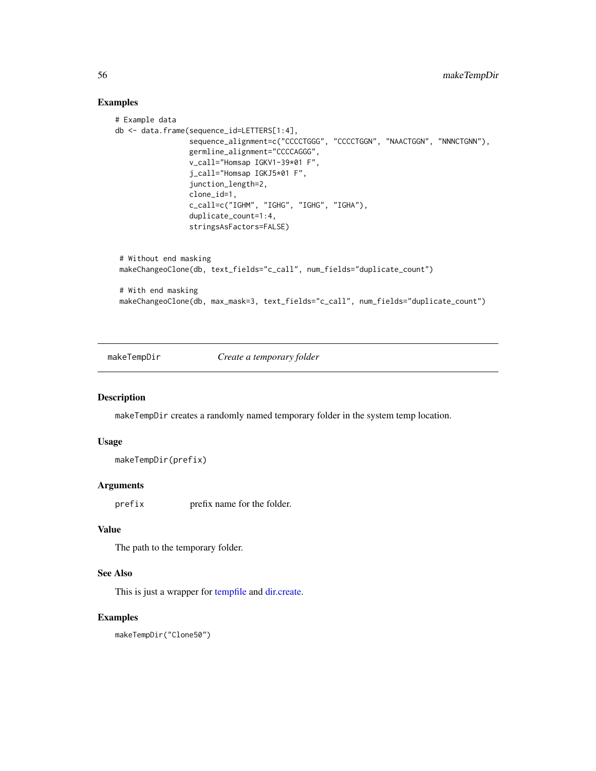## Examples

```
# Example data
db <- data.frame(sequence_id=LETTERS[1:4],
                 sequence_alignment=c("CCCCTGGG", "CCCCTGGN", "NAACTGGN", "NNNCTGNN"),
                 germline_alignment="CCCCAGGG",
                 v_call="Homsap IGKV1-39*01 F",
                 j_call="Homsap IGKJ5*01 F",
                 junction_length=2,
                 clone_id=1,
                 c_call=c("IGHM", "IGHG", "IGHG", "IGHA"),
                 duplicate_count=1:4,
                 stringsAsFactors=FALSE)
 # Without end masking
 makeChangeoClone(db, text_fields="c_call", num_fields="duplicate_count")
 # With end masking
 makeChangeoClone(db, max_mask=3, text_fields="c_call", num_fields="duplicate_count")
```
makeTempDir *Create a temporary folder*

## Description

makeTempDir creates a randomly named temporary folder in the system temp location.

#### Usage

makeTempDir(prefix)

#### **Arguments**

prefix prefix name for the folder.

## Value

The path to the temporary folder.

# See Also

This is just a wrapper for [tempfile](#page-0-0) and [dir.create.](#page-0-0)

## Examples

makeTempDir("Clone50")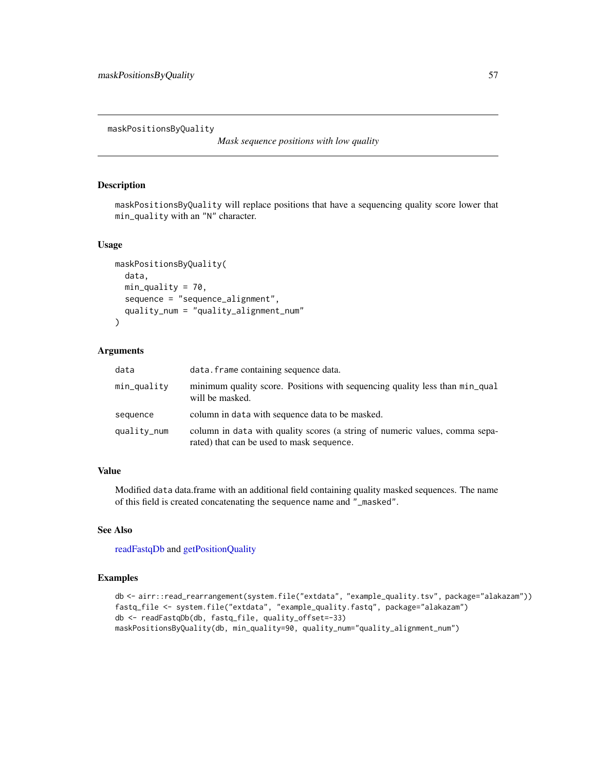<span id="page-56-0"></span>maskPositionsByQuality

*Mask sequence positions with low quality*

#### Description

maskPositionsByQuality will replace positions that have a sequencing quality score lower that min\_quality with an "N" character.

#### Usage

```
maskPositionsByQuality(
  data,
  min\_quality = 70,
  sequence = "sequence_alignment",
  quality_num = "quality_alignment_num"
\mathcal{L}
```
#### Arguments

| data        | data. frame containing sequence data.                                                                                    |
|-------------|--------------------------------------------------------------------------------------------------------------------------|
| min_quality | minimum quality score. Positions with sequencing quality less than min_qual<br>will be masked.                           |
| sequence    | column in data with sequence data to be masked.                                                                          |
| quality_num | column in data with quality scores (a string of numeric values, comma sepa-<br>rated) that can be used to mask sequence. |

### Value

Modified data data.frame with an additional field containing quality masked sequences. The name of this field is created concatenating the sequence name and "\_masked".

# See Also

[readFastqDb](#page-78-0) and [getPositionQuality](#page-40-0)

```
db <- airr::read_rearrangement(system.file("extdata", "example_quality.tsv", package="alakazam"))
fastq_file <- system.file("extdata", "example_quality.fastq", package="alakazam")
db <- readFastqDb(db, fastq_file, quality_offset=-33)
maskPositionsByQuality(db, min_quality=90, quality_num="quality_alignment_num")
```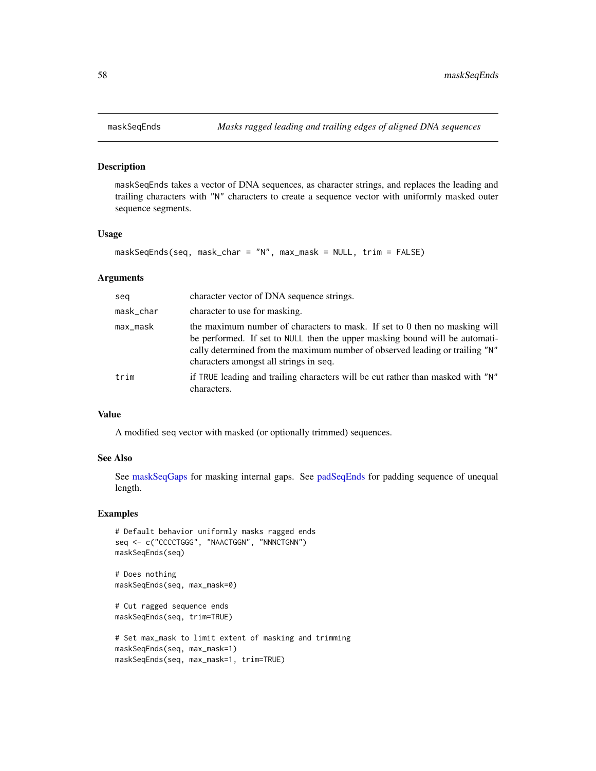<span id="page-57-0"></span>

maskSeqEnds takes a vector of DNA sequences, as character strings, and replaces the leading and trailing characters with "N" characters to create a sequence vector with uniformly masked outer sequence segments.

#### Usage

```
maskSeqEnds(seq, mask_char = "N", max_mask = NULL, trim = FALSE)
```
### Arguments

| seg       | character vector of DNA sequence strings.                                                                                                                                                                                                                                           |
|-----------|-------------------------------------------------------------------------------------------------------------------------------------------------------------------------------------------------------------------------------------------------------------------------------------|
| mask_char | character to use for masking.                                                                                                                                                                                                                                                       |
| max_mask  | the maximum number of characters to mask. If set to 0 then no masking will<br>be performed. If set to NULL then the upper masking bound will be automati-<br>cally determined from the maximum number of observed leading or trailing "N"<br>characters amongst all strings in seq. |
| trim      | if TRUE leading and trailing characters will be cut rather than masked with "N"<br>characters.                                                                                                                                                                                      |

#### Value

A modified seq vector with masked (or optionally trimmed) sequences.

## See Also

See [maskSeqGaps](#page-58-0) for masking internal gaps. See [padSeqEnds](#page-61-0) for padding sequence of unequal length.

#### Examples

```
# Default behavior uniformly masks ragged ends
seq <- c("CCCCTGGG", "NAACTGGN", "NNNCTGNN")
maskSeqEnds(seq)
```
# Does nothing maskSeqEnds(seq, max\_mask=0)

# Cut ragged sequence ends maskSeqEnds(seq, trim=TRUE)

```
# Set max_mask to limit extent of masking and trimming
maskSeqEnds(seq, max_mask=1)
maskSeqEnds(seq, max_mask=1, trim=TRUE)
```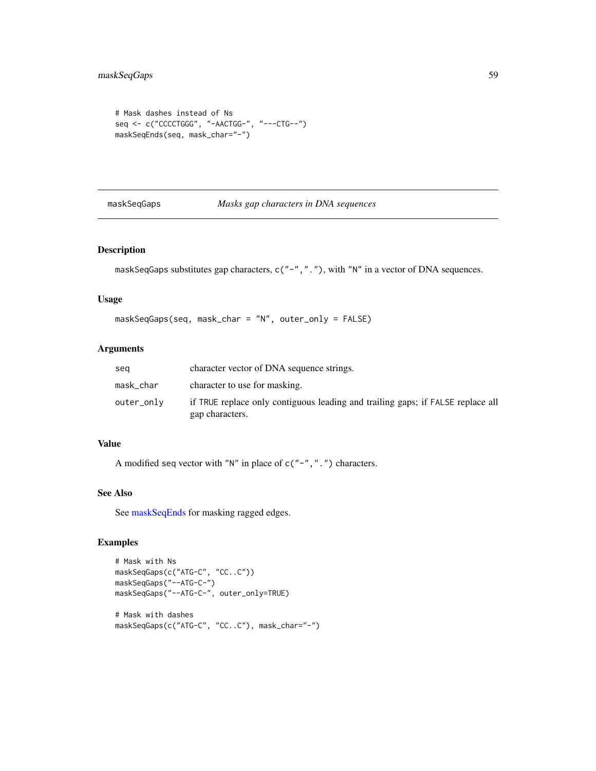```
# Mask dashes instead of Ns
seq <- c("CCCCTGGG", "-AACTGG-", "---CTG--")
maskSeqEnds(seq, mask_char="-")
```
<span id="page-58-0"></span>maskSeqGaps *Masks gap characters in DNA sequences*

## Description

```
maskSeqGaps substitutes gap characters, c("-","."), with "N" in a vector of DNA sequences.
```
## Usage

```
maskSeqGaps(seq, mask_char = "N", outer_only = FALSE)
```
## Arguments

| sea        | character vector of DNA sequence strings.                                                          |
|------------|----------------------------------------------------------------------------------------------------|
| mask_char  | character to use for masking.                                                                      |
| outer_only | if TRUE replace only contiguous leading and trailing gaps; if FALSE replace all<br>gap characters. |

## Value

A modified seq vector with "N" in place of  $c("-", ".^")$  characters.

# See Also

See [maskSeqEnds](#page-57-0) for masking ragged edges.

```
# Mask with Ns
maskSeqGaps(c("ATG-C", "CC..C"))
maskSeqGaps("--ATG-C-")
maskSeqGaps("--ATG-C-", outer_only=TRUE)
# Mask with dashes
```

```
maskSeqGaps(c("ATG-C", "CC..C"), mask_char="-")
```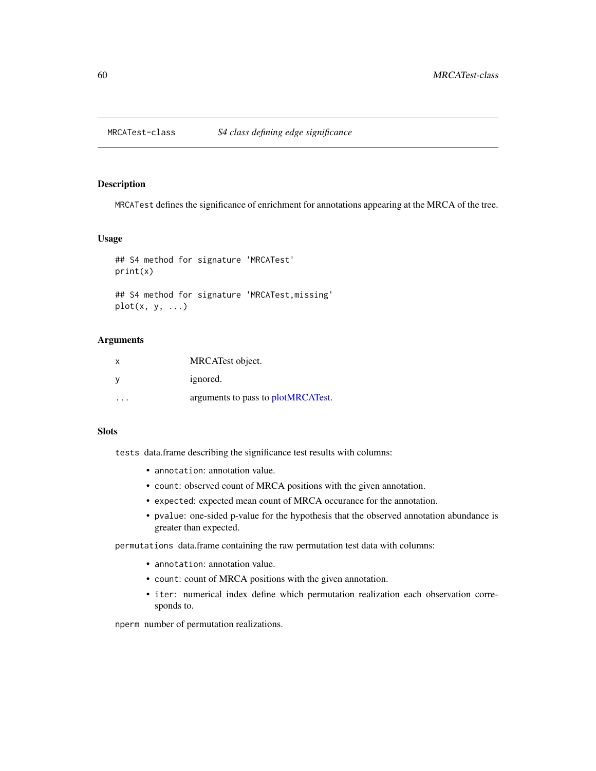<span id="page-59-0"></span>

MRCATest defines the significance of enrichment for annotations appearing at the MRCA of the tree.

#### Usage

```
## S4 method for signature 'MRCATest'
print(x)
```

```
## S4 method for signature 'MRCATest,missing'
plot(x, y, ...)
```
## Arguments

| х         | MRCATest object.                   |
|-----------|------------------------------------|
|           | ignored.                           |
| $\cdot$ . | arguments to pass to plotMRCATest. |

#### Slots

tests data.frame describing the significance test results with columns:

- annotation: annotation value.
- count: observed count of MRCA positions with the given annotation.
- expected: expected mean count of MRCA occurance for the annotation.
- pvalue: one-sided p-value for the hypothesis that the observed annotation abundance is greater than expected.

permutations data.frame containing the raw permutation test data with columns:

- annotation: annotation value.
- count: count of MRCA positions with the given annotation.
- iter: numerical index define which permutation realization each observation corresponds to.

nperm number of permutation realizations.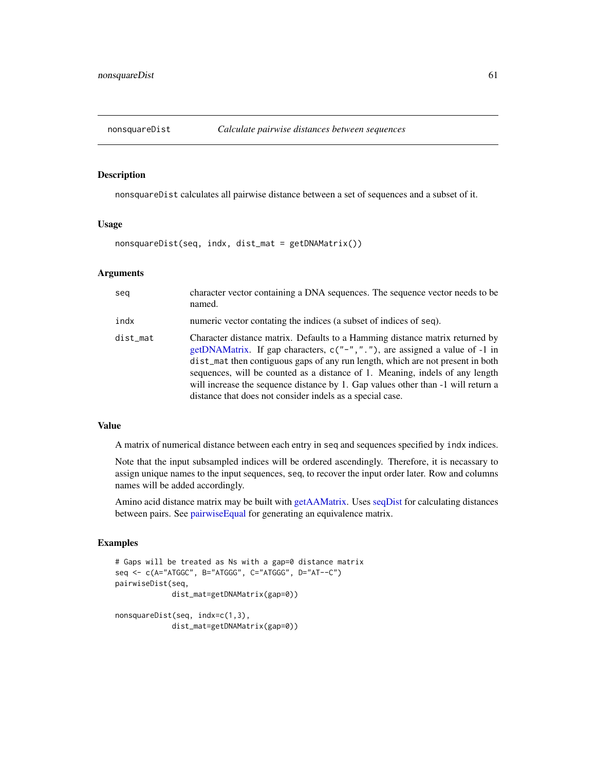nonsquareDist calculates all pairwise distance between a set of sequences and a subset of it.

## Usage

nonsquareDist(seq, indx, dist\_mat = getDNAMatrix())

## Arguments

| seq      | character vector containing a DNA sequences. The sequence vector needs to be<br>named.                                                                                                                                                                                                                                                                                                                                                                                        |
|----------|-------------------------------------------------------------------------------------------------------------------------------------------------------------------------------------------------------------------------------------------------------------------------------------------------------------------------------------------------------------------------------------------------------------------------------------------------------------------------------|
| indx     | numeric vector contating the indices (a subset of indices of seq).                                                                                                                                                                                                                                                                                                                                                                                                            |
| dist mat | Character distance matrix. Defaults to a Hamming distance matrix returned by<br>getDNAMatrix. If gap characters, c("-","."), are assigned a value of -1 in<br>dist_mat then contiguous gaps of any run length, which are not present in both<br>sequences, will be counted as a distance of 1. Meaning, indels of any length<br>will increase the sequence distance by 1. Gap values other than -1 will return a<br>distance that does not consider indels as a special case. |

#### Value

A matrix of numerical distance between each entry in seq and sequences specified by indx indices.

Note that the input subsampled indices will be ordered ascendingly. Therefore, it is necassary to assign unique names to the input sequences, seq, to recover the input order later. Row and columns names will be added accordingly.

Amino acid distance matrix may be built with [getAAMatrix.](#page-36-0) Uses [seqDist](#page-82-0) for calculating distances between pairs. See [pairwiseEqual](#page-63-0) for generating an equivalence matrix.

```
# Gaps will be treated as Ns with a gap=0 distance matrix
seq <- c(A="ATGGC", B="ATGGG", C="ATGGG", D="AT--C")
pairwiseDist(seq,
             dist_mat=getDNAMatrix(gap=0))
nonsquareDist(seq, indx=c(1,3),
             dist_mat=getDNAMatrix(gap=0))
```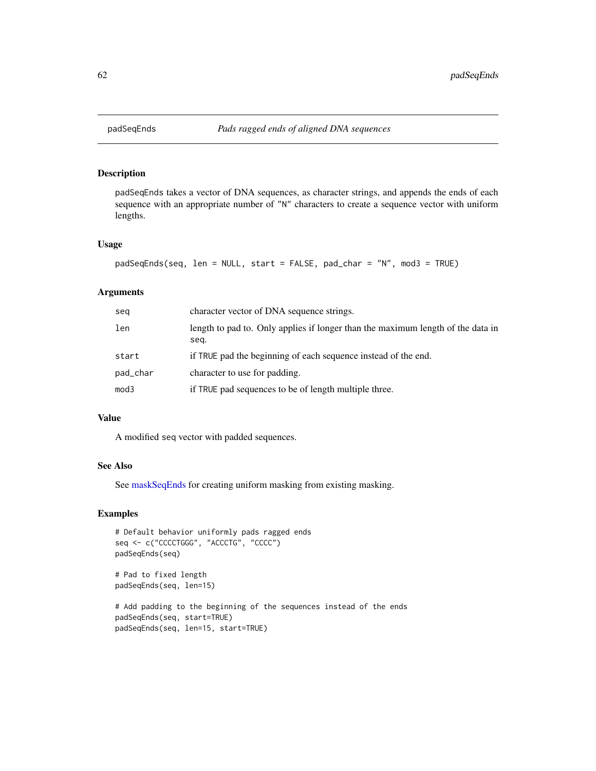<span id="page-61-0"></span>

padSeqEnds takes a vector of DNA sequences, as character strings, and appends the ends of each sequence with an appropriate number of "N" characters to create a sequence vector with uniform lengths.

#### Usage

```
padSeqEnds(seq, len = NULL, start = FALSE, pad_char = "N", mod3 = TRUE)
```
#### Arguments

| seg      | character vector of DNA sequence strings.                                               |
|----------|-----------------------------------------------------------------------------------------|
| len      | length to pad to. Only applies if longer than the maximum length of the data in<br>seg. |
| start    | if TRUE pad the beginning of each sequence instead of the end.                          |
| pad_char | character to use for padding.                                                           |
| mod3     | if TRUE pad sequences to be of length multiple three.                                   |

## Value

A modified seq vector with padded sequences.

## See Also

See [maskSeqEnds](#page-57-0) for creating uniform masking from existing masking.

```
# Default behavior uniformly pads ragged ends
seq <- c("CCCCTGGG", "ACCCTG", "CCCC")
padSeqEnds(seq)
```

```
# Pad to fixed length
padSeqEnds(seq, len=15)
```

```
# Add padding to the beginning of the sequences instead of the ends
padSeqEnds(seq, start=TRUE)
padSeqEnds(seq, len=15, start=TRUE)
```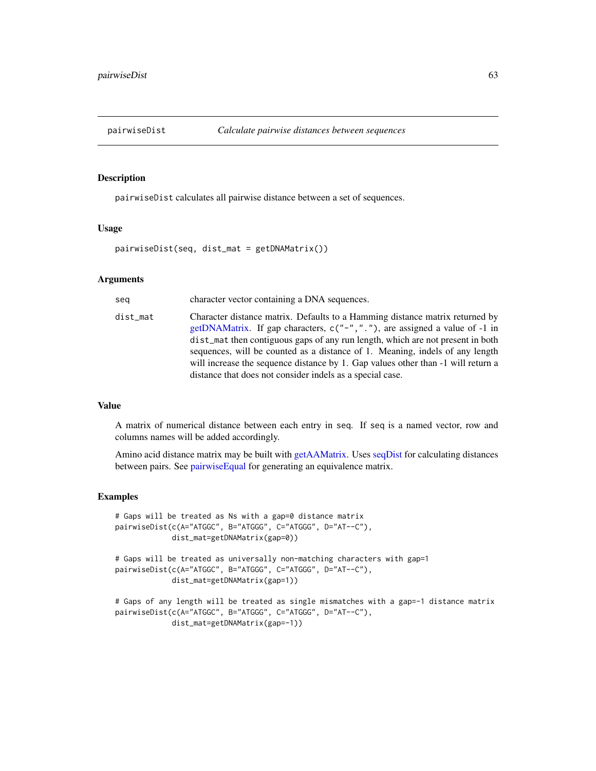<span id="page-62-0"></span>

pairwiseDist calculates all pairwise distance between a set of sequences.

#### Usage

```
pairwiseDist(seq, dist_mat = getDNAMatrix())
```
#### Arguments

| seg      | character vector containing a DNA sequences.                                                                                                                                                                                                                                                                                                                                                                                                                                  |
|----------|-------------------------------------------------------------------------------------------------------------------------------------------------------------------------------------------------------------------------------------------------------------------------------------------------------------------------------------------------------------------------------------------------------------------------------------------------------------------------------|
| dist_mat | Character distance matrix. Defaults to a Hamming distance matrix returned by<br>getDNAMatrix. If gap characters, c("-","."), are assigned a value of -1 in<br>dist_mat then contiguous gaps of any run length, which are not present in both<br>sequences, will be counted as a distance of 1. Meaning, indels of any length<br>will increase the sequence distance by 1. Gap values other than -1 will return a<br>distance that does not consider indels as a special case. |

#### Value

A matrix of numerical distance between each entry in seq. If seq is a named vector, row and columns names will be added accordingly.

Amino acid distance matrix may be built with [getAAMatrix.](#page-36-0) Uses [seqDist](#page-82-0) for calculating distances between pairs. See [pairwiseEqual](#page-63-0) for generating an equivalence matrix.

```
# Gaps will be treated as Ns with a gap=0 distance matrix
pairwiseDist(c(A="ATGGC", B="ATGGG", C="ATGGG", D="AT--C"),
            dist_mat=getDNAMatrix(gap=0))
# Gaps will be treated as universally non-matching characters with gap=1
pairwiseDist(c(A="ATGGC", B="ATGGG", C="ATGGG", D="AT--C"),
            dist_mat=getDNAMatrix(gap=1))
# Gaps of any length will be treated as single mismatches with a gap=-1 distance matrix
pairwiseDist(c(A="ATGGC", B="ATGGG", C="ATGGG", D="AT--C"),
            dist_mat=getDNAMatrix(gap=-1))
```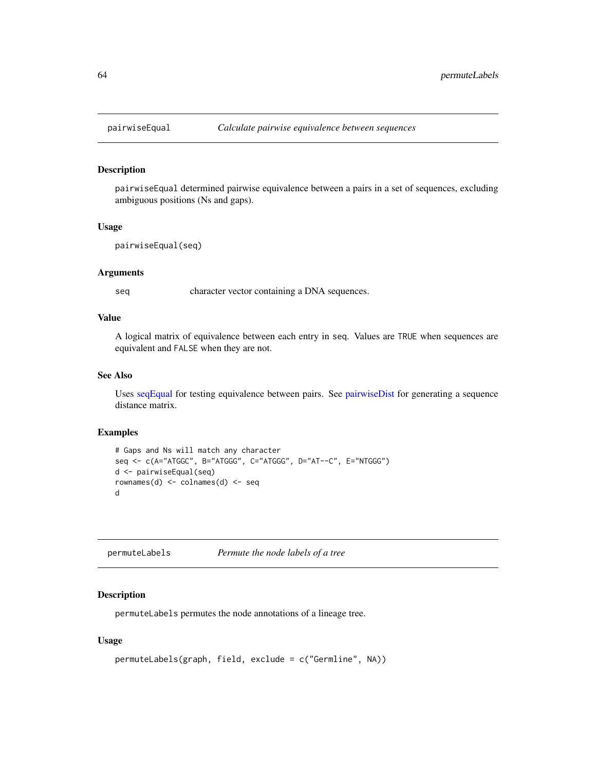<span id="page-63-0"></span>

pairwiseEqual determined pairwise equivalence between a pairs in a set of sequences, excluding ambiguous positions (Ns and gaps).

#### Usage

```
pairwiseEqual(seq)
```
## Arguments

seq character vector containing a DNA sequences.

## Value

A logical matrix of equivalence between each entry in seq. Values are TRUE when sequences are equivalent and FALSE when they are not.

## See Also

Uses [seqEqual](#page-83-0) for testing equivalence between pairs. See [pairwiseDist](#page-62-0) for generating a sequence distance matrix.

# Examples

```
# Gaps and Ns will match any character
seq <- c(A="ATGGC", B="ATGGG", C="ATGGG", D="AT--C", E="NTGGG")
d <- pairwiseEqual(seq)
rownames(d) <- colnames(d) <- seq
d
```
permuteLabels *Permute the node labels of a tree*

## Description

permuteLabels permutes the node annotations of a lineage tree.

## Usage

```
permuteLabels(graph, field, exclude = c("Germline", NA))
```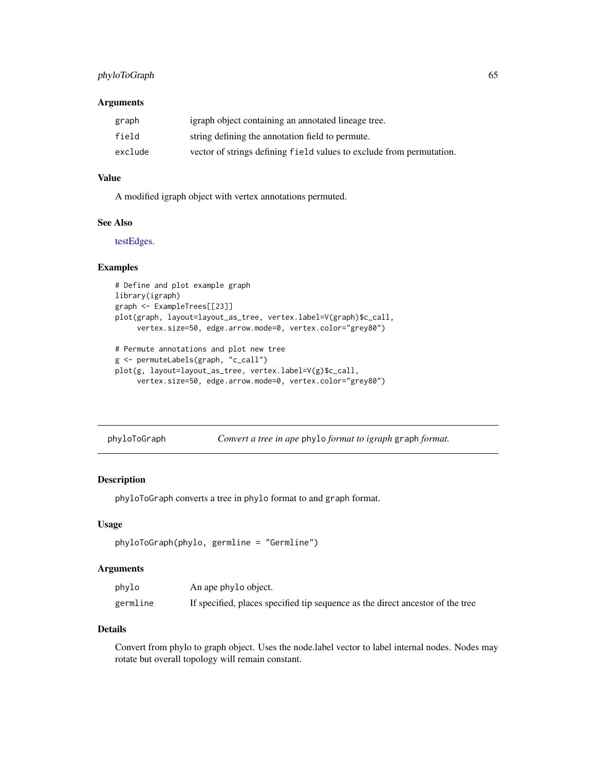## phyloToGraph 65

## Arguments

| graph   | igraph object containing an annotated lineage tree.                  |
|---------|----------------------------------------------------------------------|
| field   | string defining the annotation field to permute.                     |
| exclude | vector of strings defining field values to exclude from permutation. |

# Value

A modified igraph object with vertex annotations permuted.

#### See Also

[testEdges.](#page-91-0)

## Examples

```
# Define and plot example graph
library(igraph)
graph <- ExampleTrees[[23]]
plot(graph, layout=layout_as_tree, vertex.label=V(graph)$c_call,
     vertex.size=50, edge.arrow.mode=0, vertex.color="grey80")
# Permute annotations and plot new tree
g <- permuteLabels(graph, "c_call")
plot(g, layout=layout_as_tree, vertex.label=V(g)$c_call,
```

```
vertex.size=50, edge.arrow.mode=0, vertex.color="grey80")
```
phyloToGraph *Convert a tree in ape* phylo *format to igraph* graph *format.*

## Description

phyloToGraph converts a tree in phylo format to and graph format.

## Usage

```
phyloToGraph(phylo, germline = "Germline")
```
#### Arguments

| phylo    | An ape phylo object.                                                           |
|----------|--------------------------------------------------------------------------------|
| germline | If specified, places specified tip sequence as the direct ancestor of the tree |

#### Details

Convert from phylo to graph object. Uses the node.label vector to label internal nodes. Nodes may rotate but overall topology will remain constant.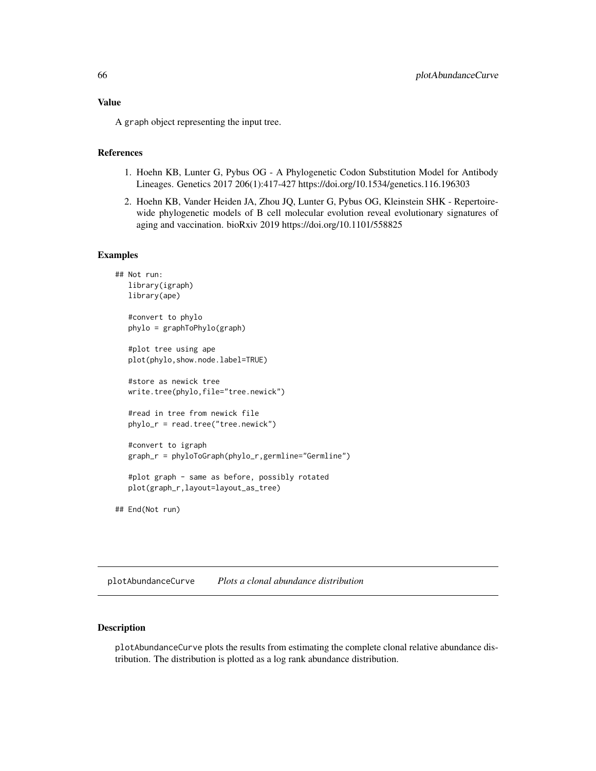A graph object representing the input tree.

## References

- 1. Hoehn KB, Lunter G, Pybus OG A Phylogenetic Codon Substitution Model for Antibody Lineages. Genetics 2017 206(1):417-427 https://doi.org/10.1534/genetics.116.196303
- 2. Hoehn KB, Vander Heiden JA, Zhou JQ, Lunter G, Pybus OG, Kleinstein SHK Repertoirewide phylogenetic models of B cell molecular evolution reveal evolutionary signatures of aging and vaccination. bioRxiv 2019 https://doi.org/10.1101/558825

#### Examples

```
## Not run:
  library(igraph)
  library(ape)
  #convert to phylo
  phylo = graphToPhylo(graph)
   #plot tree using ape
  plot(phylo,show.node.label=TRUE)
   #store as newick tree
  write.tree(phylo,file="tree.newick")
   #read in tree from newick file
  phylo_r = read.tree("tree.newick")
  #convert to igraph
  graph_r = phyloToGraph(phylo_r,germline="Germline")
  #plot graph - same as before, possibly rotated
  plot(graph_r,layout=layout_as_tree)
```
## End(Not run)

plotAbundanceCurve *Plots a clonal abundance distribution*

## Description

plotAbundanceCurve plots the results from estimating the complete clonal relative abundance distribution. The distribution is plotted as a log rank abundance distribution.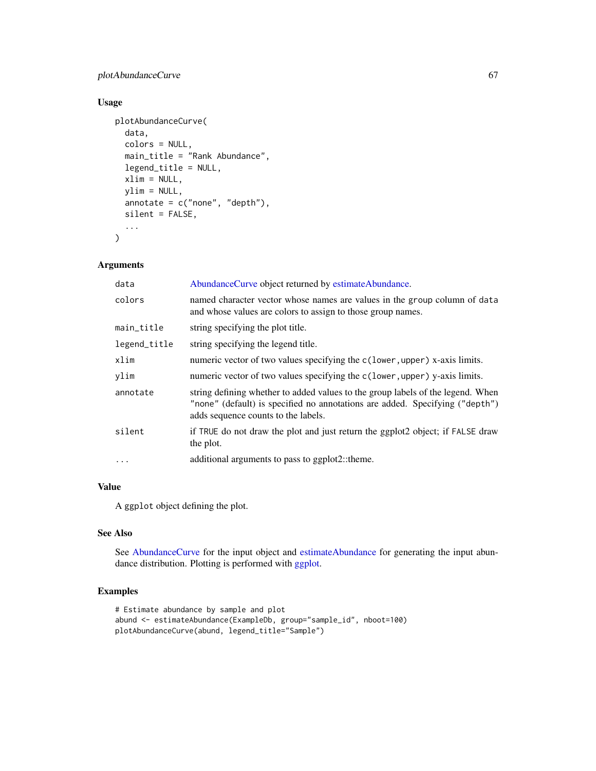## plotAbundanceCurve 67

# Usage

```
plotAbundanceCurve(
  data,
  colors = NULL,
 main_title = "Rank Abundance",
  legend_title = NULL,
  xlim = NULL,ylim = NULL,
  annotate = c("none", "depth"),
  silent = FALSE,
  ...
)
```
#### Arguments

| AbundanceCurve object returned by estimateAbundance.                                                                                                                                                   |
|--------------------------------------------------------------------------------------------------------------------------------------------------------------------------------------------------------|
| named character vector whose names are values in the group column of data<br>and whose values are colors to assign to those group names.                                                               |
| string specifying the plot title.                                                                                                                                                                      |
| string specifying the legend title.                                                                                                                                                                    |
| numeric vector of two values specifying the c(lower, upper) x-axis limits.                                                                                                                             |
| numeric vector of two values specifying the c(lower, upper) y-axis limits.                                                                                                                             |
| string defining whether to added values to the group labels of the legend. When<br>"none" (default) is specified no annotations are added. Specifying ("depth")<br>adds sequence counts to the labels. |
| if TRUE do not draw the plot and just return the ggplot2 object; if FALSE draw<br>the plot.                                                                                                            |
| additional arguments to pass to ggplot2::theme.                                                                                                                                                        |
|                                                                                                                                                                                                        |

# Value

A ggplot object defining the plot.

## See Also

See [AbundanceCurve](#page-3-1) for the input object and [estimateAbundance](#page-31-0) for generating the input abundance distribution. Plotting is performed with [ggplot.](#page-0-0)

```
# Estimate abundance by sample and plot
abund <- estimateAbundance(ExampleDb, group="sample_id", nboot=100)
plotAbundanceCurve(abund, legend_title="Sample")
```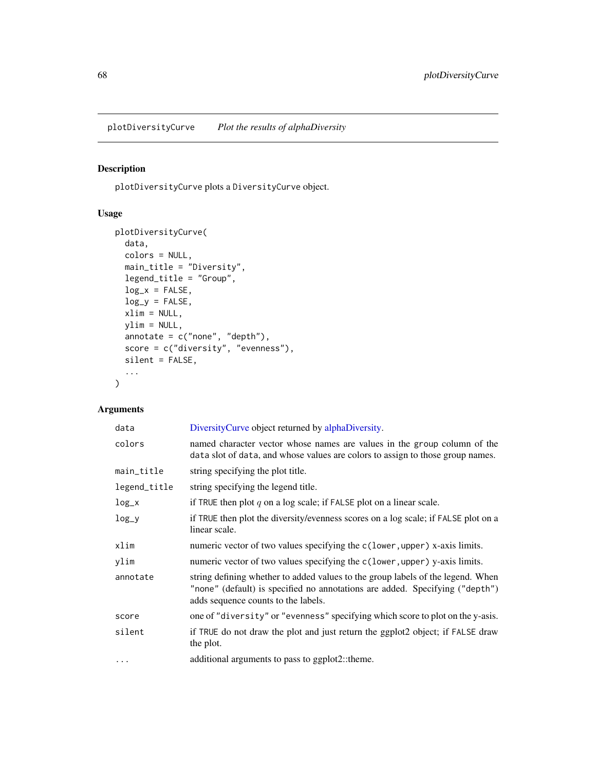plotDiversityCurve *Plot the results of alphaDiversity*

## Description

plotDiversityCurve plots a DiversityCurve object.

# Usage

```
plotDiversityCurve(
  data,
  colors = NULL,
  main_title = "Diversity",
  legend_title = "Group",
  log_x = FALSE,
  log_y = FALSE,
  xlim = NULL,
  ylim = NULL,
  annotate = c("none", "depth"),score = c("diversity", "evenness"),
  silent = FALSE,
  ...
\mathcal{L}
```
# Arguments

| data         | DiversityCurve object returned by alphaDiversity.                                                                                                                                                      |
|--------------|--------------------------------------------------------------------------------------------------------------------------------------------------------------------------------------------------------|
| colors       | named character vector whose names are values in the group column of the<br>data slot of data, and whose values are colors to assign to those group names.                                             |
| main_title   | string specifying the plot title.                                                                                                                                                                      |
| legend_title | string specifying the legend title.                                                                                                                                                                    |
| $log_x$      | if TRUE then plot $q$ on a log scale; if FALSE plot on a linear scale.                                                                                                                                 |
| $log_y$      | if TRUE then plot the diversity/evenness scores on a log scale; if FALSE plot on a<br>linear scale.                                                                                                    |
| xlim         | numeric vector of two values specifying the c(lower, upper) x-axis limits.                                                                                                                             |
| ylim         | numeric vector of two values specifying the c(lower, upper) y-axis limits.                                                                                                                             |
| annotate     | string defining whether to added values to the group labels of the legend. When<br>"none" (default) is specified no annotations are added. Specifying ("depth")<br>adds sequence counts to the labels. |
| score        | one of "diversity" or "evenness" specifying which score to plot on the y-asis.                                                                                                                         |
| silent       | if TRUE do not draw the plot and just return the ggplot2 object; if FALSE draw<br>the plot.                                                                                                            |
| $\ddotsc$    | additional arguments to pass to ggplot2::theme.                                                                                                                                                        |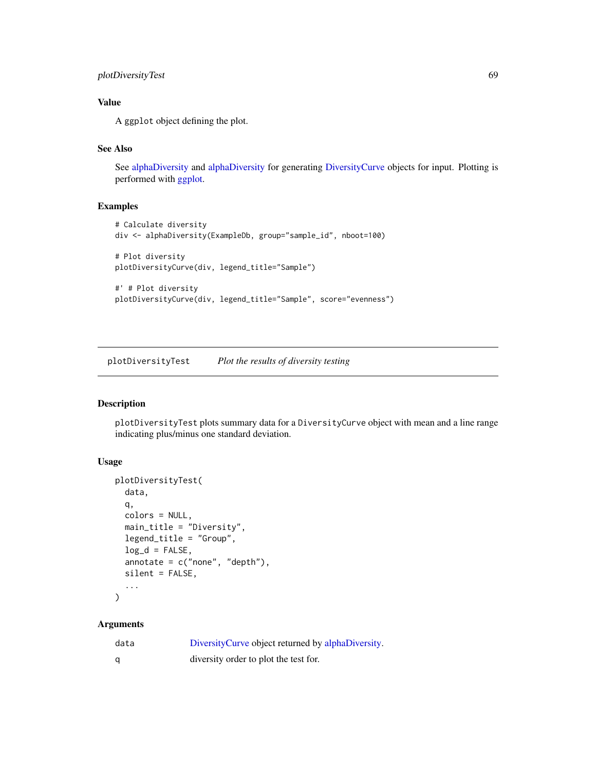## plotDiversityTest 69

# Value

A ggplot object defining the plot.

## See Also

See [alphaDiversity](#page-7-0) and [alphaDiversity](#page-7-0) for generating [DiversityCurve](#page-29-0) objects for input. Plotting is performed with [ggplot.](#page-0-0)

## Examples

```
# Calculate diversity
div <- alphaDiversity(ExampleDb, group="sample_id", nboot=100)
# Plot diversity
plotDiversityCurve(div, legend_title="Sample")
#' # Plot diversity
plotDiversityCurve(div, legend_title="Sample", score="evenness")
```
plotDiversityTest *Plot the results of diversity testing*

#### Description

plotDiversityTest plots summary data for a DiversityCurve object with mean and a line range indicating plus/minus one standard deviation.

# Usage

```
plotDiversityTest(
  data,
  q,
  colors = NULL,
 main_title = "Diversity",
  legend_title = "Group",
  log_d = FALSE,
  annotate = c("none", "depth"),silent = FALSE,
  ...
)
```
#### Arguments

| data | Diversity Curve object returned by alphaDiversity. |
|------|----------------------------------------------------|
| a    | diversity order to plot the test for.              |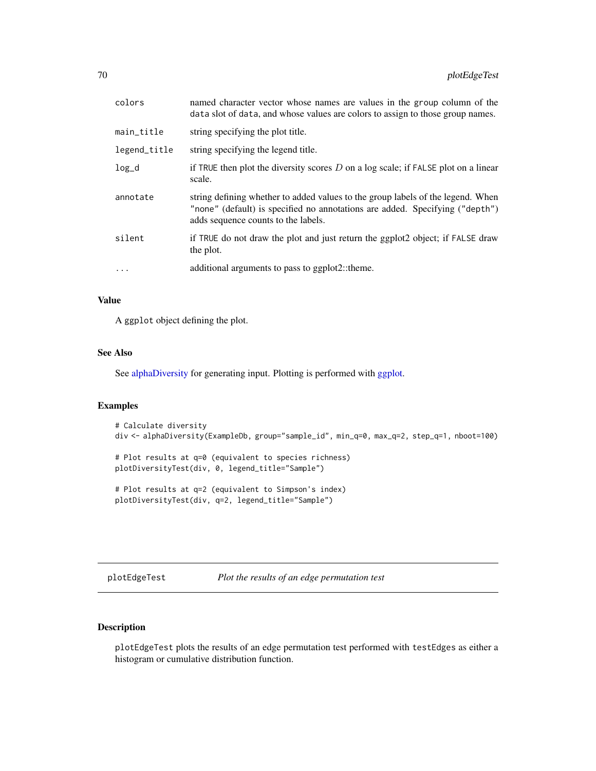| colors       | named character vector whose names are values in the group column of the<br>data slot of data, and whose values are colors to assign to those group names.                                             |
|--------------|--------------------------------------------------------------------------------------------------------------------------------------------------------------------------------------------------------|
| main_title   | string specifying the plot title.                                                                                                                                                                      |
| legend_title | string specifying the legend title.                                                                                                                                                                    |
| $log_d$      | if TRUE then plot the diversity scores $D$ on a log scale; if FALSE plot on a linear<br>scale.                                                                                                         |
| annotate     | string defining whether to added values to the group labels of the legend. When<br>"none" (default) is specified no annotations are added. Specifying ("depth")<br>adds sequence counts to the labels. |
| silent       | if TRUE do not draw the plot and just return the ggplot2 object; if FALSE draw<br>the plot.                                                                                                            |
| $\ddots$ .   | additional arguments to pass to ggplot2::theme.                                                                                                                                                        |

# Value

A ggplot object defining the plot.

# See Also

See [alphaDiversity](#page-7-0) for generating input. Plotting is performed with [ggplot.](#page-0-0)

#### Examples

```
# Calculate diversity
div <- alphaDiversity(ExampleDb, group="sample_id", min_q=0, max_q=2, step_q=1, nboot=100)
# Plot results at q=0 (equivalent to species richness)
plotDiversityTest(div, 0, legend_title="Sample")
# Plot results at q=2 (equivalent to Simpson's index)
plotDiversityTest(div, q=2, legend_title="Sample")
```
plotEdgeTest *Plot the results of an edge permutation test*

# Description

plotEdgeTest plots the results of an edge permutation test performed with testEdges as either a histogram or cumulative distribution function.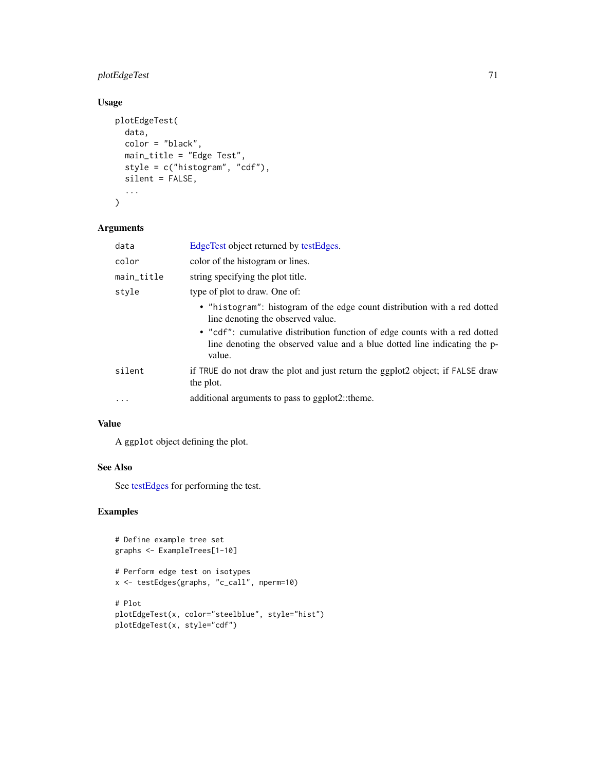# plotEdgeTest 71

# Usage

```
plotEdgeTest(
  data,
  color = "black",
  main_title = "Edge Test",
  style = c("histogram", "cdf"),
  silent = FALSE,
  ...
\mathcal{L}
```
## Arguments

| data       | EdgeTest object returned by testEdges.                                                                                                                            |
|------------|-------------------------------------------------------------------------------------------------------------------------------------------------------------------|
| color      | color of the histogram or lines.                                                                                                                                  |
| main_title | string specifying the plot title.                                                                                                                                 |
| style      | type of plot to draw. One of:                                                                                                                                     |
|            | • "histogram": histogram of the edge count distribution with a red dotted<br>line denoting the observed value.                                                    |
|            | • "cdf": cumulative distribution function of edge counts with a red dotted<br>line denoting the observed value and a blue dotted line indicating the p-<br>value. |
| silent     | if TRUE do not draw the plot and just return the ggplot2 object; if FALSE draw<br>the plot.                                                                       |
| $\ddots$   | additional arguments to pass to ggplot2::theme.                                                                                                                   |

# Value

A ggplot object defining the plot.

## See Also

See [testEdges](#page-91-0) for performing the test.

```
# Define example tree set
graphs <- ExampleTrees[1-10]
# Perform edge test on isotypes
x <- testEdges(graphs, "c_call", nperm=10)
# Plot
plotEdgeTest(x, color="steelblue", style="hist")
plotEdgeTest(x, style="cdf")
```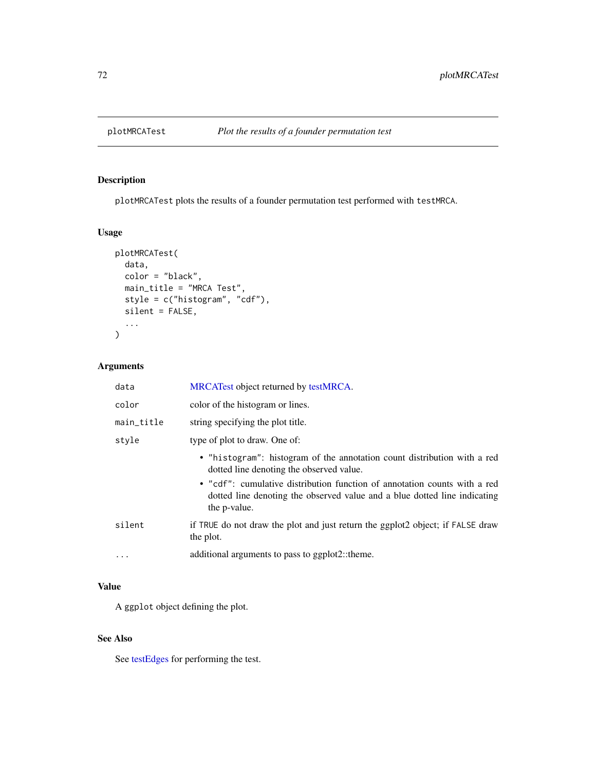<span id="page-71-0"></span>

plotMRCATest plots the results of a founder permutation test performed with testMRCA.

## Usage

```
plotMRCATest(
 data,
  color = "black",
 main_title = "MRCA Test",
 style = c("histogram", "cdf"),
 silent = FALSE,
  ...
)
```
## Arguments

| data       | MRCATest object returned by testMRCA.                                                                                                                                  |
|------------|------------------------------------------------------------------------------------------------------------------------------------------------------------------------|
| color      | color of the histogram or lines.                                                                                                                                       |
| main_title | string specifying the plot title.                                                                                                                                      |
| style      | type of plot to draw. One of:                                                                                                                                          |
|            | • "histogram": histogram of the annotation count distribution with a red<br>dotted line denoting the observed value.                                                   |
|            | • "cdf": cumulative distribution function of annotation counts with a red<br>dotted line denoting the observed value and a blue dotted line indicating<br>the p-value. |
| silent     | if TRUE do not draw the plot and just return the ggplot2 object; if FALSE draw<br>the plot.                                                                            |
| $\cdots$   | additional arguments to pass to ggplot2::theme.                                                                                                                        |

## Value

A ggplot object defining the plot.

# See Also

See [testEdges](#page-91-0) for performing the test.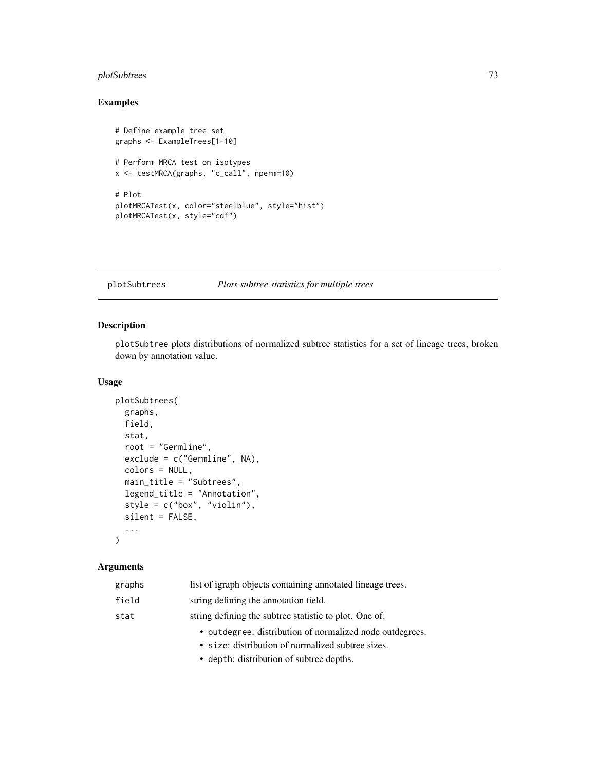# <span id="page-72-0"></span>plotSubtrees 73

# Examples

```
# Define example tree set
graphs <- ExampleTrees[1-10]
# Perform MRCA test on isotypes
x <- testMRCA(graphs, "c_call", nperm=10)
# Plot
plotMRCATest(x, color="steelblue", style="hist")
plotMRCATest(x, style="cdf")
```
#### plotSubtrees *Plots subtree statistics for multiple trees*

# Description

plotSubtree plots distributions of normalized subtree statistics for a set of lineage trees, broken down by annotation value.

#### Usage

```
plotSubtrees(
  graphs,
  field,
  stat,
  root = "Germline",
  exclude = c("Germline", NA),
  colors = NULL,
  main_title = "Subtrees",
  legend_title = "Annotation",
  style = c("box", "violin"),
  silent = FALSE,
  ...
\mathcal{L}
```
#### Arguments

| graphs | list of igraph objects containing annotated lineage trees. |  |
|--------|------------------------------------------------------------|--|
| field  | string defining the annotation field.                      |  |
| stat   | string defining the subtree statistic to plot. One of:     |  |
|        | • outdegree: distribution of normalized node outdegrees.   |  |
|        | • size: distribution of normalized subtree sizes.          |  |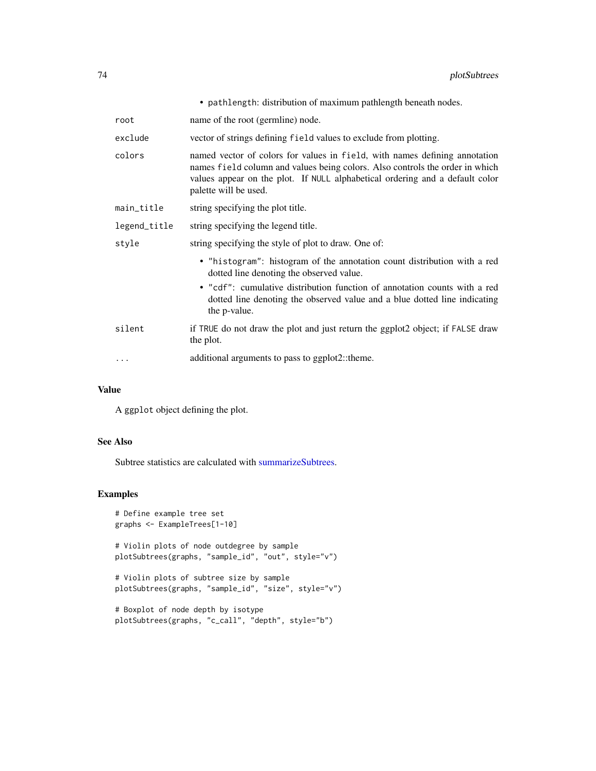<span id="page-73-0"></span>

|              | • pathlength: distribution of maximum pathlength beneath nodes.                                                                                                                                                                                                     |  |
|--------------|---------------------------------------------------------------------------------------------------------------------------------------------------------------------------------------------------------------------------------------------------------------------|--|
| root         | name of the root (germline) node.                                                                                                                                                                                                                                   |  |
| exclude      | vector of strings defining field values to exclude from plotting.                                                                                                                                                                                                   |  |
| colors       | named vector of colors for values in field, with names defining annotation<br>names field column and values being colors. Also controls the order in which<br>values appear on the plot. If NULL alphabetical ordering and a default color<br>palette will be used. |  |
| main_title   | string specifying the plot title.                                                                                                                                                                                                                                   |  |
| legend_title | string specifying the legend title.                                                                                                                                                                                                                                 |  |
| style        | string specifying the style of plot to draw. One of:                                                                                                                                                                                                                |  |
|              | • "histogram": histogram of the annotation count distribution with a red<br>dotted line denoting the observed value.                                                                                                                                                |  |
|              | • "cdf": cumulative distribution function of annotation counts with a red<br>dotted line denoting the observed value and a blue dotted line indicating<br>the p-value.                                                                                              |  |
| silent       | if TRUE do not draw the plot and just return the ggplot2 object; if FALSE draw<br>the plot.                                                                                                                                                                         |  |
| $\cdots$     | additional arguments to pass to ggplot2::theme.                                                                                                                                                                                                                     |  |

# Value

A ggplot object defining the plot.

#### See Also

Subtree statistics are calculated with [summarizeSubtrees.](#page-86-0)

# Examples

```
# Define example tree set
graphs <- ExampleTrees[1-10]
# Violin plots of node outdegree by sample
plotSubtrees(graphs, "sample_id", "out", style="v")
# Violin plots of subtree size by sample
plotSubtrees(graphs, "sample_id", "size", style="v")
# Boxplot of node depth by isotype
```

```
plotSubtrees(graphs, "c_call", "depth", style="b")
```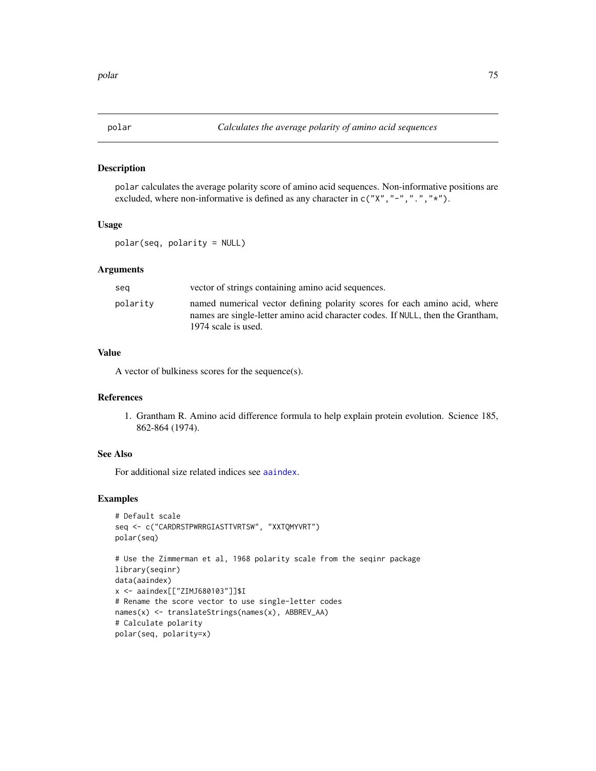<span id="page-74-0"></span>

polar calculates the average polarity score of amino acid sequences. Non-informative positions are excluded, where non-informative is defined as any character in c("X", "-", ".", "\*").

# Usage

```
polar(seq, polarity = NULL)
```
#### Arguments

| seg      | vector of strings containing amino acid sequences.                                                                                                                                   |
|----------|--------------------------------------------------------------------------------------------------------------------------------------------------------------------------------------|
| polarity | named numerical vector defining polarity scores for each amino acid, where<br>names are single-letter amino acid character codes. If NULL, then the Grantham,<br>1974 scale is used. |

# Value

A vector of bulkiness scores for the sequence(s).

### References

1. Grantham R. Amino acid difference formula to help explain protein evolution. Science 185, 862-864 (1974).

#### See Also

For additional size related indices see [aaindex](#page-0-0).

# Examples

```
# Default scale
seq <- c("CARDRSTPWRRGIASTTVRTSW", "XXTQMYVRT")
polar(seq)
# Use the Zimmerman et al, 1968 polarity scale from the seqinr package
library(seqinr)
data(aaindex)
x <- aaindex[["ZIMJ680103"]]$I
# Rename the score vector to use single-letter codes
names(x) <- translateStrings(names(x), ABBREV_AA)
# Calculate polarity
polar(seq, polarity=x)
```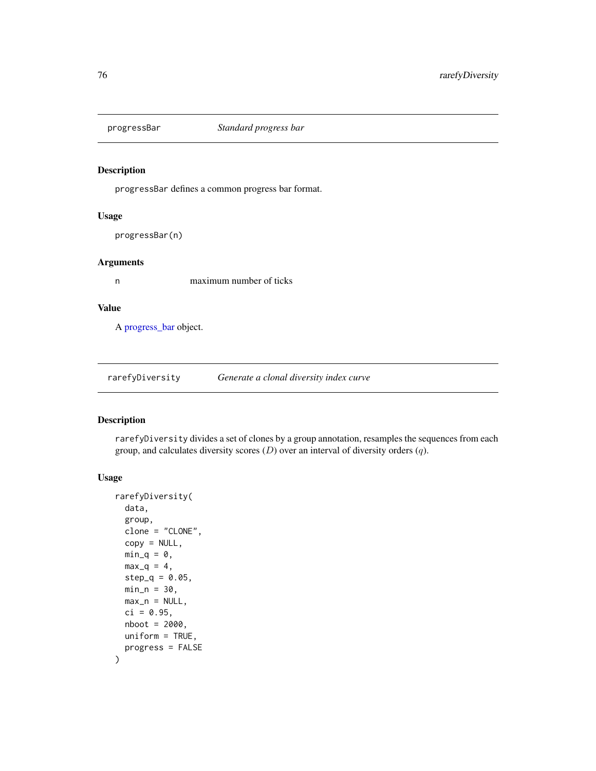<span id="page-75-0"></span>

progressBar defines a common progress bar format.

# Usage

progressBar(n)

#### Arguments

n maximum number of ticks

# Value

A [progress\\_bar](#page-0-0) object.

rarefyDiversity *Generate a clonal diversity index curve*

#### Description

rarefyDiversity divides a set of clones by a group annotation, resamples the sequences from each group, and calculates diversity scores  $(D)$  over an interval of diversity orders  $(q)$ .

# Usage

```
rarefyDiversity(
  data,
 group,
 clone = "CLONE",
 copy = NULL,
 min_q = 0,
 max_q = 4,
 step_q = 0.05,
 min_n = 30,max_n = NULL,
 ci = 0.95,
 nboot = 2000,uniform = TRUE,
 progress = FALSE
\mathcal{E}
```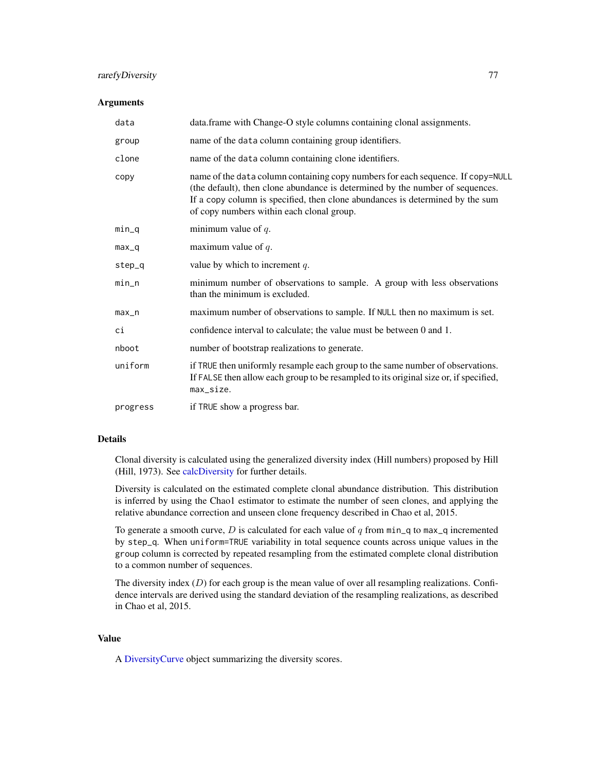# <span id="page-76-0"></span>rarefyDiversity 77

#### Arguments

| data     | data.frame with Change-O style columns containing clonal assignments.                                                                                                                                                                                                                          |  |
|----------|------------------------------------------------------------------------------------------------------------------------------------------------------------------------------------------------------------------------------------------------------------------------------------------------|--|
| group    | name of the data column containing group identifiers.                                                                                                                                                                                                                                          |  |
| clone    | name of the data column containing clone identifiers.                                                                                                                                                                                                                                          |  |
| copy     | name of the data column containing copy numbers for each sequence. If copy=NULL<br>(the default), then clone abundance is determined by the number of sequences.<br>If a copy column is specified, then clone abundances is determined by the sum<br>of copy numbers within each clonal group. |  |
| $min_q$  | minimum value of $q$ .                                                                                                                                                                                                                                                                         |  |
| $max_q$  | maximum value of $q$ .                                                                                                                                                                                                                                                                         |  |
| step_q   | value by which to increment $q$ .                                                                                                                                                                                                                                                              |  |
| $min_n$  | minimum number of observations to sample. A group with less observations<br>than the minimum is excluded.                                                                                                                                                                                      |  |
| $max_n$  | maximum number of observations to sample. If NULL then no maximum is set.                                                                                                                                                                                                                      |  |
| сi       | confidence interval to calculate; the value must be between 0 and 1.                                                                                                                                                                                                                           |  |
| nboot    | number of bootstrap realizations to generate.                                                                                                                                                                                                                                                  |  |
| uniform  | if TRUE then uniformly resample each group to the same number of observations.<br>If FALSE then allow each group to be resampled to its original size or, if specified,<br>max_size.                                                                                                           |  |
| progress | if TRUE show a progress bar.                                                                                                                                                                                                                                                                   |  |

# Details

Clonal diversity is calculated using the generalized diversity index (Hill numbers) proposed by Hill (Hill, 1973). See [calcDiversity](#page-16-0) for further details.

Diversity is calculated on the estimated complete clonal abundance distribution. This distribution is inferred by using the Chao1 estimator to estimate the number of seen clones, and applying the relative abundance correction and unseen clone frequency described in Chao et al, 2015.

To generate a smooth curve, D is calculated for each value of q from  $\min_q$  to  $\max_q$  incremented by step\_q. When uniform=TRUE variability in total sequence counts across unique values in the group column is corrected by repeated resampling from the estimated complete clonal distribution to a common number of sequences.

The diversity index  $(D)$  for each group is the mean value of over all resampling realizations. Confidence intervals are derived using the standard deviation of the resampling realizations, as described in Chao et al, 2015.

# Value

A [DiversityCurve](#page-29-0) object summarizing the diversity scores.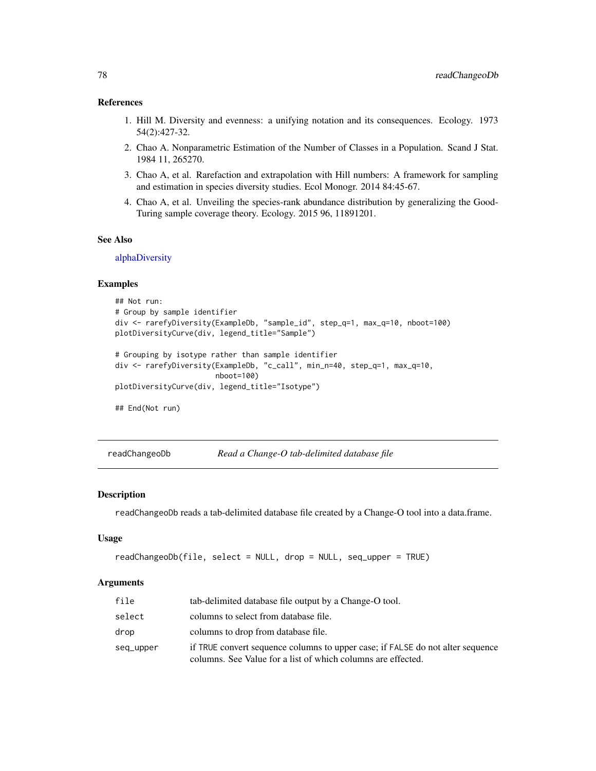#### <span id="page-77-1"></span>References

- 1. Hill M. Diversity and evenness: a unifying notation and its consequences. Ecology. 1973 54(2):427-32.
- 2. Chao A. Nonparametric Estimation of the Number of Classes in a Population. Scand J Stat. 1984 11, 265270.
- 3. Chao A, et al. Rarefaction and extrapolation with Hill numbers: A framework for sampling and estimation in species diversity studies. Ecol Monogr. 2014 84:45-67.
- 4. Chao A, et al. Unveiling the species-rank abundance distribution by generalizing the Good-Turing sample coverage theory. Ecology. 2015 96, 11891201.

#### See Also

[alphaDiversity](#page-7-0)

# Examples

```
## Not run:
# Group by sample identifier
div <- rarefyDiversity(ExampleDb, "sample_id", step_q=1, max_q=10, nboot=100)
plotDiversityCurve(div, legend_title="Sample")
# Grouping by isotype rather than sample identifier
div <- rarefyDiversity(ExampleDb, "c_call", min_n=40, step_q=1, max_q=10,
                       nboot=100)
plotDiversityCurve(div, legend_title="Isotype")
## End(Not run)
```
<span id="page-77-0"></span>readChangeoDb *Read a Change-O tab-delimited database file*

#### Description

readChangeoDb reads a tab-delimited database file created by a Change-O tool into a data.frame.

#### Usage

```
readChangeoDb(file, select = NULL, drop = NULL, seq_upper = TRUE)
```
#### Arguments

| file      | tab-delimited database file output by a Change-O tool.                                                                                         |
|-----------|------------------------------------------------------------------------------------------------------------------------------------------------|
| select    | columns to select from database file.                                                                                                          |
| drop      | columns to drop from database file.                                                                                                            |
| seq_upper | if TRUE convert sequence columns to upper case; if FALSE do not alter sequence<br>columns. See Value for a list of which columns are effected. |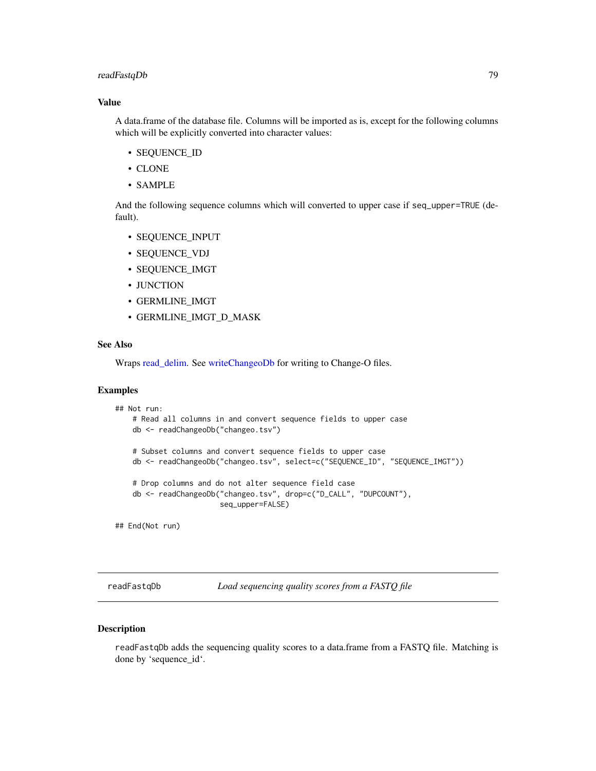# <span id="page-78-0"></span>readFastqDb 79

#### Value

A data.frame of the database file. Columns will be imported as is, except for the following columns which will be explicitly converted into character values:

- SEQUENCE\_ID
- CLONE
- SAMPLE

And the following sequence columns which will converted to upper case if seq\_upper=TRUE (default).

- SEQUENCE\_INPUT
- SEQUENCE\_VDJ
- SEQUENCE\_IMGT
- JUNCTION
- GERMLINE\_IMGT
- GERMLINE\_IMGT\_D\_MASK

#### See Also

Wraps [read\\_delim.](#page-0-0) See [writeChangeoDb](#page-95-0) for writing to Change-O files.

# Examples

```
## Not run:
   # Read all columns in and convert sequence fields to upper case
   db <- readChangeoDb("changeo.tsv")
   # Subset columns and convert sequence fields to upper case
   db <- readChangeoDb("changeo.tsv", select=c("SEQUENCE_ID", "SEQUENCE_IMGT"))
    # Drop columns and do not alter sequence field case
   db <- readChangeoDb("changeo.tsv", drop=c("D_CALL", "DUPCOUNT"),
                       seq_upper=FALSE)
```
## End(Not run)

readFastqDb *Load sequencing quality scores from a FASTQ file*

#### Description

readFastqDb adds the sequencing quality scores to a data.frame from a FASTQ file. Matching is done by 'sequence\_id'.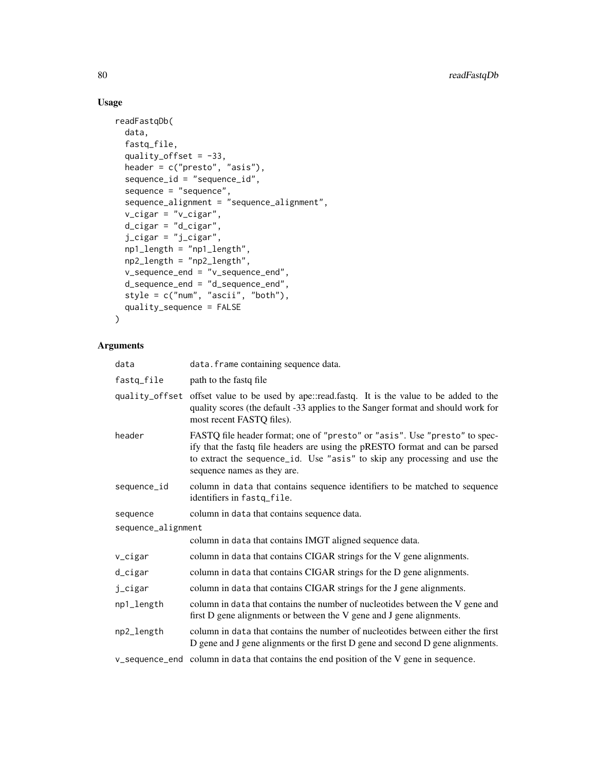# Usage

```
readFastqDb(
  data,
  fastq_file,
  quality_offset = -33,
  header = c("presto", "asis"),
  sequence_id = "sequence_id",
  sequence = "sequence",
  sequence_alignment = "sequence_alignment",
  v_cigar = "v_cigar",
 d_cigar = "d_cigar",
  j_cigar = "j_cigar",
  np1_length = "np1_length",
 np2_length = "np2_length",
  v_sequence_end = "v_sequence_end",
  d_sequence_end = "d_sequence_end",
  style = c("num", "ascii", "both"),
 quality_sequence = FALSE
\mathcal{L}
```
# Arguments

| data               | data. frame containing sequence data.                                                                                                                                                                                                                                   |  |
|--------------------|-------------------------------------------------------------------------------------------------------------------------------------------------------------------------------------------------------------------------------------------------------------------------|--|
| fastq_file         | path to the fastq file                                                                                                                                                                                                                                                  |  |
|                    | quality_offset offset value to be used by ape::read.fastq. It is the value to be added to the<br>quality scores (the default -33 applies to the Sanger format and should work for<br>most recent FASTQ files).                                                          |  |
| header             | FASTQ file header format; one of "presto" or "asis". Use "presto" to spec-<br>ify that the fastq file headers are using the pRESTO format and can be parsed<br>to extract the sequence_id. Use "asis" to skip any processing and use the<br>sequence names as they are. |  |
| sequence_id        | column in data that contains sequence identifiers to be matched to sequence<br>identifiers in fastq_file.                                                                                                                                                               |  |
| sequence           | column in data that contains sequence data.                                                                                                                                                                                                                             |  |
| sequence_alignment |                                                                                                                                                                                                                                                                         |  |
|                    | column in data that contains IMGT aligned sequence data.                                                                                                                                                                                                                |  |
| v_cigar            | column in data that contains CIGAR strings for the V gene alignments.                                                                                                                                                                                                   |  |
| d_cigar            | column in data that contains CIGAR strings for the D gene alignments.                                                                                                                                                                                                   |  |
| j_cigar            | column in data that contains CIGAR strings for the J gene alignments.                                                                                                                                                                                                   |  |
| np1_length         | column in data that contains the number of nucleotides between the V gene and<br>first D gene alignments or between the V gene and J gene alignments.                                                                                                                   |  |
| np2_length         | column in data that contains the number of nucleotides between either the first<br>D gene and J gene alignments or the first D gene and second D gene alignments.                                                                                                       |  |
|                    | v_sequence_end column in data that contains the end position of the V gene in sequence.                                                                                                                                                                                 |  |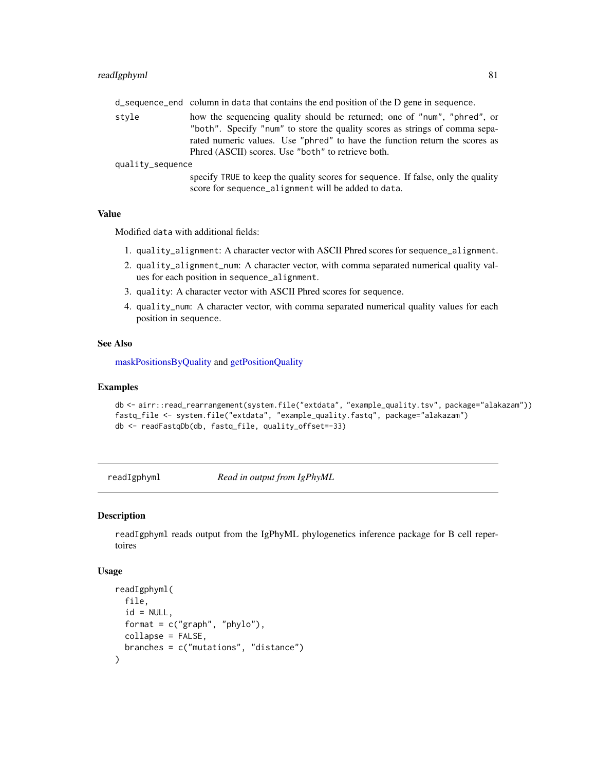#### <span id="page-80-0"></span>readIgphyml 81

d\_sequence\_end column in data that contains the end position of the D gene in sequence.

style how the sequencing quality should be returned; one of "num", "phred", or "both". Specify "num" to store the quality scores as strings of comma separated numeric values. Use "phred" to have the function return the scores as Phred (ASCII) scores. Use "both" to retrieve both.

quality\_sequence

specify TRUE to keep the quality scores for sequence. If false, only the quality score for sequence\_alignment will be added to data.

# Value

Modified data with additional fields:

- 1. quality\_alignment: A character vector with ASCII Phred scores for sequence\_alignment.
- 2. quality\_alignment\_num: A character vector, with comma separated numerical quality values for each position in sequence\_alignment.
- 3. quality: A character vector with ASCII Phred scores for sequence.
- 4. quality\_num: A character vector, with comma separated numerical quality values for each position in sequence.

#### See Also

[maskPositionsByQuality](#page-56-0) and [getPositionQuality](#page-40-0)

#### Examples

```
db <- airr::read_rearrangement(system.file("extdata", "example_quality.tsv", package="alakazam"))
fastq_file <- system.file("extdata", "example_quality.fastq", package="alakazam")
db <- readFastqDb(db, fastq_file, quality_offset=-33)
```
readIgphyml *Read in output from IgPhyML*

#### **Description**

readIgphyml reads output from the IgPhyML phylogenetics inference package for B cell repertoires

#### Usage

```
readIgphyml(
  file,
  id = NULL,format = c("graph", "phylo").collapse = FALSE,
  branches = c("mutations", "distance")
)
```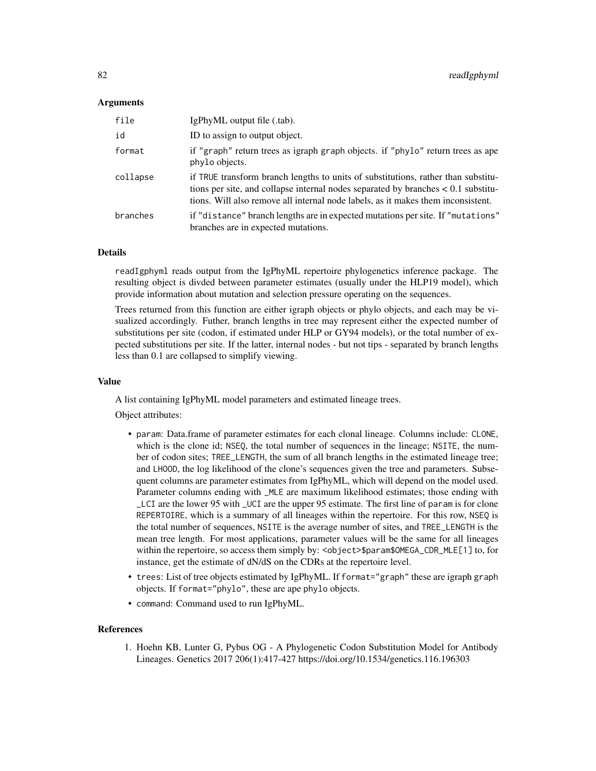#### Arguments

| file     | IgPhyML output file (.tab).                                                                                                                                                                                                                                  |
|----------|--------------------------------------------------------------------------------------------------------------------------------------------------------------------------------------------------------------------------------------------------------------|
| id       | ID to assign to output object.                                                                                                                                                                                                                               |
| format   | if "graph" return trees as igraph graph objects. if "phylo" return trees as ape<br>phylo objects.                                                                                                                                                            |
| collapse | if TRUE transform branch lengths to units of substitutions, rather than substitu-<br>tions per site, and collapse internal nodes separated by branches $< 0.1$ substitu-<br>tions. Will also remove all internal node labels, as it makes them inconsistent. |
| branches | if "distance" branch lengths are in expected mutations per site. If "mutations"<br>branches are in expected mutations.                                                                                                                                       |

# Details

readIgphyml reads output from the IgPhyML repertoire phylogenetics inference package. The resulting object is divded between parameter estimates (usually under the HLP19 model), which provide information about mutation and selection pressure operating on the sequences.

Trees returned from this function are either igraph objects or phylo objects, and each may be visualized accordingly. Futher, branch lengths in tree may represent either the expected number of substitutions per site (codon, if estimated under HLP or GY94 models), or the total number of expected substitutions per site. If the latter, internal nodes - but not tips - separated by branch lengths less than 0.1 are collapsed to simplify viewing.

# Value

A list containing IgPhyML model parameters and estimated lineage trees.

Object attributes:

- param: Data.frame of parameter estimates for each clonal lineage. Columns include: CLONE, which is the clone id; NSEQ, the total number of sequences in the lineage; NSITE, the number of codon sites; TREE\_LENGTH, the sum of all branch lengths in the estimated lineage tree; and LHOOD, the log likelihood of the clone's sequences given the tree and parameters. Subsequent columns are parameter estimates from IgPhyML, which will depend on the model used. Parameter columns ending with \_MLE are maximum likelihood estimates; those ending with \_LCI are the lower 95 with \_UCI are the upper 95 estimate. The first line of param is for clone REPERTOIRE, which is a summary of all lineages within the repertoire. For this row, NSEQ is the total number of sequences, NSITE is the average number of sites, and TREE\_LENGTH is the mean tree length. For most applications, parameter values will be the same for all lineages within the repertoire, so access them simply by: < object>\$param\$OMEGA\_CDR\_MLE[1] to, for instance, get the estimate of dN/dS on the CDRs at the repertoire level.
- trees: List of tree objects estimated by IgPhyML. If format="graph" these are igraph graph objects. If format="phylo", these are ape phylo objects.
- command: Command used to run IgPhyML.

#### References

1. Hoehn KB, Lunter G, Pybus OG - A Phylogenetic Codon Substitution Model for Antibody Lineages. Genetics 2017 206(1):417-427 https://doi.org/10.1534/genetics.116.196303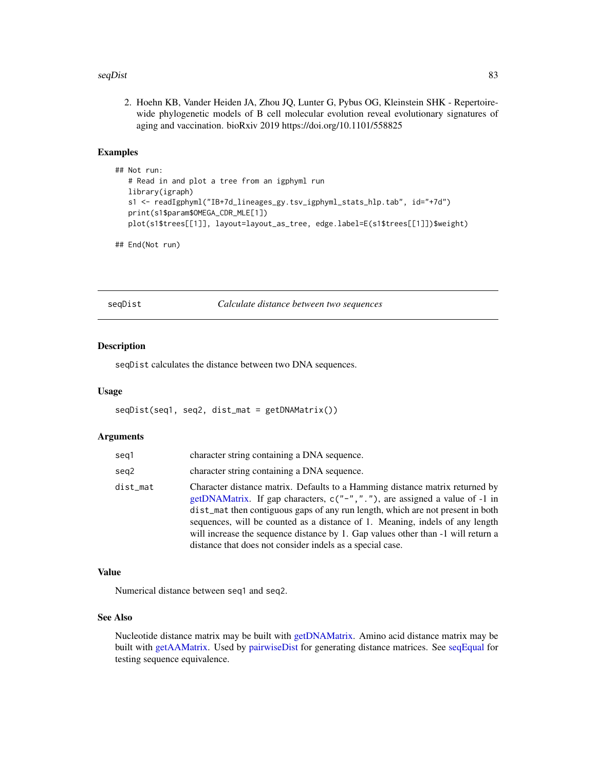#### <span id="page-82-1"></span> $seqDist$  83

2. Hoehn KB, Vander Heiden JA, Zhou JQ, Lunter G, Pybus OG, Kleinstein SHK - Repertoirewide phylogenetic models of B cell molecular evolution reveal evolutionary signatures of aging and vaccination. bioRxiv 2019 https://doi.org/10.1101/558825

# Examples

```
## Not run:
  # Read in and plot a tree from an igphyml run
  library(igraph)
  s1 <- readIgphyml("IB+7d_lineages_gy.tsv_igphyml_stats_hlp.tab", id="+7d")
  print(s1$param$OMEGA_CDR_MLE[1])
  plot(s1$trees[[1]], layout=layout_as_tree, edge.label=E(s1$trees[[1]])$weight)
```
## End(Not run)

<span id="page-82-0"></span>seqDist *Calculate distance between two sequences*

#### Description

seqDist calculates the distance between two DNA sequences.

#### Usage

seqDist(seq1, seq2, dist\_mat = getDNAMatrix())

#### Arguments

| seg1     | character string containing a DNA sequence.                                                                                                                                                                                                                                                                                                                                                                                                                                   |
|----------|-------------------------------------------------------------------------------------------------------------------------------------------------------------------------------------------------------------------------------------------------------------------------------------------------------------------------------------------------------------------------------------------------------------------------------------------------------------------------------|
| seg2     | character string containing a DNA sequence.                                                                                                                                                                                                                                                                                                                                                                                                                                   |
| dist mat | Character distance matrix. Defaults to a Hamming distance matrix returned by<br>getDNAMatrix. If gap characters, c("-","."), are assigned a value of -1 in<br>dist_mat then contiguous gaps of any run length, which are not present in both<br>sequences, will be counted as a distance of 1. Meaning, indels of any length<br>will increase the sequence distance by 1. Gap values other than -1 will return a<br>distance that does not consider indels as a special case. |

#### Value

Numerical distance between seq1 and seq2.

# See Also

Nucleotide distance matrix may be built with [getDNAMatrix.](#page-37-0) Amino acid distance matrix may be built with [getAAMatrix.](#page-36-0) Used by [pairwiseDist](#page-62-0) for generating distance matrices. See [seqEqual](#page-83-0) for testing sequence equivalence.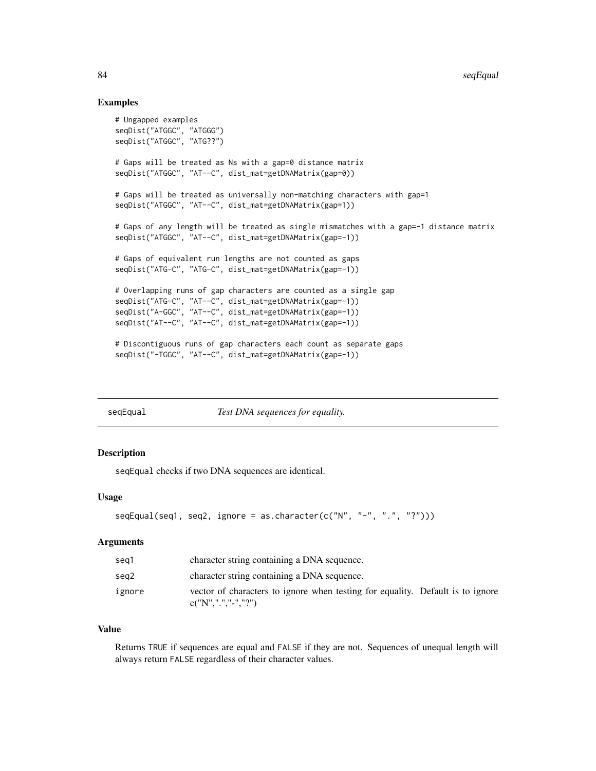# <span id="page-83-1"></span>Examples

```
# Ungapped examples
seqDist("ATGGC", "ATGGG")
seqDist("ATGGC", "ATG??")
# Gaps will be treated as Ns with a gap=0 distance matrix
seqDist("ATGGC", "AT--C", dist_mat=getDNAMatrix(gap=0))
# Gaps will be treated as universally non-matching characters with gap=1
seqDist("ATGGC", "AT--C", dist_mat=getDNAMatrix(gap=1))
# Gaps of any length will be treated as single mismatches with a gap=-1 distance matrix
seqDist("ATGGC", "AT--C", dist_mat=getDNAMatrix(gap=-1))
# Gaps of equivalent run lengths are not counted as gaps
seqDist("ATG-C", "ATG-C", dist_mat=getDNAMatrix(gap=-1))
# Overlapping runs of gap characters are counted as a single gap
seqDist("ATG-C", "AT--C", dist_mat=getDNAMatrix(gap=-1))
seqDist("A-GGC", "AT--C", dist_mat=getDNAMatrix(gap=-1))
seqDist("AT--C", "AT--C", dist_mat=getDNAMatrix(gap=-1))
# Discontiguous runs of gap characters each count as separate gaps
seqDist("-TGGC", "AT--C", dist_mat=getDNAMatrix(gap=-1))
```
seqEqual *Test DNA sequences for equality.*

#### Description

seqEqual checks if two DNA sequences are identical.

# Usage

```
seqEqual(seq1, seq2, ignore = as.charAtacter(c("N", "-"", "."", "?"))
```
#### Arguments

| seg1   | character string containing a DNA sequence.                                                              |
|--------|----------------------------------------------------------------------------------------------------------|
| sea2   | character string containing a DNA sequence.                                                              |
| ignore | vector of characters to ignore when testing for equality. Default is to ignore<br>c("N",".".". .". ? ?") |

#### Value

Returns TRUE if sequences are equal and FALSE if they are not. Sequences of unequal length will always return FALSE regardless of their character values.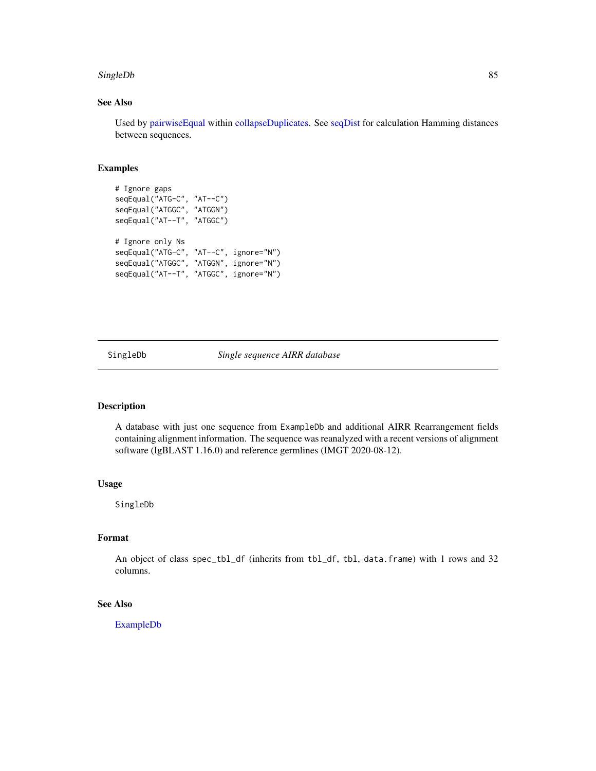#### <span id="page-84-0"></span>SingleDb 85

# See Also

Used by [pairwiseEqual](#page-63-0) within [collapseDuplicates.](#page-20-0) See [seqDist](#page-82-0) for calculation Hamming distances between sequences.

#### Examples

```
# Ignore gaps
seqEqual("ATG-C", "AT--C")
seqEqual("ATGGC", "ATGGN")
seqEqual("AT--T", "ATGGC")
# Ignore only Ns
seqEqual("ATG-C", "AT--C", ignore="N")
seqEqual("ATGGC", "ATGGN", ignore="N")
seqEqual("AT--T", "ATGGC", ignore="N")
```
SingleDb *Single sequence AIRR database*

# Description

A database with just one sequence from ExampleDb and additional AIRR Rearrangement fields containing alignment information. The sequence was reanalyzed with a recent versions of alignment software (IgBLAST 1.16.0) and reference germlines (IMGT 2020-08-12).

#### Usage

SingleDb

# Format

An object of class spec\_tbl\_df (inherits from tbl\_df, tbl, data.frame) with 1 rows and 32 columns.

# See Also

[ExampleDb](#page-33-0)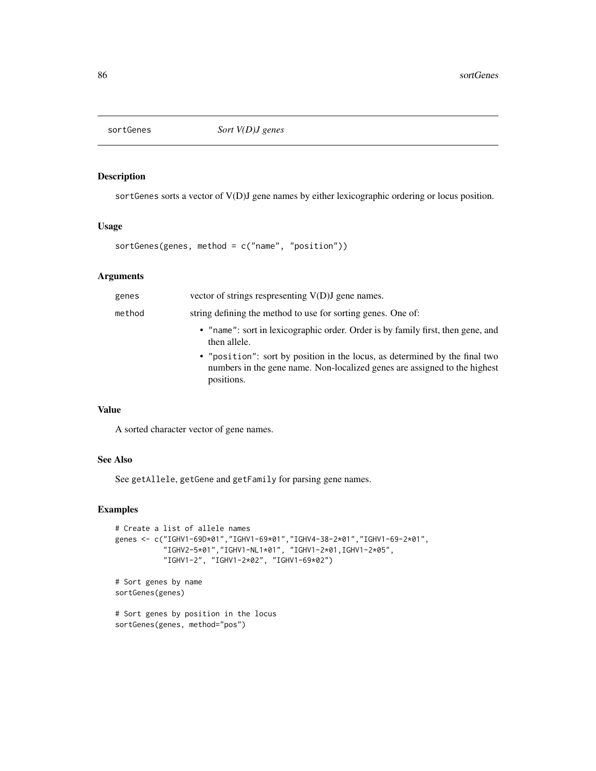<span id="page-85-0"></span>

sortGenes sorts a vector of V(D)J gene names by either lexicographic ordering or locus position.

#### Usage

```
sortGenes(genes, method = c("name", "position"))
```
# Arguments

| genes  | vector of strings respresenting $V(D)J$ gene names.                                                                                                                    |
|--------|------------------------------------------------------------------------------------------------------------------------------------------------------------------------|
| method | string defining the method to use for sorting genes. One of:                                                                                                           |
|        | • "name": sort in lexicographic order. Order is by family first, then gene, and<br>then allele.                                                                        |
|        | • "position": sort by position in the locus, as determined by the final two<br>numbers in the gene name. Non-localized genes are assigned to the highest<br>positions. |
|        |                                                                                                                                                                        |

# Value

A sorted character vector of gene names.

### See Also

See getAllele, getGene and getFamily for parsing gene names.

# Examples

```
# Create a list of allele names
genes <- c("IGHV1-69D*01","IGHV1-69*01","IGHV4-38-2*01","IGHV1-69-2*01",
           "IGHV2-5*01","IGHV1-NL1*01", "IGHV1-2*01,IGHV1-2*05",
           "IGHV1-2", "IGHV1-2*02", "IGHV1-69*02")
# Sort genes by name
sortGenes(genes)
```
# Sort genes by position in the locus sortGenes(genes, method="pos")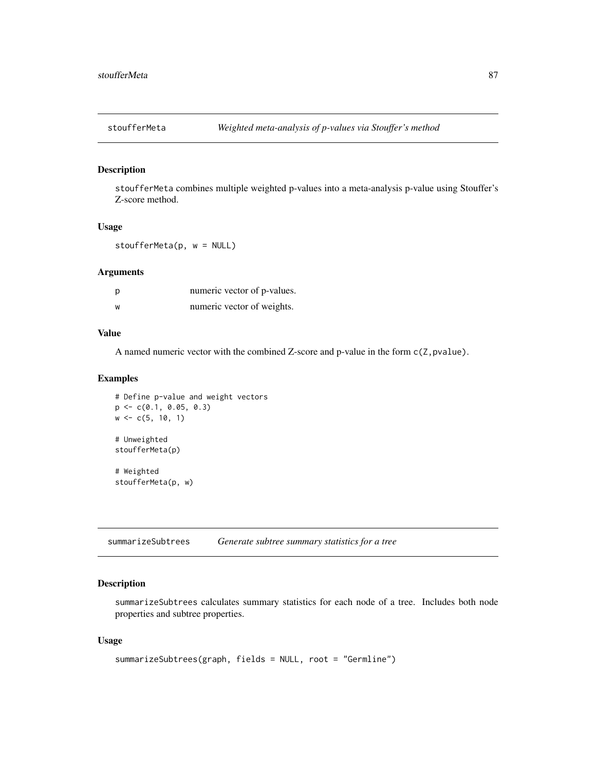<span id="page-86-1"></span>

stoufferMeta combines multiple weighted p-values into a meta-analysis p-value using Stouffer's Z-score method.

# Usage

stoufferMeta(p, w = NULL)

# Arguments

| p | numeric vector of p-values. |
|---|-----------------------------|
| w | numeric vector of weights.  |

# Value

A named numeric vector with the combined Z-score and p-value in the form  $c(2, pvalue)$ .

#### Examples

```
# Define p-value and weight vectors
p \leftarrow c(0.1, 0.05, 0.3)w \leq c(5, 10, 1)# Unweighted
stoufferMeta(p)
# Weighted
stoufferMeta(p, w)
```
<span id="page-86-0"></span>summarizeSubtrees *Generate subtree summary statistics for a tree*

# Description

summarizeSubtrees calculates summary statistics for each node of a tree. Includes both node properties and subtree properties.

#### Usage

```
summarizeSubtrees(graph, fields = NULL, root = "Germline")
```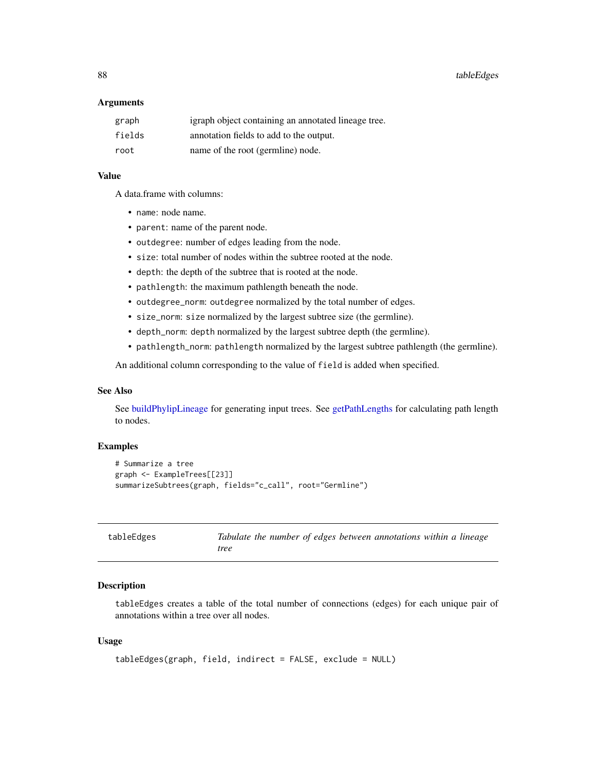<span id="page-87-1"></span>88 tableEdges

#### **Arguments**

| graph  | igraph object containing an annotated lineage tree. |
|--------|-----------------------------------------------------|
| fields | annotation fields to add to the output.             |
| root   | name of the root (germline) node.                   |

# Value

A data.frame with columns:

- name: node name.
- parent: name of the parent node.
- outdegree: number of edges leading from the node.
- size: total number of nodes within the subtree rooted at the node.
- depth: the depth of the subtree that is rooted at the node.
- pathlength: the maximum pathlength beneath the node.
- outdegree\_norm: outdegree normalized by the total number of edges.
- size\_norm: size normalized by the largest subtree size (the germline).
- depth\_norm: depth normalized by the largest subtree depth (the germline).
- pathlength\_norm: pathlength normalized by the largest subtree pathlength (the germline).

An additional column corresponding to the value of field is added when specified.

# See Also

See [buildPhylipLineage](#page-12-0) for generating input trees. See [getPathLengths](#page-39-0) for calculating path length to nodes.

# Examples

```
# Summarize a tree
graph <- ExampleTrees[[23]]
summarizeSubtrees(graph, fields="c_call", root="Germline")
```
<span id="page-87-0"></span>

| tableEdges | Tabulate the number of edges between annotations within a lineage |
|------------|-------------------------------------------------------------------|
|            | tree                                                              |

# **Description**

tableEdges creates a table of the total number of connections (edges) for each unique pair of annotations within a tree over all nodes.

#### Usage

```
tableEdges(graph, field, indirect = FALSE, exclude = NULL)
```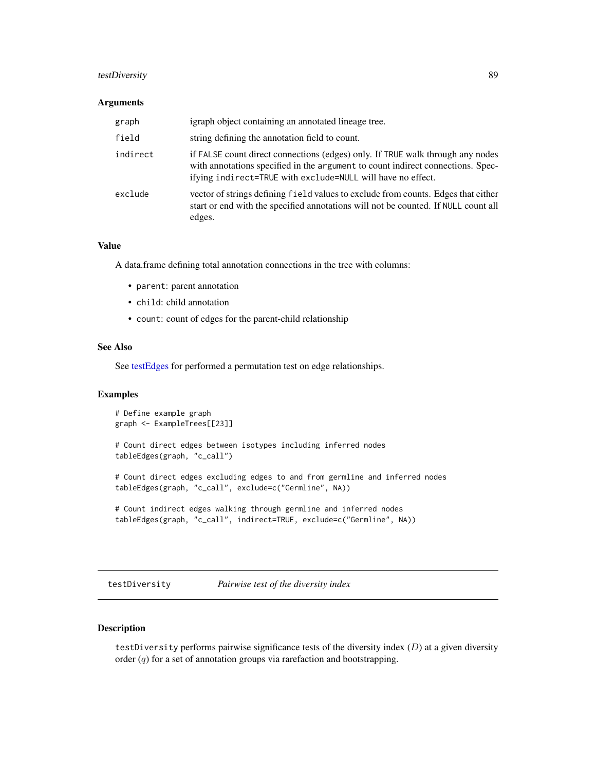# <span id="page-88-0"></span>testDiversity 89

#### **Arguments**

| graph    | igraph object containing an annotated lineage tree.                                                                                                                                                                              |  |
|----------|----------------------------------------------------------------------------------------------------------------------------------------------------------------------------------------------------------------------------------|--|
| field    | string defining the annotation field to count.                                                                                                                                                                                   |  |
| indirect | if FALSE count direct connections (edges) only. If TRUE walk through any nodes<br>with annotations specified in the argument to count indirect connections. Spec-<br>ifying indirect=TRUE with exclude=NULL will have no effect. |  |
| exclude  | vector of strings defining field values to exclude from counts. Edges that either<br>start or end with the specified annotations will not be counted. If NULL count all<br>edges.                                                |  |

# Value

A data.frame defining total annotation connections in the tree with columns:

- parent: parent annotation
- child: child annotation
- count: count of edges for the parent-child relationship

# See Also

See [testEdges](#page-91-0) for performed a permutation test on edge relationships.

#### Examples

```
# Define example graph
graph <- ExampleTrees[[23]]
# Count direct edges between isotypes including inferred nodes
tableEdges(graph, "c_call")
# Count direct edges excluding edges to and from germline and inferred nodes
tableEdges(graph, "c_call", exclude=c("Germline", NA))
```
# Count indirect edges walking through germline and inferred nodes tableEdges(graph, "c\_call", indirect=TRUE, exclude=c("Germline", NA))

testDiversity *Pairwise test of the diversity index*

# Description

testDiversity performs pairwise significance tests of the diversity index  $(D)$  at a given diversity order  $(q)$  for a set of annotation groups via rarefaction and bootstrapping.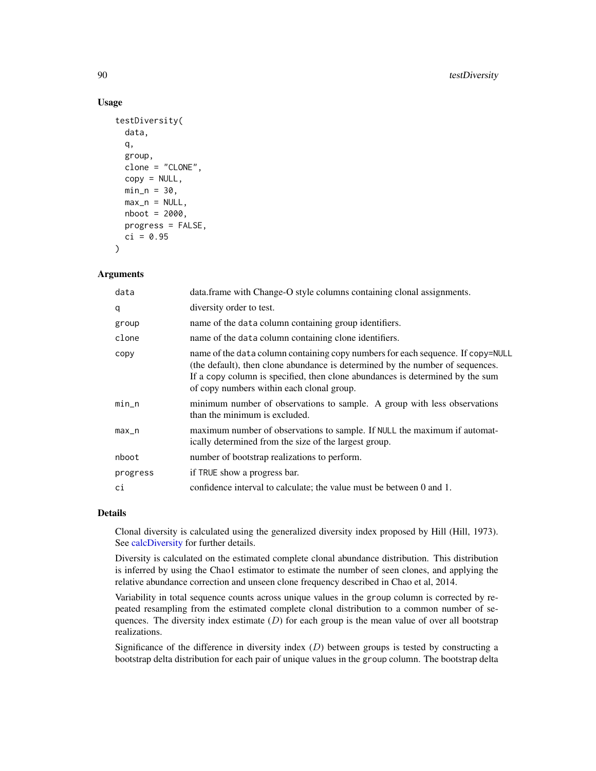#### Usage

```
testDiversity(
  data,
  q,
  group,
  clone = "CLONE",
  copy = NULL,min_n = 30,
 max_n = NULL,nboot = 2000,progress = FALSE,
 ci = 0.95)
```
#### Arguments

| data     | data.frame with Change-O style columns containing clonal assignments.                                                                                                                                                                                                                          |  |
|----------|------------------------------------------------------------------------------------------------------------------------------------------------------------------------------------------------------------------------------------------------------------------------------------------------|--|
| q        | diversity order to test.                                                                                                                                                                                                                                                                       |  |
| group    | name of the data column containing group identifiers.                                                                                                                                                                                                                                          |  |
| clone    | name of the data column containing clone identifiers.                                                                                                                                                                                                                                          |  |
| copy     | name of the data column containing copy numbers for each sequence. If copy=NULL<br>(the default), then clone abundance is determined by the number of sequences.<br>If a copy column is specified, then clone abundances is determined by the sum<br>of copy numbers within each clonal group. |  |
| $min\_n$ | minimum number of observations to sample. A group with less observations<br>than the minimum is excluded.                                                                                                                                                                                      |  |
| $max_n$  | maximum number of observations to sample. If NULL the maximum if automat-<br>ically determined from the size of the largest group.                                                                                                                                                             |  |
| nboot    | number of bootstrap realizations to perform.                                                                                                                                                                                                                                                   |  |
| progress | if TRUE show a progress bar.                                                                                                                                                                                                                                                                   |  |
| сi       | confidence interval to calculate; the value must be between 0 and 1.                                                                                                                                                                                                                           |  |

#### Details

Clonal diversity is calculated using the generalized diversity index proposed by Hill (Hill, 1973). See [calcDiversity](#page-16-0) for further details.

Diversity is calculated on the estimated complete clonal abundance distribution. This distribution is inferred by using the Chao1 estimator to estimate the number of seen clones, and applying the relative abundance correction and unseen clone frequency described in Chao et al, 2014.

Variability in total sequence counts across unique values in the group column is corrected by repeated resampling from the estimated complete clonal distribution to a common number of sequences. The diversity index estimate  $(D)$  for each group is the mean value of over all bootstrap realizations.

Significance of the difference in diversity index  $(D)$  between groups is tested by constructing a bootstrap delta distribution for each pair of unique values in the group column. The bootstrap delta

<span id="page-89-0"></span>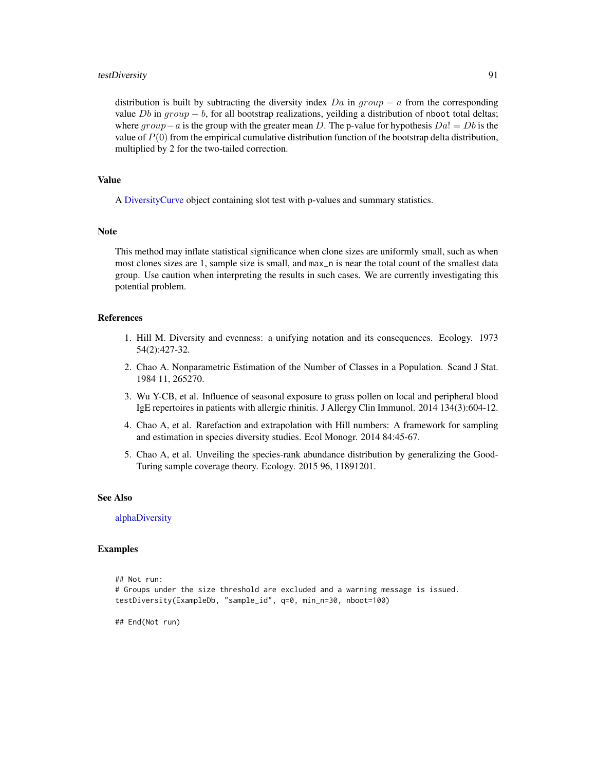# <span id="page-90-0"></span>testDiversity 91

distribution is built by subtracting the diversity index  $Da$  in  $group - a$  from the corresponding value Db in  $group - b$ , for all bootstrap realizations, yeilding a distribution of nboot total deltas; where  $group-a$  is the group with the greater mean D. The p-value for hypothesis  $Da! = Db$  is the value of  $P(0)$  from the empirical cumulative distribution function of the bootstrap delta distribution, multiplied by 2 for the two-tailed correction.

# Value

A [DiversityCurve](#page-29-0) object containing slot test with p-values and summary statistics.

#### **Note**

This method may inflate statistical significance when clone sizes are uniformly small, such as when most clones sizes are 1, sample size is small, and max\_n is near the total count of the smallest data group. Use caution when interpreting the results in such cases. We are currently investigating this potential problem.

#### References

- 1. Hill M. Diversity and evenness: a unifying notation and its consequences. Ecology. 1973 54(2):427-32.
- 2. Chao A. Nonparametric Estimation of the Number of Classes in a Population. Scand J Stat. 1984 11, 265270.
- 3. Wu Y-CB, et al. Influence of seasonal exposure to grass pollen on local and peripheral blood IgE repertoires in patients with allergic rhinitis. J Allergy Clin Immunol. 2014 134(3):604-12.
- 4. Chao A, et al. Rarefaction and extrapolation with Hill numbers: A framework for sampling and estimation in species diversity studies. Ecol Monogr. 2014 84:45-67.
- 5. Chao A, et al. Unveiling the species-rank abundance distribution by generalizing the Good-Turing sample coverage theory. Ecology. 2015 96, 11891201.

# See Also

# [alphaDiversity](#page-7-0)

#### Examples

```
## Not run:
# Groups under the size threshold are excluded and a warning message is issued.
testDiversity(ExampleDb, "sample_id", q=0, min_n=30, nboot=100)
```
## End(Not run)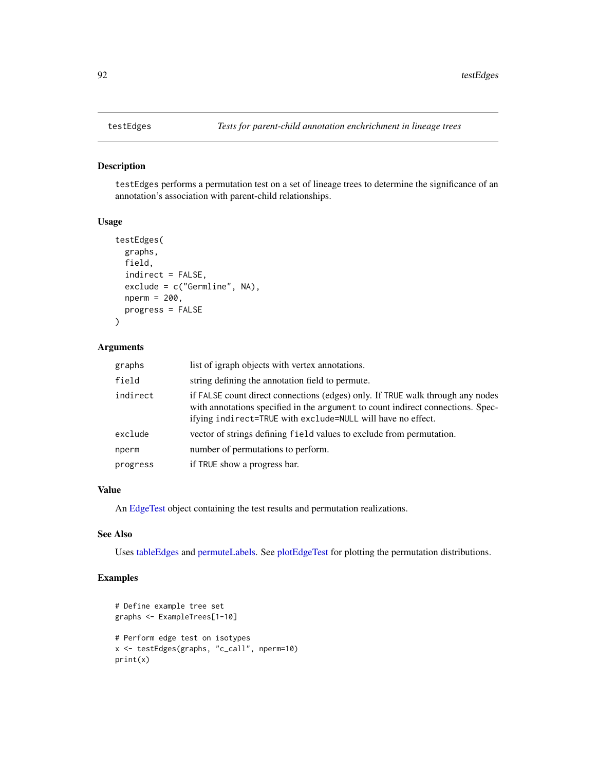<span id="page-91-1"></span><span id="page-91-0"></span>testEdges performs a permutation test on a set of lineage trees to determine the significance of an annotation's association with parent-child relationships.

#### Usage

```
testEdges(
 graphs,
 field,
  indirect = FALSE,
 exclude = c("Germline", NA),
 nperm = 200,
 progress = FALSE
)
```
#### Arguments

| graphs   | list of igraph objects with vertex annotations.                                                                                                                                                                                  |  |
|----------|----------------------------------------------------------------------------------------------------------------------------------------------------------------------------------------------------------------------------------|--|
| field    | string defining the annotation field to permute.                                                                                                                                                                                 |  |
| indirect | if FALSE count direct connections (edges) only. If TRUE walk through any nodes<br>with annotations specified in the argument to count indirect connections. Spec-<br>ifying indirect=TRUE with exclude=NULL will have no effect. |  |
| exclude  | vector of strings defining field values to exclude from permutation.                                                                                                                                                             |  |
| nperm    | number of permutations to perform.                                                                                                                                                                                               |  |
| progress | if TRUE show a progress bar.                                                                                                                                                                                                     |  |

#### Value

An [EdgeTest](#page-30-0) object containing the test results and permutation realizations.

#### See Also

Uses [tableEdges](#page-87-0) and [permuteLabels.](#page-63-1) See [plotEdgeTest](#page-69-0) for plotting the permutation distributions.

# Examples

```
# Define example tree set
graphs <- ExampleTrees[1-10]
# Perform edge test on isotypes
x <- testEdges(graphs, "c_call", nperm=10)
print(x)
```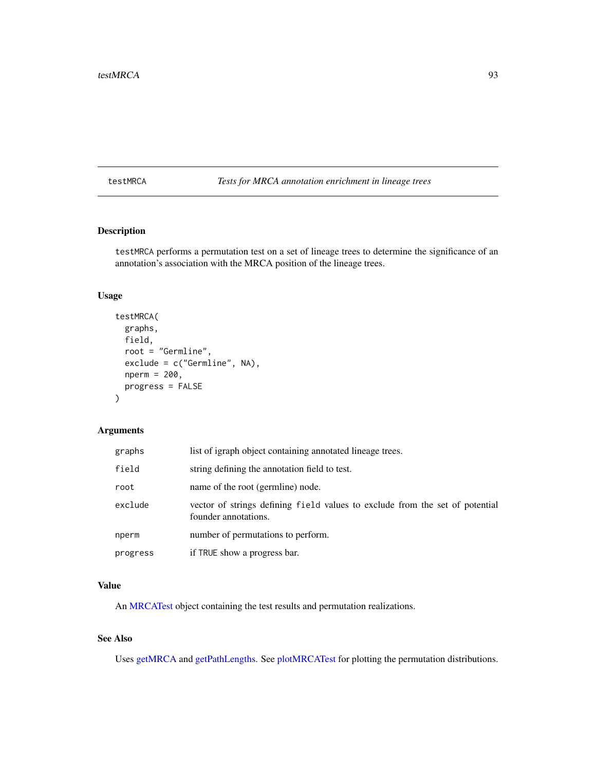<span id="page-92-0"></span>testMRCA *Tests for MRCA annotation enrichment in lineage trees*

# Description

testMRCA performs a permutation test on a set of lineage trees to determine the significance of an annotation's association with the MRCA position of the lineage trees.

# Usage

```
testMRCA(
  graphs,
  field,
  root = "Germline",
  exclude = c("Germline", NA),
  nperm = 200,
 progress = FALSE
\lambda
```
# Arguments

| graphs   | list of igraph object containing annotated lineage trees.                                            |
|----------|------------------------------------------------------------------------------------------------------|
| field    | string defining the annotation field to test.                                                        |
| root     | name of the root (germline) node.                                                                    |
| exclude  | vector of strings defining field values to exclude from the set of potential<br>founder annotations. |
| nperm    | number of permutations to perform.                                                                   |
| progress | if TRUE show a progress bar.                                                                         |

# Value

An [MRCATest](#page-59-0) object containing the test results and permutation realizations.

# See Also

Uses [getMRCA](#page-38-0) and [getPathLengths.](#page-39-0) See [plotMRCATest](#page-71-0) for plotting the permutation distributions.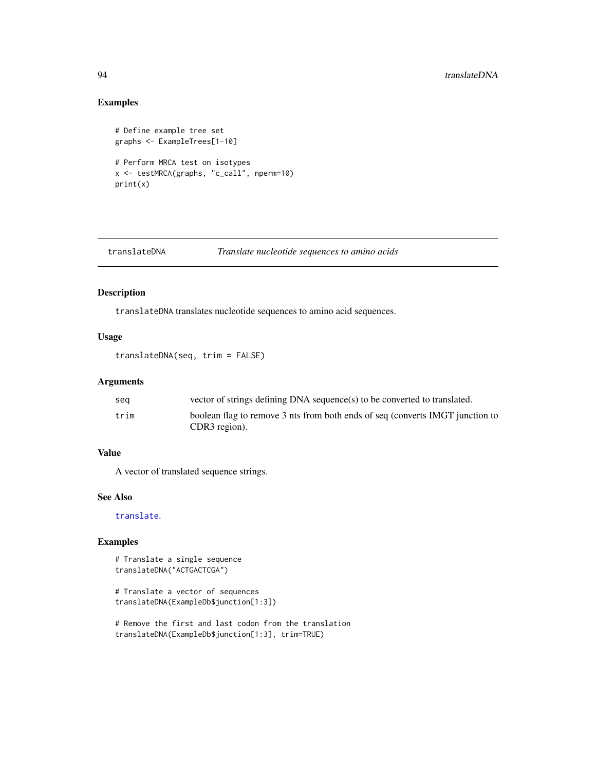# Examples

```
# Define example tree set
graphs <- ExampleTrees[1-10]
# Perform MRCA test on isotypes
x <- testMRCA(graphs, "c_call", nperm=10)
print(x)
```
translateDNA *Translate nucleotide sequences to amino acids*

# Description

translateDNA translates nucleotide sequences to amino acid sequences.

# Usage

```
translateDNA(seq, trim = FALSE)
```
#### Arguments

| sea  | vector of strings defining DNA sequence(s) to be converted to translated.                      |
|------|------------------------------------------------------------------------------------------------|
| trim | boolean flag to remove 3 nts from both ends of seq (converts IMGT junction to<br>CDR3 region). |

# Value

A vector of translated sequence strings.

# See Also

[translate](#page-0-0).

# Examples

```
# Translate a single sequence
translateDNA("ACTGACTCGA")
```

```
# Translate a vector of sequences
translateDNA(ExampleDb$junction[1:3])
```

```
# Remove the first and last codon from the translation
translateDNA(ExampleDb$junction[1:3], trim=TRUE)
```
<span id="page-93-0"></span>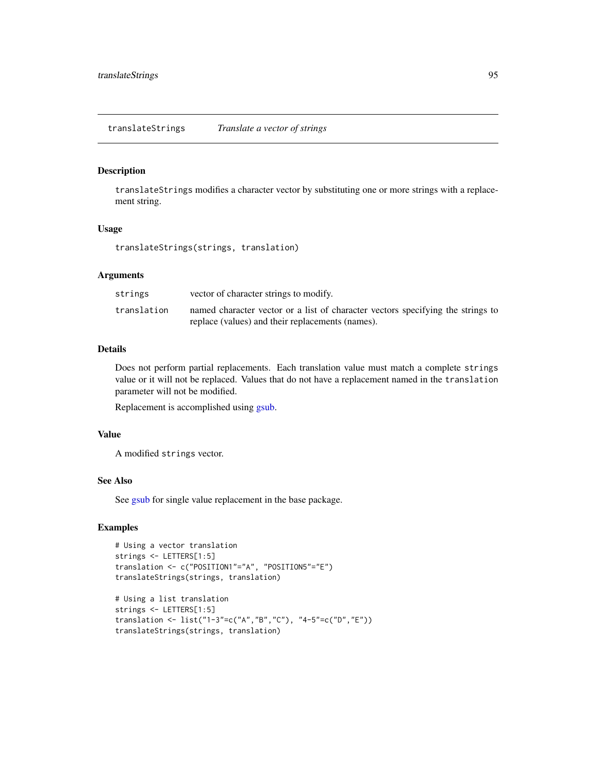<span id="page-94-0"></span>translateStrings modifies a character vector by substituting one or more strings with a replacement string.

# Usage

translateStrings(strings, translation)

#### Arguments

| strings     | vector of character strings to modify.                                          |
|-------------|---------------------------------------------------------------------------------|
| translation | named character vector or a list of character vectors specifying the strings to |
|             | replace (values) and their replacements (names).                                |

# Details

Does not perform partial replacements. Each translation value must match a complete strings value or it will not be replaced. Values that do not have a replacement named in the translation parameter will not be modified.

Replacement is accomplished using [gsub.](#page-0-0)

### Value

A modified strings vector.

#### See Also

See [gsub](#page-0-0) for single value replacement in the base package.

#### Examples

```
# Using a vector translation
strings <- LETTERS[1:5]
translation <- c("POSITION1"="A", "POSITION5"="E")
translateStrings(strings, translation)
```

```
# Using a list translation
strings <- LETTERS[1:5]
translation <- list("1-3"=c("A","B","C"), "4-5"=c("D","E"))
translateStrings(strings, translation)
```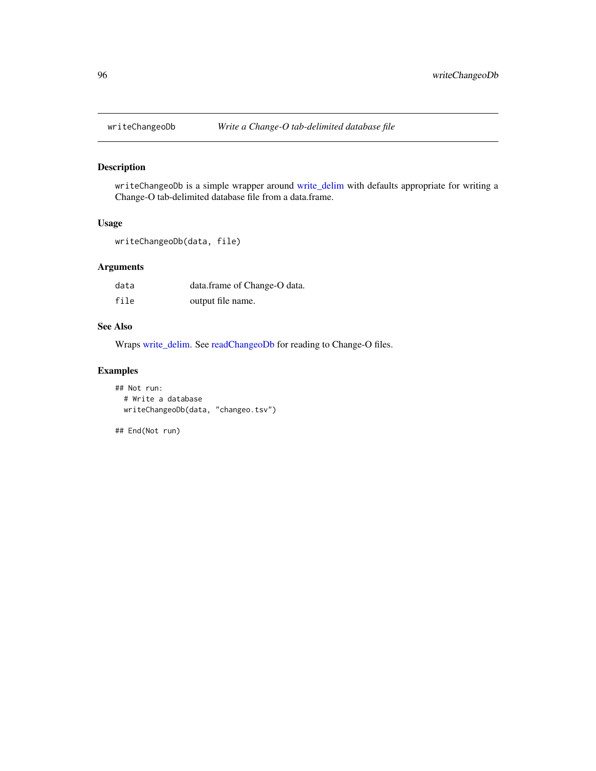<span id="page-95-1"></span><span id="page-95-0"></span>

writeChangeoDb is a simple wrapper around [write\\_delim](#page-0-0) with defaults appropriate for writing a Change-O tab-delimited database file from a data.frame.

#### Usage

```
writeChangeoDb(data, file)
```
# Arguments

| data | data.frame of Change-O data. |
|------|------------------------------|
| file | output file name.            |

# See Also

Wraps [write\\_delim.](#page-0-0) See [readChangeoDb](#page-77-0) for reading to Change-O files.

# Examples

```
## Not run:
 # Write a database
 writeChangeoDb(data, "changeo.tsv")
```
## End(Not run)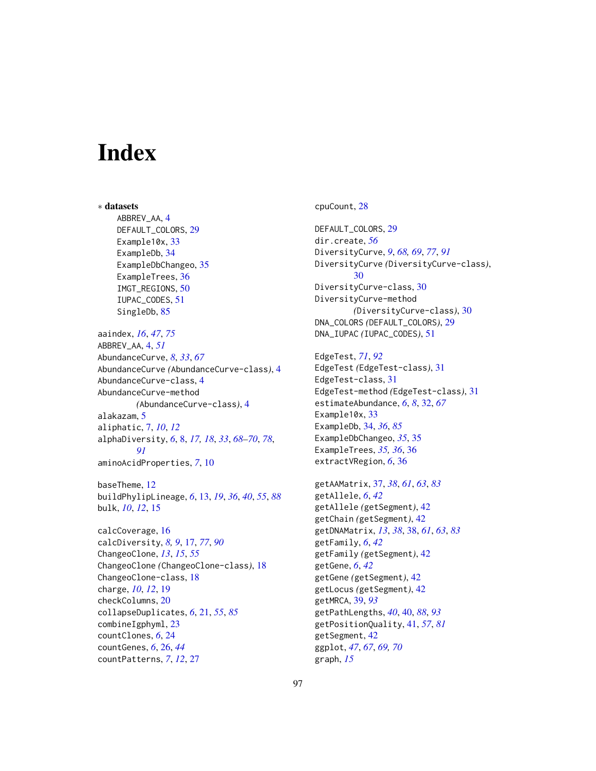# **Index**

∗ datasets ABBREV\_AA, [4](#page-3-0) DEFAULT\_COLORS, [29](#page-28-0) Example10x, [33](#page-32-0) ExampleDb, [34](#page-33-1) ExampleDbChangeo, [35](#page-34-0) ExampleTrees, [36](#page-35-0) IMGT\_REGIONS, [50](#page-49-0) IUPAC\_CODES, [51](#page-50-0) SingleDb, [85](#page-84-0) aaindex, *[16](#page-15-0)*, *[47](#page-46-0)*, *[75](#page-74-0)* ABBREV\_AA, [4,](#page-3-0) *[51](#page-50-0)* AbundanceCurve, *[8](#page-7-1)*, *[33](#page-32-0)*, *[67](#page-66-0)* AbundanceCurve *(*AbundanceCurve-class*)*, [4](#page-3-0) AbundanceCurve-class, [4](#page-3-0) AbundanceCurve-method *(*AbundanceCurve-class*)*, [4](#page-3-0) alakazam, [5](#page-4-0) aliphatic, [7,](#page-6-0) *[10](#page-9-0)*, *[12](#page-11-0)* alphaDiversity, *[6](#page-5-0)*, [8,](#page-7-1) *[17,](#page-16-1) [18](#page-17-0)*, *[33](#page-32-0)*, *[68–](#page-67-0)[70](#page-69-1)*, *[78](#page-77-1)*, *[91](#page-90-0)* aminoAcidProperties, *[7](#page-6-0)*, [10](#page-9-0) baseTheme, [12](#page-11-0) buildPhylipLineage, *[6](#page-5-0)*, [13,](#page-12-1) *[19](#page-18-0)*, *[36](#page-35-0)*, *[40](#page-39-1)*, *[55](#page-54-0)*, *[88](#page-87-1)* bulk, *[10](#page-9-0)*, *[12](#page-11-0)*, [15](#page-14-0) calcCoverage, [16](#page-15-0) calcDiversity, *[8,](#page-7-1) [9](#page-8-0)*, [17,](#page-16-1) *[77](#page-76-0)*, *[90](#page-89-0)* ChangeoClone, *[13](#page-12-1)*, *[15](#page-14-0)*, *[55](#page-54-0)* ChangeoClone *(*ChangeoClone-class*)*, [18](#page-17-0) ChangeoClone-class, [18](#page-17-0) charge, *[10](#page-9-0)*, *[12](#page-11-0)*, [19](#page-18-0) checkColumns, [20](#page-19-0) collapseDuplicates, *[6](#page-5-0)*, [21,](#page-20-1) *[55](#page-54-0)*, *[85](#page-84-0)* combineIgphyml, [23](#page-22-0) countClones, *[6](#page-5-0)*, [24](#page-23-0)

countGenes, *[6](#page-5-0)*, [26,](#page-25-0) *[44](#page-43-0)* countPatterns, *[7](#page-6-0)*, *[12](#page-11-0)*, [27](#page-26-0) cpuCount, [28](#page-27-0)

DEFAULT\_COLORS, [29](#page-28-0) dir.create, *[56](#page-55-0)* DiversityCurve, *[9](#page-8-0)*, *[68,](#page-67-0) [69](#page-68-0)*, *[77](#page-76-0)*, *[91](#page-90-0)* DiversityCurve *(*DiversityCurve-class*)*, [30](#page-29-1) DiversityCurve-class, [30](#page-29-1) DiversityCurve-method *(*DiversityCurve-class*)*, [30](#page-29-1) DNA\_COLORS *(*DEFAULT\_COLORS*)*, [29](#page-28-0) DNA\_IUPAC *(*IUPAC\_CODES*)*, [51](#page-50-0) EdgeTest, *[71](#page-70-0)*, *[92](#page-91-1)* EdgeTest *(*EdgeTest-class*)*, [31](#page-30-1) EdgeTest-class, [31](#page-30-1) EdgeTest-method *(*EdgeTest-class*)*, [31](#page-30-1) estimateAbundance, *[6](#page-5-0)*, *[8](#page-7-1)*, [32,](#page-31-0) *[67](#page-66-0)* Example10x, [33](#page-32-0) ExampleDb, [34,](#page-33-1) *[36](#page-35-0)*, *[85](#page-84-0)* ExampleDbChangeo, *[35](#page-34-0)*, [35](#page-34-0) ExampleTrees, *[35,](#page-34-0) [36](#page-35-0)*, [36](#page-35-0)

getAAMatrix, [37,](#page-36-1) *[38](#page-37-1)*, *[61](#page-60-0)*, *[63](#page-62-1)*, *[83](#page-82-1)* getAllele, *[6](#page-5-0)*, *[42](#page-41-0)* getAllele *(*getSegment*)*, [42](#page-41-0) getChain *(*getSegment*)*, [42](#page-41-0) getDNAMatrix, *[13](#page-12-1)*, *[38](#page-37-1)*, [38,](#page-37-1) *[61](#page-60-0)*, *[63](#page-62-1)*, *[83](#page-82-1)* getFamily, *[6](#page-5-0)*, *[42](#page-41-0)* getFamily *(*getSegment*)*, [42](#page-41-0) getGene, *[6](#page-5-0)*, *[42](#page-41-0)* getGene *(*getSegment*)*, [42](#page-41-0) getLocus *(*getSegment*)*, [42](#page-41-0) getMRCA, [39,](#page-38-1) *[93](#page-92-0)* getPathLengths, *[40](#page-39-1)*, [40,](#page-39-1) *[88](#page-87-1)*, *[93](#page-92-0)* getPositionQuality, [41,](#page-40-1) *[57](#page-56-1)*, *[81](#page-80-0)* getSegment, [42](#page-41-0) ggplot, *[47](#page-46-0)*, *[67](#page-66-0)*, *[69,](#page-68-0) [70](#page-69-1)* graph, *[15](#page-14-0)*

extractVRegion, *[6](#page-5-0)*, [36](#page-35-0)